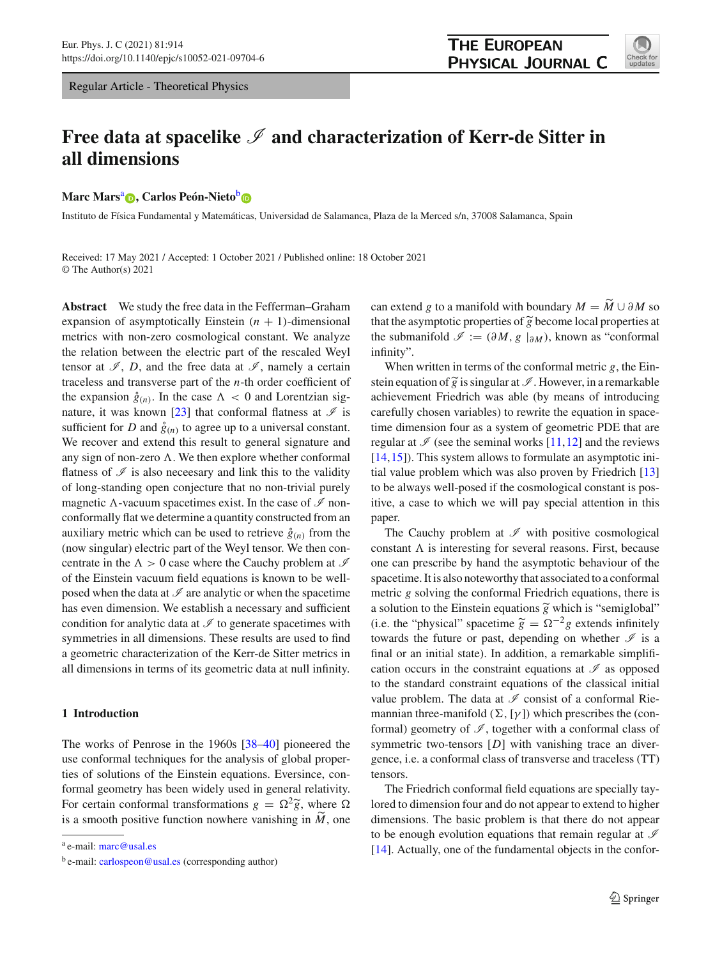Regular Article - Theoretical Physics



# Free data at spacelike  $\mathscr I$  and characterization of Kerr-de Sitter in **all dimensions**

**Marc Mars<sup>a</sup> <[b](http://orcid.org/0000-0002-4832-9636)>D**[,](http://orcid.org/0000-0002-9857-543X) Carlos Peón-Nieto<sup>b</sup> **D** 

Instituto de Física Fundamental y Matemáticas, Universidad de Salamanca, Plaza de la Merced s/n, 37008 Salamanca, Spain

Received: 17 May 2021 / Accepted: 1 October 2021 / Published online: 18 October 2021 © The Author(s) 2021

**Abstract** We study the free data in the Fefferman–Graham expansion of asymptotically Einstein  $(n + 1)$ -dimensional metrics with non-zero cosmological constant. We analyze the relation between the electric part of the rescaled Weyl tensor at  $\mathscr{I}, D$ , and the free data at  $\mathscr{I},$  namely a certain traceless and transverse part of the *n*-th order coefficient of the expansion  $\hat{g}_{(n)}$ . In the case  $\Lambda < 0$  and Lorentzian sig-nature, it was known [\[23](#page-21-0)] that conformal flatness at  $\mathcal I$  is sufficient for *D* and  $\hat{g}_{(n)}$  to agree up to a universal constant. We recover and extend this result to general signature and any sign of non-zero  $\Lambda$ . We then explore whether conformal flatness of  $\mathscr I$  is also necessary and link this to the validity of long-standing open conjecture that no non-trivial purely magnetic  $\Lambda$ -vacuum spacetimes exist. In the case of  $\mathscr I$  nonconformally flat we determine a quantity constructed from an auxiliary metric which can be used to retrieve  $\hat{g}_{(n)}$  from the (now singular) electric part of the Weyl tensor. We then concentrate in the  $\Lambda > 0$  case where the Cauchy problem at  $\mathcal I$ of the Einstein vacuum field equations is known to be wellposed when the data at  $\mathscr I$  are analytic or when the spacetime has even dimension. We establish a necessary and sufficient condition for analytic data at *I* to generate spacetimes with symmetries in all dimensions. These results are used to find a geometric characterization of the Kerr-de Sitter metrics in all dimensions in terms of its geometric data at null infinity.

# **1 Introduction**

The works of Penrose in the 1960s [\[38](#page-21-1)[–40](#page-21-2)] pioneered the use conformal techniques for the analysis of global properties of solutions of the Einstein equations. Eversince, conformal geometry has been widely used in general relativity. use conformal techniques for the analysis of global proper-<br>ties of solutions of the Einstein equations. Eversince, con-<br>formal geometry has been widely used in general relativity.<br>For certain conformal transformations ties of solutions of the Einstein equations. Eversince,<br>formal geometry has been widely used in general relat<br>For certain conformal transformations  $g = \Omega^2 \tilde{g}$ , where is a smooth positive function nowhere vanishing in is a smooth positive function nowhere vanishing in  $\tilde{M}$ , one

October 2021<br>can extend *g* to a manifold with boundary  $M = \widetilde{M} \cup \partial M$  so can extend *g* to a manifold with boundary  $M = \widetilde{M} \cup \partial M$  so that the asymptotic properties of  $\widetilde{g}$  become local properties at the submanifold  $\mathcal{I} := (\partial M, g \mid_{\partial M})$ , known as "conformal infinity". the submanifold  $\mathcal{I} := (\partial M, g \mid_{\partial M})$ , known as "conformal<br>infinity".<br>When written in terms of the conformal metric *g*, the Ein-<br>stein equation of  $\tilde{g}$  is singular at  $\mathcal{I}$ . However, in a remarkable

When written in terms of the conformal metric *g*, the Einachievement Friedrich was able (by means of introducing carefully chosen variables) to rewrite the equation in spacetime dimension four as a system of geometric PDE that are regular at  $\mathcal I$  (see the seminal works [\[11](#page-20-0)[,12](#page-20-1)] and the reviews [\[14](#page-20-2),[15\]](#page-20-3)). This system allows to formulate an asymptotic initial value problem which was also proven by Friedrich [\[13\]](#page-20-4) to be always well-posed if the cosmological constant is positive, a case to which we will pay special attention in this paper.

The Cauchy problem at  $\mathscr I$  with positive cosmological constant  $\Lambda$  is interesting for several reasons. First, because one can prescribe by hand the asymptotic behaviour of the spacetime. It is also noteworthy that associated to a conformal metric *g* solving the conformal Friedrich equations, there is one can prescribe by hand the asymptotic behaviour of the spacetime. It is also noteworthy that associated to a conformal metric  $g$  solving the conformal Friedrich equations, there is a solution to the Einstein equations spacetime. It is also noteworthy that associated to a conformal<br>metric g solving the conformal Friedrich equations, there is<br>a solution to the Einstein equations  $\tilde{g}$  which is "semiglobal"<br>(i.e. the "physical" spaceti towards the future or past, depending on whether  $\mathscr I$  is a final or an initial state). In addition, a remarkable simplification occurs in the constraint equations at  $\mathscr I$  as opposed to the standard constraint equations of the classical initial value problem. The data at  $\mathscr I$  consist of a conformal Riemannian three-manifold  $(\Sigma, [\gamma])$  which prescribes the (conformal) geometry of  $I$ , together with a conformal class of symmetric two-tensors [*D*] with vanishing trace an divergence, i.e. a conformal class of transverse and traceless (TT) tensors.

The Friedrich conformal field equations are specially taylored to dimension four and do not appear to extend to higher dimensions. The basic problem is that there do not appear to be enough evolution equations that remain regular at *I* [\[14](#page-20-2)]. Actually, one of the fundamental objects in the confor-

<sup>a</sup> e-mail: [marc@usal.es](mailto:marc@usal.es)

 $b$  e-mail: [carlospeon@usal.es](mailto:carlospeon@usal.es) (corresponding author)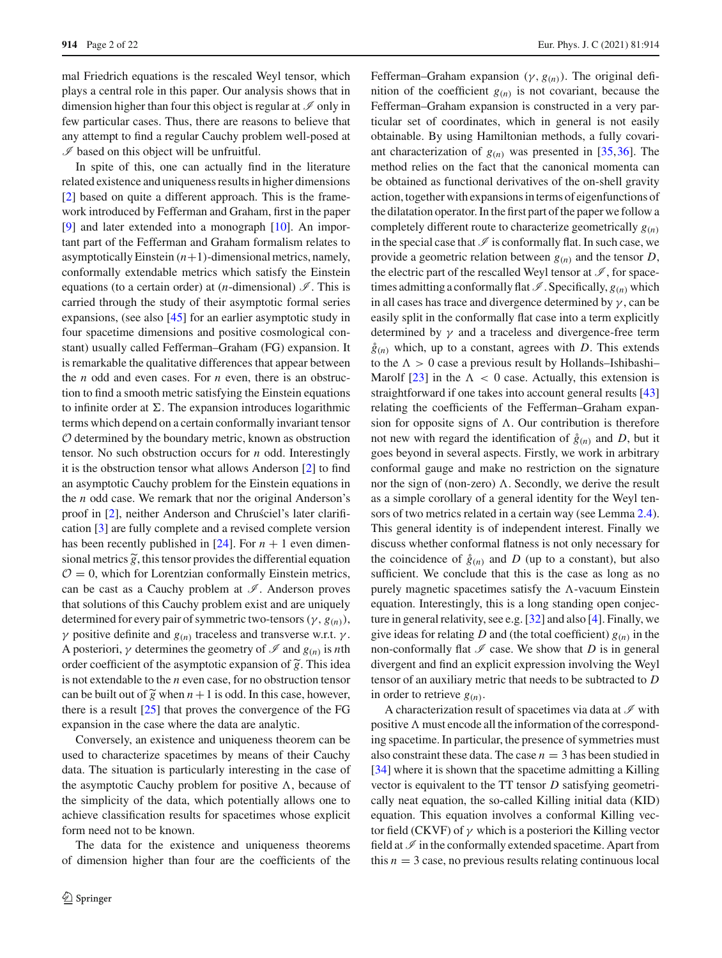mal Friedrich equations is the rescaled Weyl tensor, which plays a central role in this paper. Our analysis shows that in dimension higher than four this object is regular at *I* only in few particular cases. Thus, there are reasons to believe that any attempt to find a regular Cauchy problem well-posed at  $I$  based on this object will be unfruitful.

In spite of this, one can actually find in the literature related existence and uniqueness results in higher dimensions [\[2](#page-20-5)] based on quite a different approach. This is the framework introduced by Fefferman and Graham, first in the paper [\[9](#page-20-6)] and later extended into a monograph [\[10](#page-20-7)]. An important part of the Fefferman and Graham formalism relates to asymptotically Einstein  $(n+1)$ -dimensional metrics, namely, conformally extendable metrics which satisfy the Einstein equations (to a certain order) at  $(n$ -dimensional)  $\mathscr{I}$ . This is carried through the study of their asymptotic formal series expansions, (see also [\[45\]](#page-21-3) for an earlier asymptotic study in four spacetime dimensions and positive cosmological constant) usually called Fefferman–Graham (FG) expansion. It is remarkable the qualitative differences that appear between the *n* odd and even cases. For *n* even, there is an obstruction to find a smooth metric satisfying the Einstein equations to infinite order at  $\Sigma$ . The expansion introduces logarithmic terms which depend on a certain conformally invariant tensor *O* determined by the boundary metric, known as obstruction tensor. No such obstruction occurs for *n* odd. Interestingly it is the obstruction tensor what allows Anderson [\[2](#page-20-5)] to find an asymptotic Cauchy problem for the Einstein equations in the *n* odd case. We remark that nor the original Anderson's proof in [\[2\]](#page-20-5), neither Anderson and Chrusciel's later clarification [3] are fully complete and a revised complete version<br>has been recently published in [24]. For  $n + 1$  even dimensional metrics  $\tilde{g}$ , this tensor provi cation [\[3](#page-20-8)] are fully complete and a revised complete version has been recently published in  $[24]$ . For  $n + 1$  even dimensional metrics  $\tilde{g}$ , this tensor provides the differential equation  $O = 0$ , which for Lorentzian conformally Einstein metrics, can be cast as a Cauchy problem at *I* . Anderson proves that solutions of this Cauchy problem exist and are uniquely determined for every pair of symmetric two-tensors ( $\gamma$ ,  $g_{(n)}$ ),  $\gamma$  positive definite and  $g_{(n)}$  traceless and transverse w.r.t.  $\gamma$ .<br>A posteriori,  $\gamma$  determines the geometry of  $\mathcal{I}$  and  $g_{(n)}$  is *n*th orde *γ* positive definite and  $g_{(n)}$  traceless and transverse w.r.t. *γ*. A posteriori,  $\gamma$  determines the geometry of  $\mathcal I$  and  $g_{(n)}$  is *n*th order coefficient of the asymptotic expansion of  $\tilde{g}$ . This idea is not extendable to the *n* even case, for no obstruction tensor can be built order coefficient of the asymptotic expansion of  $\tilde{g}$ . This idea is not extendable to the *n* even case, for no obstruction tensor can be built out of  $\tilde{g}$  when  $n+1$  is odd. In this case, however, there is a result [\[25](#page-21-5)] that proves the convergence of the FG expansion in the case where the data are analytic.

Conversely, an existence and uniqueness theorem can be used to characterize spacetimes by means of their Cauchy data. The situation is particularly interesting in the case of the asymptotic Cauchy problem for positive  $\Lambda$ , because of the simplicity of the data, which potentially allows one to achieve classification results for spacetimes whose explicit form need not to be known.

The data for the existence and uniqueness theorems of dimension higher than four are the coefficients of the Fefferman–Graham expansion  $(\gamma, g_{(n)})$ . The original definition of the coefficient  $g(n)$  is not covariant, because the Fefferman–Graham expansion is constructed in a very particular set of coordinates, which in general is not easily obtainable. By using Hamiltonian methods, a fully covariant characterization of  $g(n)$  was presented in [\[35](#page-21-6)[,36](#page-21-7)]. The method relies on the fact that the canonical momenta can be obtained as functional derivatives of the on-shell gravity action, together with expansions in terms of eigenfunctions of the dilatation operator. In the first part of the paper we follow a completely different route to characterize geometrically  $g(n)$ in the special case that  $\mathcal I$  is conformally flat. In such case, we provide a geometric relation between  $g(n)$  and the tensor *D*, the electric part of the rescalled Weyl tensor at  $\mathscr{I}$ , for spacetimes admitting a conformally flat  $\mathcal{I}$ . Specifically,  $g_{(n)}$  which in all cases has trace and divergence determined by  $\gamma$ , can be easily split in the conformally flat case into a term explicitly determined by  $\gamma$  and a traceless and divergence-free term  $\hat{g}_{(n)}$  which, up to a constant, agrees with *D*. This extends to the  $\Lambda > 0$  case a previous result by Hollands–Ishibashi– Marolf [\[23](#page-21-0)] in the  $\Lambda < 0$  case. Actually, this extension is straightforward if one takes into account general results [\[43\]](#page-21-8) relating the coefficients of the Fefferman–Graham expansion for opposite signs of  $\Lambda$ . Our contribution is therefore not new with regard the identification of  $\hat{g}_{(n)}$  and *D*, but it goes beyond in several aspects. Firstly, we work in arbitrary conformal gauge and make no restriction on the signature nor the sign of (non-zero)  $\Lambda$ . Secondly, we derive the result as a simple corollary of a general identity for the Weyl tensors of two metrics related in a certain way (see Lemma [2.4\)](#page-6-0). This general identity is of independent interest. Finally we discuss whether conformal flatness is not only necessary for the coincidence of  $\hat{g}_{(n)}$  and *D* (up to a constant), but also sufficient. We conclude that this is the case as long as no purely magnetic spacetimes satisfy the  $\Lambda$ -vacuum Einstein equation. Interestingly, this is a long standing open conjecture in general relativity, see e.g. [\[32](#page-21-9)] and also [\[4](#page-20-9)]. Finally, we give ideas for relating *D* and (the total coefficient)  $g(n)$  in the non-conformally flat  $\mathcal I$  case. We show that *D* is in general divergent and find an explicit expression involving the Weyl tensor of an auxiliary metric that needs to be subtracted to *D* in order to retrieve  $g(n)$ .

A characterization result of spacetimes via data at *I* with positive  $\Lambda$  must encode all the information of the corresponding spacetime. In particular, the presence of symmetries must also constraint these data. The case  $n = 3$  has been studied in [\[34](#page-21-10)] where it is shown that the spacetime admitting a Killing vector is equivalent to the TT tensor *D* satisfying geometrically neat equation, the so-called Killing initial data (KID) equation. This equation involves a conformal Killing vector field (CKVF) of  $\gamma$  which is a posteriori the Killing vector field at  $\mathcal I$  in the conformally extended spacetime. Apart from this  $n = 3$  case, no previous results relating continuous local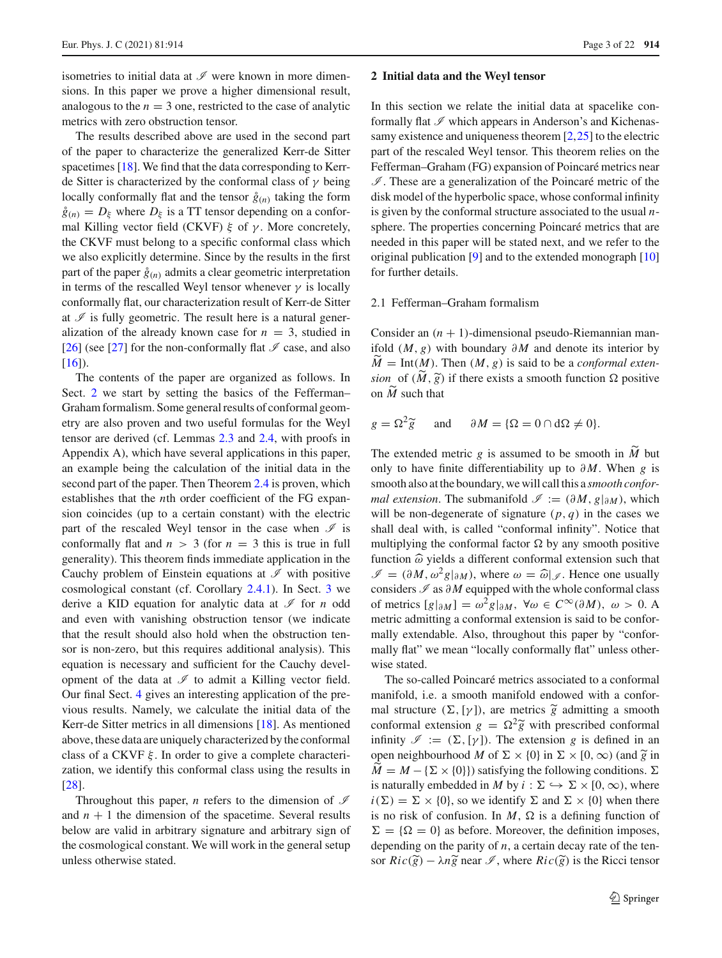isometries to initial data at *I* were known in more dimensions. In this paper we prove a higher dimensional result, analogous to the  $n = 3$  one, restricted to the case of analytic metrics with zero obstruction tensor.

The results described above are used in the second part of the paper to characterize the generalized Kerr-de Sitter spacetimes [\[18\]](#page-21-11). We find that the data corresponding to Kerrde Sitter is characterized by the conformal class of  $\gamma$  being locally conformally flat and the tensor  $\hat{g}_{(n)}$  taking the form  $\hat{g}_{(n)} = D_{\xi}$  where  $D_{\xi}$  is a TT tensor depending on a conformal Killing vector field (CKVF)  $\xi$  of  $\gamma$ . More concretely, the CKVF must belong to a specific conformal class which we also explicitly determine. Since by the results in the first part of the paper  $\hat{g}_{(n)}$  admits a clear geometric interpretation in terms of the rescalled Weyl tensor whenever  $\gamma$  is locally conformally flat, our characterization result of Kerr-de Sitter at  $\mathscr I$  is fully geometric. The result here is a natural generalization of the already known case for  $n = 3$ , studied in [\[26](#page-21-12)] (see [\[27](#page-21-13)] for the non-conformally flat  $\mathcal I$  case, and also  $[16]$  $[16]$ ).

The contents of the paper are organized as follows. In Sect. [2](#page-2-0) we start by setting the basics of the Fefferman– Graham formalism. Some general results of conformal geometry are also proven and two useful formulas for the Weyl tensor are derived (cf. Lemmas [2.3](#page-6-1) and [2.4,](#page-6-0) with proofs in Appendix A), which have several applications in this paper, an example being the calculation of the initial data in the second part of the paper. Then Theorem [2.4](#page-9-0) is proven, which establishes that the *n*th order coefficient of the FG expansion coincides (up to a certain constant) with the electric part of the rescaled Weyl tensor in the case when  $\mathcal I$  is conformally flat and  $n > 3$  (for  $n = 3$  this is true in full generality). This theorem finds immediate application in the Cauchy problem of Einstein equations at  $\mathscr I$  with positive cosmological constant (cf. Corollary [2.4.1\)](#page-10-0). In Sect. [3](#page-10-1) we derive a KID equation for analytic data at *I* for *n* odd and even with vanishing obstruction tensor (we indicate that the result should also hold when the obstruction tensor is non-zero, but this requires additional analysis). This equation is necessary and sufficient for the Cauchy development of the data at  $\mathscr I$  to admit a Killing vector field. Our final Sect. [4](#page-12-0) gives an interesting application of the previous results. Namely, we calculate the initial data of the Kerr-de Sitter metrics in all dimensions [\[18\]](#page-21-11). As mentioned above, these data are uniquely characterized by the conformal class of a CKVF  $\xi$ . In order to give a complete characterization, we identify this conformal class using the results in [\[28](#page-21-14)].

Throughout this paper, *n* refers to the dimension of *I* and  $n + 1$  the dimension of the spacetime. Several results below are valid in arbitrary signature and arbitrary sign of the cosmological constant. We will work in the general setup unless otherwise stated.

#### <span id="page-2-0"></span>**2 Initial data and the Weyl tensor**

In this section we relate the initial data at spacelike conformally flat  $\mathscr I$  which appears in Anderson's and Kichenas-samy existence and uniqueness theorem [\[2](#page-20-5), 25] to the electric part of the rescaled Weyl tensor. This theorem relies on the Fefferman–Graham (FG) expansion of Poincaré metrics near *I* . These are a generalization of the Poincaré metric of the disk model of the hyperbolic space, whose conformal infinity is given by the conformal structure associated to the usual *n*sphere. The properties concerning Poincaré metrics that are needed in this paper will be stated next, and we refer to the original publication [\[9\]](#page-20-6) and to the extended monograph [\[10\]](#page-20-7) for further details.

### 2.1 Fefferman–Graham formalism

Consider an  $(n + 1)$ -dimensional pseudo-Riemannian manifold (*M*, *g*) with boundary ∂ *M* and denote its interior by *M*- $M = Int(M)$ . Then  $(M, g)$  is said to be a *conformal exten-*Consider an  $(n + 1)$ -dimensional pseudo-Riemannian man-<br>ifold  $(M, g)$  with boundary  $\partial M$  and denote its interior by<br> $\widetilde{M} = \text{Int}(M)$ . Then  $(M, g)$  is said to be a *conformal exten-*<br>*sion* of  $(\widetilde{M}, \widetilde{g})$  if there exis ifold<br> $\widetilde{M} = \text{sion}$ <br>on  $\widetilde{M}$ on  $\tilde{M}$  such that  $\dot{\phantom{1}}$  (

$$
g = \Omega^2 \widetilde{g}
$$
 and  $\partial M = {\Omega = 0 \cap d\Omega \neq 0}.$ 

 $g = \Omega^2 \tilde{g}$  and  $\partial M = {\Omega = 0 \cap d\Omega \neq 0}.$ <br>The extended metric *g* is assumed to be smooth in  $\tilde{M}$  but only to have finite differentiability up to ∂ *M*. When *g* is smooth also at the boundary, we will call this a *smooth conformal extension*. The submanifold  $\mathcal{I} := (\partial M, g|_{\partial M})$ , which will be non-degenerate of signature  $(p, q)$  in the cases we shall deal with, is called "conformal infinity". Notice that multiplying the conformal factor  $\Omega$  by any smooth positive function  $\hat{\omega}$  yields a different conf shall deal with, is called "conformal infinity". Notice that multiplying the conformal factor  $\Omega$  by any smooth positive function  $\widehat{\omega}$  yields a different conformal extension such that  $\mathscr{I} = (\partial M, \omega^2 g|_{\partial M})$ , where  $\omega = \widehat{\omega}|_{\mathscr{I}}$ . Hence one usually considers *I* as ∂ *M* equipped with the whole conformal class of metrics  $[g|_{\partial M}] = \omega^2 g|_{\partial M}$ ,  $\forall \omega \in C^{\infty}(\partial M)$ ,  $\omega > 0$ . A metric admitting a conformal extension is said to be conformally extendable. Also, throughout this paper by "conformally flat" we mean "locally conformally flat" unless otherwise stated.

The so-called Poincaré metrics associated to a conformal manifold, i.e. a smooth manifold endowed with a conforwise stated.<br>The so-called Poincaré metrics associated to a conformal manifold, i.e. a smooth manifold endowed with a conformal structure  $(\Sigma, [\gamma])$ , are metrics  $\tilde{g}$  admitting a smooth The so-called Poincaré metrics associated to a conformal<br>manifold, i.e. a smooth manifold endowed with a confor-<br>mal structure  $(\Sigma, [\gamma])$ , are metrics  $\tilde{g}$  admitting a smooth<br>conformal extension  $g = \Omega^2 \tilde{g}$  with pres infinity  $\mathcal{I} := (\Sigma, [\gamma])$ . The extension *g* is defined in an mal structure  $(\Sigma, [\gamma])$ , are metrics  $\tilde{g}$  admitting a smoc<br>conformal extension  $g = \Omega^2 \tilde{g}$  with prescribed conform<br>infinity  $\mathcal{I} := (\Sigma, [\gamma])$ . The extension g is defined in<br>open neighbourhood M of  $\Sigma \times \{0\}$  in  $\Sigma \times$ open neighbourhood *M* of  $\Sigma \times \{0\}$  in  $\Sigma \times [0, \infty)$  (and  $\tilde{g}$  in co<br>int<br> $\widetilde{M}$  $\overline{M} = M - \{\Sigma \times \{0\}\}\$  satisfying the following conditions.  $\Sigma$ is naturally embedded in *M* by  $i : \Sigma \hookrightarrow \Sigma \times [0, \infty)$ , where  $i(\Sigma) = \Sigma \times \{0\}$ , so we identify  $\Sigma$  and  $\Sigma \times \{0\}$  when there is no risk of confusion. In  $M$ ,  $\Omega$  is a defining function of  $\Sigma = {\Omega = 0}$  as before. Moreover, the definition imposes, depending on the parity of *n*, a certain decay rate of the tenis no risk of confusion. In *M*,  $\Omega$  is a d<br>  $\Sigma = {\Omega = 0}$  as before. Moreover, the<br>
depending on the parity of *n*, a certain de<br>
sor  $Ric(\widetilde{g}) - \lambda n\widetilde{g}$  near  $\mathscr{I}$ , where  $Ric(\widetilde{g})$ sor  $Ric(\tilde{g}) - \lambda n \tilde{g}$  near  $\mathscr{I}$ , where  $Ric(\tilde{g})$  is the Ricci tensor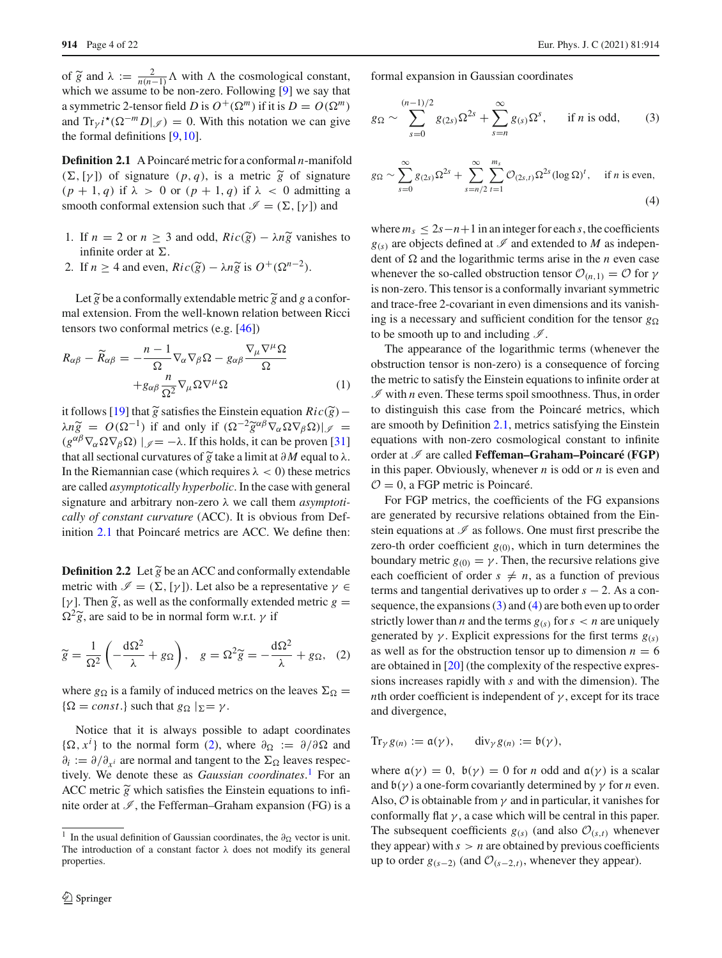914 Page 4 of 22<br>
of  $\widetilde{g}$  and  $\lambda := \frac{2}{n(n-1)} \Lambda$  with  $\Lambda$  the cosmological constant, which we assume to be non-zero. Following [\[9](#page-20-6)] we say that a symmetric 2-tensor field *D* is  $O^+(\Omega^m)$  if it is  $D = O(\Omega^m)$ 

<span id="page-3-0"></span>and  $\text{Tr}_{v} i^* (\Omega^{-m} D | \mathcal{J}) = 0$ . With this notation we can give the formal definitions [\[9,](#page-20-6)[10\]](#page-20-7).

**Definition 2.1** A Poincaré metric for a conformal *n*-manifold (a)  $D[\gamma] = 0$ . Whit diffeometric to the formal definitions [9, 10].<br> **Definition 2.1** A Poincaré metric for a conformal *n*-manifold ( $\Sigma$ , [ $\gamma$ ]) of signature (*p*, *q*), is a metric  $\tilde{g}$  of signature (*p* + 1, *q*) if  $\lambda > 0$  or (*p* + 1, *q*) if  $\lambda < 0$  admitting a<br>smooth conformal extension such that  $\mathcal{I} = (\Sigma, [\gamma])$  and<br>1. If *n* = 2 or *n* ≥ 3 and odd, *Ric*( $\tilde{g}$ ) −  $\lambda n \tilde{g}$  vanishes to smooth conformal extension such that  $\mathcal{I} = (\Sigma, [\gamma])$  and

- *g* vanishes to infinite order at  $\Sigma$ . 1. If *n* = 2 or *n* ≥ 3 and odd, *Ric* infinite order at Σ.<br>2. If *n* ≥ 4 and even,  $Ric(\tilde{g}) - \lambda n\tilde{g}$ infinite order at  $\Sigma$ .<br>If  $n \ge 4$  and even,  $Ric(\tilde{g}) - \lambda n \tilde{g}$  is  $O^+(g)$ <br>Let  $\tilde{g}$  be a conformally extendable metric  $\tilde{g}$
- $\widetilde{g}$  is  $O^+(\Omega^{n-2})$ .

Let  $\widetilde{g}$  be a conformally extendable metric  $\widetilde{g}$  and g a conformal extension. From the well-known relation between Ricci tensors two conformal metrics (e.g. [\[46\]](#page-21-15))

<span id="page-3-6"></span>
$$
R_{\alpha\beta} - \widetilde{R}_{\alpha\beta} = -\frac{n-1}{\Omega} \nabla_{\alpha} \nabla_{\beta} \Omega - g_{\alpha\beta} \frac{\nabla_{\mu} \nabla^{\mu} \Omega}{\Omega}
$$

$$
+ g_{\alpha\beta} \frac{n}{\Omega^{2}} \nabla_{\mu} \Omega \nabla^{\mu} \Omega \qquad (1)
$$
it follows [19] that  $\widetilde{g}$  satisfies the Einstein equation  $Ric(\widetilde{g})$ –

 $+g_{\alpha\beta} \frac{n}{\Omega^2} \nabla_{\mu} \Omega \nabla^{\mu} \Omega$  (1)<br>it follows [19] that  $\tilde{g}$  satisfies the Einstein equation  $Ric(\tilde{g}) - \lambda n \tilde{g} = O(\Omega^{-1})$  if and only if  $(\Omega^{-2} \tilde{g}^{\alpha\beta} \nabla_{\alpha} \Omega \nabla_{\beta} \Omega)|_{\mathscr{I}} =$  $(g^{\alpha\beta}\nabla_{\alpha}\Omega\nabla_{\beta}\Omega)$   $|_{\mathscr{I}} = -\lambda$ . If this holds, it can be proven [\[31\]](#page-21-17) it follows [19] that  $\tilde{g}$  satisfies the  $\lambda n \tilde{g} = O(\Omega^{-1})$  if and only i<br>  $(g^{\alpha\beta} \nabla_{\alpha} \Omega \nabla_{\beta} \Omega) |_{\mathscr{J}} = -\lambda$ . If this that all sectional curvatures of  $\tilde{g}$ *f* that all sectional curvatures of  $\tilde{g}$  take a limit at  $\partial M$  equal to  $\lambda$ . In the Riemannian case (which requires  $\lambda < 0$ ) these metrics are called *asymptotically hyperbolic*. In the case with general signature and arbitrary non-zero λ we call them *asymptotically of constant curvature* (ACC). It is obvious from Definition [2.1](#page-3-0) that Poincaré metrics are ACC. We define then:  $\frac{1}{2}$  behind the *dividure* (ACC). It is solvided for Definition 2.1 that Poincaré metrics are ACC. We define then:<br>**Definition 2.2** Let  $\tilde{g}$  be an ACC and conformally extendable

<span id="page-3-5"></span>metric with  $\mathcal{I} = (\Sigma, [\gamma])$ . Let also be a representative  $\gamma \in$ **Definition** 2<br>metric with<br>[γ]. Then  $\widetilde{g}$ . [ $\gamma$ ]. Then  $\tilde{g}$ , as well as the conformally extended metric  $g =$ **Defil**<br>metr<br>[ $\gamma$ ].<br> $\Omega^2 \tilde{g}$ .  $\Omega^2 \tilde{g}$ , are said to be in normal form w.r.t. *γ* if

$$
\widetilde{g} = \frac{1}{\Omega^2} \left( -\frac{d\Omega^2}{\lambda} + g\Omega \right), \quad g = \Omega^2 \widetilde{g} = -\frac{d\Omega^2}{\lambda} + g\Omega, \quad (2)
$$

where  $g_{\Omega}$  is a family of induced metrics on the leaves  $\Sigma_{\Omega}$  =  $\{\Omega = const.\}$  such that  $g_{\Omega} |_{\Sigma} = \gamma$ .

Notice that it is always possible to adapt coordinates { $\Omega$ ,  $x^i$ } to the normal form [\(2\)](#page-3-1), where  $\partial_{\Omega} := \partial/\partial \Omega$  and  $\partial_i := \partial/\partial_{x^i}$  are normal and tangent to the  $\Sigma_{\Omega}$  leaves respectively. We denote these as *Gaussian coordinates*.<sup>1</sup> For an ACC metric  $\tilde{g}$  which sa  $\partial_i := \partial/\partial_{x^i}$  are normal and tangent to the  $\Sigma_{\Omega}$  leaves respectively. We denote these as *Gaussian coordinates*. [1](#page-3-2) For an ACC metric  $\tilde{g}$  which satisfies the Einstein equations to infinite order at  $\mathcal{I}$ , the Fefferman–Graham expansion (FG) is a formal expansion in Gaussian coordinates

<span id="page-3-4"></span><span id="page-3-3"></span>Ξ

formal expansion in Gaussian coordinates

\n
$$
g_{\Omega} \sim \sum_{s=0}^{(n-1)/2} g_{(2s)} \Omega^{2s} + \sum_{s=n}^{\infty} g_{(s)} \Omega^{s}, \quad \text{if } n \text{ is odd}, \tag{3}
$$

$$
g_{\Omega} \sim \sum_{s=0}^{8} g_{(2s)} \Omega^{2s} + \sum_{s=n}^{8} g_{(s)} \Omega^{2s}, \quad \text{if } n \text{ is odd}, \quad (3)
$$
  

$$
g_{\Omega} \sim \sum_{s=0}^{8} g_{(2s)} \Omega^{2s} + \sum_{s=n/2}^{8} \sum_{t=1}^{m_s} \mathcal{O}_{(2s,t)} \Omega^{2s} (\log \Omega)^t, \quad \text{if } n \text{ is even}, \quad (4)
$$

where  $m_s \leq 2s - n + 1$  in an integer for each *s*, the coefficients  $g(s)$  are objects defined at  $\mathscr I$  and extended to *M* as independent of  $\Omega$  and the logarithmic terms arise in the *n* even case whenever the so-called obstruction tensor  $\mathcal{O}_{(n,1)} = \mathcal{O}$  for  $\gamma$ is non-zero. This tensor is a conformally invariant symmetric and trace-free 2-covariant in even dimensions and its vanishing is a necessary and sufficient condition for the tensor  $g_{\Omega}$ to be smooth up to and including  $\mathcal{I}$ .

The appearance of the logarithmic terms (whenever the obstruction tensor is non-zero) is a consequence of forcing the metric to satisfy the Einstein equations to infinite order at  $I$  with *n* even. These terms spoil smoothness. Thus, in order to distinguish this case from the Poincaré metrics, which are smooth by Definition [2.1,](#page-3-0) metrics satisfying the Einstein equations with non-zero cosmological constant to infinite order at *I* are called **Feffeman–Graham–Poincaré (FGP)** in this paper. Obviously, whenever *n* is odd or *n* is even and  $\mathcal{O} = 0$ , a FGP metric is Poincaré.

<span id="page-3-1"></span>For FGP metrics, the coefficients of the FG expansions are generated by recursive relations obtained from the Einstein equations at *I* as follows. One must first prescribe the zero-th order coefficient  $g_{(0)}$ , which in turn determines the boundary metric  $g_{(0)} = \gamma$ . Then, the recursive relations give each coefficient of order  $s \neq n$ , as a function of previous terms and tangential derivatives up to order  $s - 2$ . As a consequence, the expansions  $(3)$  and  $(4)$  are both even up to order strictly lower than *n* and the terms  $g(s)$  for  $s < n$  are uniquely generated by  $\gamma$ . Explicit expressions for the first terms  $g(s)$ as well as for the obstruction tensor up to dimension  $n = 6$ are obtained in [\[20](#page-21-18)] (the complexity of the respective expressions increases rapidly with *s* and with the dimension). The *n*th order coefficient is independent of  $\gamma$ , except for its trace and divergence,

$$
\mathrm{Tr}_{\gamma} g_{(n)} := \mathfrak{a}(\gamma), \qquad \mathrm{div}_{\gamma} g_{(n)} := \mathfrak{b}(\gamma),
$$

where  $a(\gamma) = 0$ ,  $b(\gamma) = 0$  for *n* odd and  $a(\gamma)$  is a scalar and  $b(y)$  a one-form covariantly determined by  $\gamma$  for *n* even. Also,  $\hat{O}$  is obtainable from  $\gamma$  and in particular, it vanishes for conformally flat  $\gamma$ , a case which will be central in this paper. The subsequent coefficients  $g(s)$  (and also  $\mathcal{O}_{(s,t)}$  whenever they appear) with  $s > n$  are obtained by previous coefficients up to order  $g_{(s-2)}$  (and  $\mathcal{O}_{(s-2,t)}$ , whenever they appear).

<span id="page-3-2"></span><sup>&</sup>lt;sup>1</sup> In the usual definition of Gaussian coordinates, the  $\partial_{\Omega}$  vector is unit. The introduction of a constant factor  $\lambda$  does not modify its general properties.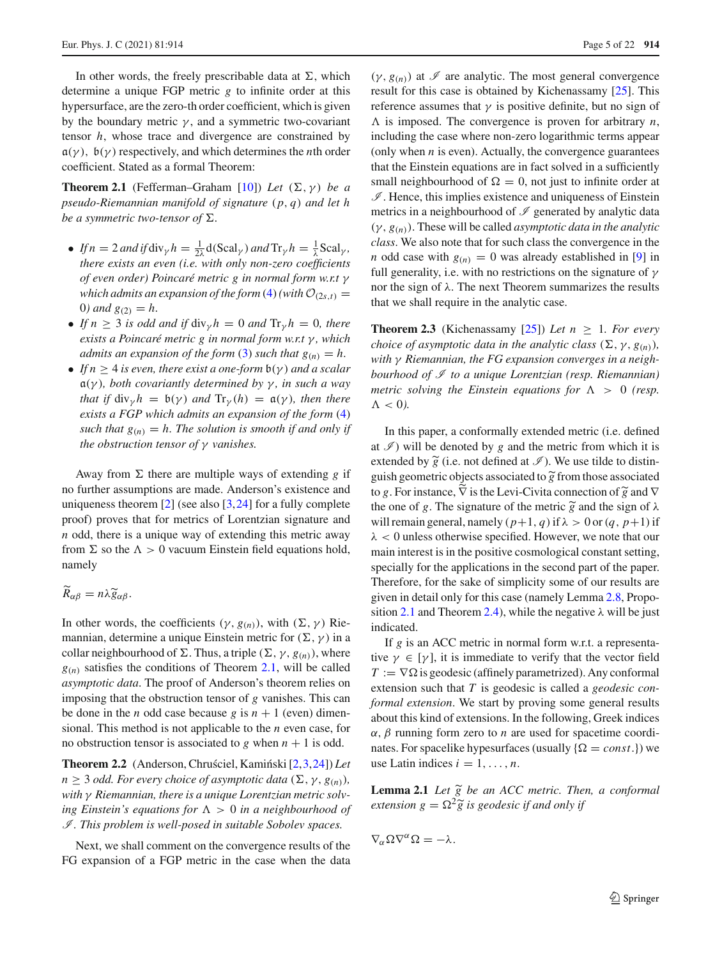In other words, the freely prescribable data at  $\Sigma$ , which determine a unique FGP metric *g* to infinite order at this hypersurface, are the zero-th order coefficient, which is given by the boundary metric  $\gamma$ , and a symmetric two-covariant tensor *h*, whose trace and divergence are constrained by  $a(\gamma)$ ,  $b(\gamma)$  respectively, and which determines the *n*th order coefficient. Stated as a formal Theorem:

**Theorem 2.1** (Fefferman–Graham [\[10](#page-20-7)]) *Let*  $(\Sigma, \gamma)$  *be a pseudo-Riemannian manifold of signature* (*p*, *q*) *and let h be a symmetric two-tensor of*  $\Sigma$ .

- *If*  $n = 2$  *and if* div<sub>γ</sub> $h = \frac{1}{2\lambda} d(Scal_\gamma)$  *and*  $Tr_\gamma h = \frac{1}{\lambda} Scal_\gamma$ , *there exists an even (i.e. with only non-zero coefficients of even order) Poincaré metric g in normal form w.r.t* γ *which admits an expansion of the form* [\(4\)](#page-3-4)*(with*  $\mathcal{O}_{(2s,t)}$  = 0*)* and  $g_{(2)} = h$ .
- *If*  $n \geq 3$  *is odd and if*  $\text{div}_{\gamma} h = 0$  *and*  $\text{Tr}_{\gamma} h = 0$ *, there exists a Poincaré metric g in normal form w.r.t* γ *, which admits an expansion of the form* [\(3\)](#page-3-3) *such that*  $g_{(n)} = h$ .
- *If*  $n \geq 4$  *is even, there exist a one-form*  $b(\gamma)$  *and a scalar* a(γ )*, both covariantly determined by* γ *, in such a way that if*  $\text{div}_{\gamma} h = \mathfrak{b}(\gamma)$  *and*  $\text{Tr}_{\gamma}(h) = \mathfrak{a}(\gamma)$ *, then there exists a FGP which admits an expansion of the form* [\(4\)](#page-3-4) *such that*  $g_{(n)} = h$ *. The solution is smooth if and only if the obstruction tensor of* γ *vanishes.*

Away from  $\Sigma$  there are multiple ways of extending g if no further assumptions are made. Anderson's existence and uniqueness theorem  $[2]$  (see also  $[3,24]$  $[3,24]$  for a fully complete proof) proves that for metrics of Lorentzian signature and *n* odd, there is a unique way of extending this metric away *from* Σ so the  $Λ > 0$  vacuum Einstein field equations hold,<br>namely<br> $\widetilde{R}_{\alpha\beta} = n\lambda \widetilde{g}_{\alpha\beta}.$ namely

$$
\widetilde{R}_{\alpha\beta}=n\lambda\widetilde{g}_{\alpha\beta}.
$$

In other words, the coefficients ( $\gamma$ ,  $g(n)$ ), with ( $\Sigma$ ,  $\gamma$ ) Riemannian, determine a unique Einstein metric for  $(\Sigma, \gamma)$  in a collar neighbourhood of  $\Sigma$ . Thus, a triple  $(\Sigma, \gamma, g_{(n)})$ , where  $g(n)$  satisfies the conditions of Theorem [2.1,](#page-4-0) will be called *asymptotic data*. The proof of Anderson's theorem relies on imposing that the obstruction tensor of *g* vanishes. This can be done in the *n* odd case because *g* is  $n + 1$  (even) dimensional. This method is not applicable to the *n* even case, for no obstruction tensor is associated to  $g$  when  $n + 1$  is odd.

**Theorem 2.2** (Anderson, Chruściel, Kamiński [\[2,](#page-20-5)[3](#page-20-8)[,24](#page-21-4)]) *Let*  $n \geq 3$  *odd. For every choice of asymptotic data*  $(\Sigma, \gamma, g_{(n)})$ *, with* γ *Riemannian, there is a unique Lorentzian metric solv*ing Einstein's equations for  $\Lambda > 0$  in a neighbourhood of *I . This problem is well-posed in suitable Sobolev spaces.*

Next, we shall comment on the convergence results of the FG expansion of a FGP metric in the case when the data <span id="page-4-0"></span> $(\gamma, g_{(n)})$  at  $\mathscr I$  are analytic. The most general convergence result for this case is obtained by Kichenassamy [\[25\]](#page-21-5). This reference assumes that  $\gamma$  is positive definite, but no sign of  $\Lambda$  is imposed. The convergence is proven for arbitrary *n*, including the case where non-zero logarithmic terms appear (only when  $n$  is even). Actually, the convergence guarantees that the Einstein equations are in fact solved in a sufficiently small neighbourhood of  $\Omega = 0$ , not just to infinite order at  $I$ . Hence, this implies existence and uniqueness of Einstein metrics in a neighbourhood of *I* generated by analytic data  $(\gamma, g_{(n)})$ . These will be called *asymptotic data in the analytic class*. We also note that for such class the convergence in the *n* odd case with  $g(n) = 0$  was already established in [\[9](#page-20-6)] in full generality, i.e. with no restrictions on the signature of  $\gamma$ nor the sign of λ. The next Theorem summarizes the results that we shall require in the analytic case.

<span id="page-4-3"></span>**Theorem 2.3** (Kichenassamy [\[25](#page-21-5)]) Let  $n \geq 1$ . For every *choice of asymptotic data in the analytic class*  $(\Sigma, \gamma, g_{(n)})$ *, with* γ *Riemannian, the FG expansion converges in a neighbourhood of I to a unique Lorentzian (resp. Riemannian) metric solving the Einstein equations for*  $\Lambda > 0$  (*resp.*  $\Lambda < 0$ ).

In this paper, a conformally extended metric (i.e. defined at  $\mathscr{I}$ ) will be denoted by *g* and the metric from which it is In this paper, a conformally extended metric (i.e. defined at  $\mathcal{I}$ ) will be denoted by  $g$  and the metric from which it is extended by  $\tilde{g}$  (i.e. not defined at  $\mathcal{I}$ ). We use tilde to distin-In this paper, a conformally extended<br>at  $\mathcal{I}$ ) will be denoted by  $g$  and the m<br>extended by  $\tilde{g}$  (i.e. not defined at  $\mathcal{I}$ ).<br>guish geometric objects associated to  $\tilde{g}$ guish geometric objects associated to  $\tilde{g}$  from those associated at  $\mathcal{I}$ ) will be denoted by  $g$  and the metric from which it is<br>extended by  $\tilde{g}$  (i.e. not defined at  $\mathcal{I}$ ). We use tilde to distin-<br>guish geometric objects associated to  $\tilde{g}$  from those associated<br>to  $g$ . extended by  $\widetilde{g}$  (i.e. not defined at  $\mathscr{I}$ ). We *g* guish geometric objects associated to  $\widetilde{g}$  from to *g*. For instance,  $\widetilde{\nabla}$  is the Levi-Civita connection the one of *g*. The signature of the metric the one of g. The signature of the metric  $\tilde{g}$  and the sign of  $\lambda$ will remain general, namely  $(p+1, q)$  if  $\lambda > 0$  or  $(q, p+1)$  if  $\lambda$  < 0 unless otherwise specified. However, we note that our main interest is in the positive cosmological constant setting, specially for the applications in the second part of the paper. Therefore, for the sake of simplicity some of our results are given in detail only for this case (namely Lemma [2.8,](#page-8-0) Propo-sition [2.1](#page-9-1) and Theorem [2.4\)](#page-9-0), while the negative  $\lambda$  will be just indicated.

If *g* is an ACC metric in normal form w.r.t. a representative  $\gamma \in [\gamma]$ , it is immediate to verify that the vector field  $T := \nabla \Omega$  is geodesic (affinely parametrized). Any conformal extension such that *T* is geodesic is called a *geodesic conformal extension*. We start by proving some general results about this kind of extensions. In the following, Greek indices  $\alpha$ ,  $\beta$  running form zero to *n* are used for spacetime coordinates. For spacelike hypesurfaces (usually  $\{\Omega = const.\}$ ) we use Latin indices  $i = 1, \ldots, n$ . nates. For spacelike hypesurfaces (usually { $\Omega = const.$ }) we<br>use Latin indices  $i = 1, ..., n$ .<br>**Lemma 2.1** *Let*  $\tilde{g}$  *be an ACC metric. Then, a conformal* 

<span id="page-4-2"></span><span id="page-4-1"></span>where  $\Gamma$  is generated (*gamacy* (*gamacy* is generated (*gamacy extension g* =  $\Omega^2 \tilde{g}$  *is geodesic if and only if* 

 $\nabla_{\alpha}\Omega\nabla^{\alpha}\Omega=-\lambda.$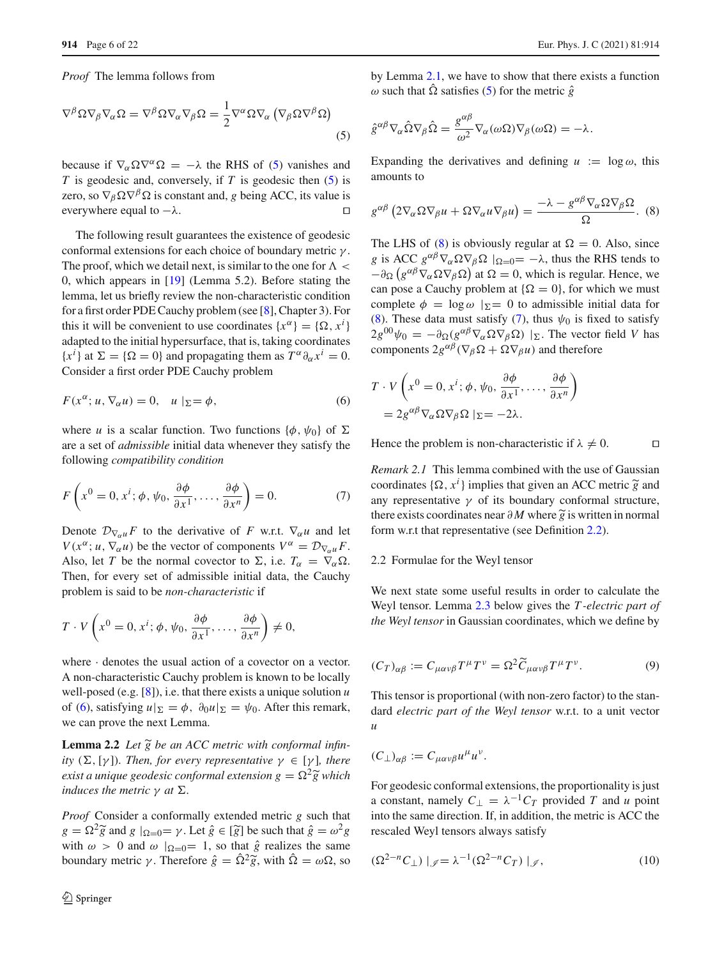*Proof* The lemma follows from

$$
\nabla^{\beta} \Omega \nabla_{\beta} \nabla_{\alpha} \Omega = \nabla^{\beta} \Omega \nabla_{\alpha} \nabla_{\beta} \Omega = \frac{1}{2} \nabla^{\alpha} \Omega \nabla_{\alpha} \left( \nabla_{\beta} \Omega \nabla^{\beta} \Omega \right)
$$
\n(5)

<span id="page-5-0"></span>ī

ī

because if  $\nabla_{\alpha} \Omega \nabla^{\alpha} \Omega = -\lambda$  the RHS of [\(5\)](#page-5-0) vanishes and *T* is geodesic and, conversely, if *T* is geodesic then [\(5\)](#page-5-0) is zero, so  $\nabla_{\beta} \Omega \nabla^{\beta} \Omega$  is constant and, *g* being ACC, its value is everywhere equal to  $-\lambda$ everywhere equal to  $-\lambda$ .

The following result guarantees the existence of geodesic conformal extensions for each choice of boundary metric  $\gamma$ . The proof, which we detail next, is similar to the one for  $\Lambda <$ 0, which appears in [\[19](#page-21-16)] (Lemma 5.2). Before stating the lemma, let us briefly review the non-characteristic condition for a first order PDE Cauchy problem (see [\[8\]](#page-20-11), Chapter 3). For this it will be convenient to use coordinates  $\{x^{\alpha}\} = \{\Omega, x^{i}\}\$ adapted to the initial hypersurface, that is, taking coordinates { $x^{i}$ } at  $\Sigma = {\Omega = 0}$ } and propagating them as  $T^{\alpha} \partial_{\alpha} x^{i} = 0$ . Consider a first order PDE Cauchy problem

$$
F(x^{\alpha}; u, \nabla_{\alpha} u) = 0, \quad u \mid_{\Sigma} = \phi,
$$
\n<sup>(6)</sup>

where *u* is a scalar function. Two functions  $\{\phi, \psi_0\}$  of  $\Sigma$ are a set of *admissible* initial data whenever they satisfy the following *compatibility condition*

$$
F\left(x^0 = 0, x^i; \phi, \psi_0, \frac{\partial \phi}{\partial x^1}, \dots, \frac{\partial \phi}{\partial x^n}\right) = 0.
$$
 (7)

Denote  $D_{\nabla_{\alpha} u} F$  to the derivative of *F* w.r.t.  $\nabla_{\alpha} u$  and let *V*( $x^{\alpha}$ ; *u*,  $\nabla_{\alpha} u$ ) be the vector of components  $V^{\alpha} = \mathcal{D}_{\nabla_{\alpha} u} F$ . Also, let *T* be the normal covector to  $\Sigma$ , i.e.  $T_{\alpha} = \nabla_{\alpha} \Omega$ . Then, for every set of admissible initial data, the Cauchy problem is said to be *non-characteristic* if

$$
T \cdot V\left(x^0 = 0, x^i; \phi, \psi_0, \frac{\partial \phi}{\partial x^1}, \dots, \frac{\partial \phi}{\partial x^n}\right) \neq 0,
$$

where  $\cdot$  denotes the usual action of a covector on a vector. A non-characteristic Cauchy problem is known to be locally well-posed (e.g. [\[8\]](#page-20-11)), i.e. that there exists a unique solution *u* of [\(6\)](#page-5-1), satisfying  $u|_{\Sigma} = \phi$ ,  $\partial_0 u|_{\Sigma} = \psi_0$ . After this remark, we can prove the next Lemma. wen-posed (e.g. [6]), i.e. that there exists a unique solution *u*<br>of (6), satisfying  $u|_{\Sigma} = \phi$ ,  $\partial_0 u|_{\Sigma} = \psi_0$ . After this remark,<br>we can prove the next Lemma.<br>**Lemma 2.2** *Let*  $\tilde{g}$  *be an ACC metric with confo* 

<span id="page-5-4"></span>*ity*  $(\Sigma, [\gamma])$ *. Then, for every representative*  $\gamma \in [\gamma]$ *, there* **Lemma 2.2** Let  $\tilde{g}$  be an ACC metric with conformal<br>tiy ( $\Sigma$ , [ $\gamma$ ]). Then, for every representative  $\gamma \in [\gamma]$ ,<br>exist a unique geodesic conformal extension  $g = \Omega^2 \tilde{g}$ *exist a unique geodesic conformal extension*  $g = \Omega^2 \tilde{g}$  *which induces the metric*  $\gamma$  *at*  $\Sigma$ *.* 

*Proof* Consider a conformally extended metric *g* such that *g* = 22 *g* which<br> *induces the metric*  $\gamma$  *at*  $\Sigma$ *.<br>
<i>Proof* Consider a conformally extended metric *g* such that<br>  $g = \Omega^2 \tilde{g}$  and  $g \mid_{\Omega=0} = \gamma$ . Let  $\hat{g} \in [\tilde{g}]$  be such that  $\hat{g} = \omega^2 g$ with  $\omega > 0$  and  $\omega |_{\Omega=0} = 1$ , so that  $\hat{g}$  realizes the same *Proof* Consider a conformally extended  $g = \Omega^2 \tilde{g}$  and  $g \mid_{\Omega=0} = \gamma$ . Let  $\hat{g} \in [\tilde{g}]$  be with  $\omega > 0$  and  $\omega \mid_{\Omega=0} = 1$ , so that  $\hat{g}$  boundary metric  $\gamma$ . Therefore  $\hat{g} = \hat{\Omega}^2 \tilde{g}$ . boundary metric  $\gamma$ . Therefore  $\hat{g} = \hat{\Omega}^2 \tilde{g}$ , with  $\hat{\Omega} = \omega \Omega$ , so by Lemma [2.1,](#page-4-1) we have to show that there exists a function  $ω$  such that  $\hat{Ω}$  satisfies [\(5\)](#page-5-0) for the metric  $\hat{g}$ 

$$
\hat{g}^{\alpha\beta}\nabla_{\alpha}\hat{\Omega}\nabla_{\beta}\hat{\Omega} = \frac{g^{\alpha\beta}}{\omega^2}\nabla_{\alpha}(\omega\Omega)\nabla_{\beta}(\omega\Omega) = -\lambda.
$$

<span id="page-5-2"></span>Expanding the derivatives and defining  $u := \log \omega$ , this<br>amounts to<br> $g^{\alpha\beta} (2\nabla_{\alpha} \Omega \nabla_{\beta} u + \Omega \nabla_{\alpha} u \nabla_{\beta} u) = \frac{-\lambda - g^{\alpha\beta} \nabla_{\alpha} \Omega \nabla_{\beta} \Omega}{\lambda}$ . (8) amounts to

$$
g^{\alpha\beta} \left(2 \nabla_{\alpha} \Omega \nabla_{\beta} u + \Omega \nabla_{\alpha} u \nabla_{\beta} u\right) = \frac{-\lambda - g^{\alpha\beta} \nabla_{\alpha} \Omega \nabla_{\beta} \Omega}{\Omega}.
$$
 (8)

The LHS of [\(8\)](#page-5-2) is obviously regular at  $\Omega = 0$ . Also, since *g* is ACC  $g^{\alpha\beta}\nabla_{\alpha}\Omega\nabla_{\beta}\Omega$   $|_{\Omega=0}=-\lambda$ , thus the RHS tends to  $-\partial_{\Omega} (g^{\alpha\beta} \nabla_{\alpha} \Omega \nabla_{\beta} \Omega)$  at  $\Omega = 0$ , which is regular. Hence, we can pose a Cauchy problem at  $\{\Omega = 0\}$ , for which we must complete  $\phi = \log \omega |_{\Sigma} = 0$  to admissible initial data for [\(8\)](#page-5-2). These data must satisfy [\(7\)](#page-5-3), thus  $\psi_0$  is fixed to satisfy  $2g^{00}\psi_0 = -\partial_{\Omega}(g^{\alpha\beta}\nabla_{\alpha}\Omega\nabla_{\beta}\Omega)$  |<sub>2</sub>. The vector field *V* has components  $2g^{\alpha\beta}(\nabla_{\beta}\Omega + \Omega\nabla_{\beta}u)$  and therefore

<span id="page-5-1"></span>
$$
T \cdot V\left(x^0 = 0, x^i; \phi, \psi_0, \frac{\partial \phi}{\partial x^1}, \dots, \frac{\partial \phi}{\partial x^n}\right)
$$
  
=  $2g^{\alpha\beta} \nabla_\alpha \Omega \nabla_\beta \Omega \mid_{\Sigma} = -2\lambda.$ 

<span id="page-5-5"></span><span id="page-5-3"></span>Hence the problem is non-characteristic if  $\lambda \neq 0$ .

*Remark 2.1* This lemma combined with the use of Gaussian Hence the problem is non-characteristic if  $\lambda \neq 0$ .  $\Box$ <br>*Remark 2.1* This lemma combined with the use of Gaussian coordinates  $\{\Omega, x^i\}$  implies that given an ACC metric  $\tilde{g}$  and any representative  $\gamma$  of its boundary conformal structure, *Remark* 2.1 This lemma combined with the use of Gaussian coordinates  $\{\Omega, x^i\}$  implies that given an ACC metric  $\tilde{g}$  and any representative  $\gamma$  of its boundary conformal structure, there exists coordinates near  $\$ form w.r.t that representative (see Definition [2.2\)](#page-3-5).

#### 2.2 Formulae for the Weyl tensor

<span id="page-5-7"></span>We next state some useful results in order to calculate the Weyl tensor. Lemma [2.3](#page-6-1) below gives the *T -electric part of the Weyl tensor* in Gaussian coordinates, which we define by -

$$
(C_T)_{\alpha\beta} := C_{\mu\alpha\nu\beta} T^{\mu} T^{\nu} = \Omega^2 \widetilde{C}_{\mu\alpha\nu\beta} T^{\mu} T^{\nu}.
$$
 (9)

This tensor is proportional (with non-zero factor) to the standard *electric part of the Weyl tensor* w.r.t. to a unit vector *u*

$$
(C_{\perp})_{\alpha\beta} := C_{\mu\alpha\nu\beta}u^{\mu}u^{\nu}.
$$

<span id="page-5-6"></span>For geodesic conformal extensions, the proportionality is just a constant, namely  $C_{\perp} = \lambda^{-1} C_T$  provided *T* and *u* point into the same direction. If, in addition, the metric is ACC the rescaled Weyl tensors always satisfy

$$
(\Omega^{2-n}C_{\perp})\mid_{\mathscr{I}} = \lambda^{-1}(\Omega^{2-n}C_T)\mid_{\mathscr{I}},\tag{10}
$$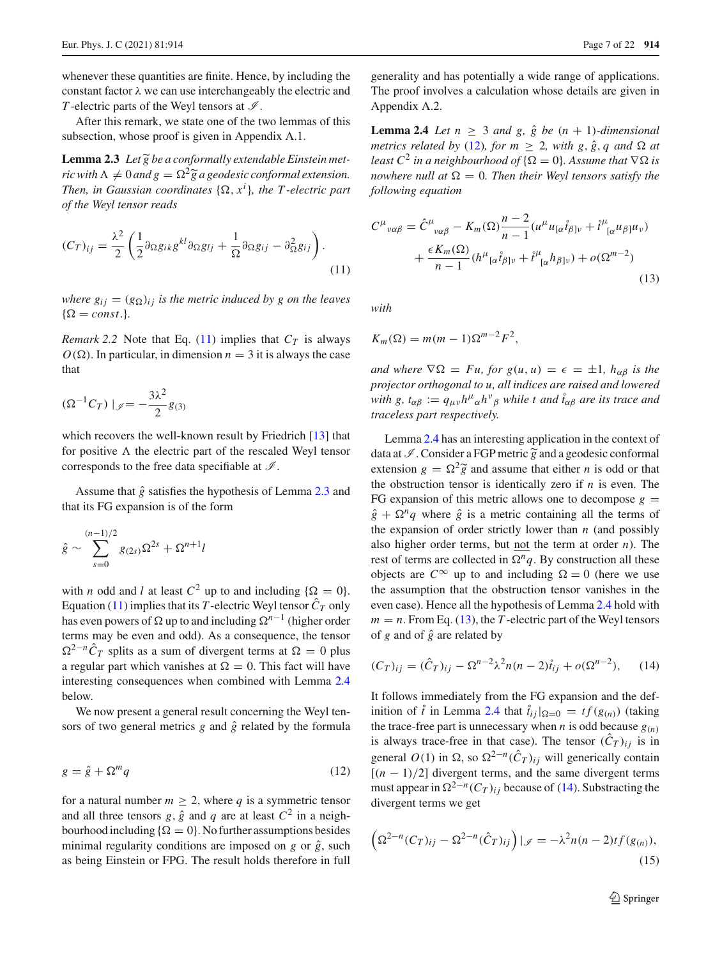whenever these quantities are finite. Hence, by including the constant factor  $\lambda$  we can use interchangeably the electric and *T*-electric parts of the Weyl tensors at  $\mathcal{I}$ .

After this remark, we state one of the two lemmas of this subsection, whose proof is given in Appendix A.1. *Lemma 2.3 Let*  $\tilde{g}$ <br>**Lemma 2.3** *Let*  $\tilde{g}$ 

Lemma 2.3 Let  $\widetilde{g}$  be a conformally extendable Einstein met*ric with*  $\Lambda \neq 0$  *and*  $g = \Omega^2 \tilde{g}$  *a geodesic conformal extension.* this female, we state<br>on, whose proof is g<br>**2.3** *Let*  $\tilde{g}$  *be a confo*<br> $\Lambda \neq 0$  *and*  $g = \Omega^2 \tilde{g}$ *Then, in Gaussian coordinates*  $\{\Omega, x^i\}$ *, the T-electric part*<br> *gif the Weyl tensor reads*<br>  $(C_T)_{ij} = \frac{\lambda^2}{2} \left( \frac{1}{2} \partial_{\Omega} g_{ik} g^{kl} \partial_{\Omega} g_{lj} + \frac{1}{2} \partial_{\Omega} g_{ij} - \partial_{\Omega}^2 g_{ij} \right)$ . *of the Weyl tensor reads*

<span id="page-6-2"></span>
$$
(C_T)_{ij} = \frac{\lambda^2}{2} \left( \frac{1}{2} \partial_{\Omega} g_{ik} g^{kl} \partial_{\Omega} g_{lj} + \frac{1}{\Omega} \partial_{\Omega} g_{ij} - \partial_{\Omega}^2 g_{ij} \right). \tag{11}
$$

*where*  $g_{ij} = (g_{\Omega})_{ij}$  *is the metric induced by g on the leaves*  $\{\Omega = const.\}$ 

<span id="page-6-7"></span>*Remark 2.2* Note that Eq. [\(11\)](#page-6-2) implies that  $C_T$  is always  $O(\Omega)$ . In particular, in dimension  $n = 3$  it is always the case that

$$
(\Omega^{-1}C_T) \mid_{\mathscr{I}} = -\frac{3\lambda^2}{2}g_{(3)}
$$

which recovers the well-known result by Friedrich [\[13](#page-20-4)] that for positive  $\Lambda$  the electric part of the rescaled Weyl tensor corresponds to the free data specifiable at *I* .

Assume that  $\hat{g}$  satisfies the hypothesis of Lemma [2.3](#page-6-1) and that its FG expansion is of the form

$$
\hat{g} \sim \sum_{s=0}^{(n-1)/2} g_{(2s)} \Omega^{2s} + \Omega^{n+1} l
$$

with *n* odd and *l* at least  $C^2$  up to and including  $\{\Omega = 0\}$ . Equation [\(11\)](#page-6-2) implies that its *T*-electric Weyl tensor  $\hat{C}_T$  only has even powers of  $\Omega$  up to and including  $\Omega^{n-1}$  (higher order terms may be even and odd). As a consequence, the tensor  $\Omega^{2-n}\hat{C}_T$  splits as a sum of divergent terms at  $\Omega = 0$  plus a regular part which vanishes at  $\Omega = 0$ . This fact will have interesting consequences when combined with Lemma [2.4](#page-6-0) below.

<span id="page-6-3"></span>We now present a general result concerning the Weyl tensors of two general metrics  $g$  and  $\hat{g}$  related by the formula

$$
g = \hat{g} + \Omega^m q \tag{12}
$$

for a natural number  $m > 2$ , where q is a symmetric tensor and all three tensors  $g$ ,  $\hat{g}$  and  $q$  are at least  $C^2$  in a neighbourhood including  $\{\Omega = 0\}$ . No further assumptions besides minimal regularity conditions are imposed on  $g$  or  $\hat{g}$ , such as being Einstein or FPG. The result holds therefore in full <span id="page-6-0"></span>generality and has potentially a wide range of applications. The proof involves a calculation whose details are given in Appendix A.2.

<span id="page-6-1"></span>**Lemma 2.4** *Let*  $n \geq 3$  *and*  $g$ ,  $\hat{g}$  *be*  $(n + 1)$ *-dimensional metrics related by* [\(12\)](#page-6-3)*, for*  $m \geq 2$ *, with*  $g, \hat{g}, q$  *and*  $\Omega$  *at least*  $C^2$  *in a neighbourhood of*  $\{\Omega = 0\}$ *. Assume that*  $\nabla \Omega$  *is nowhere null at*  $\Omega = 0$ *. Then their Weyl tensors satisfy the following equation*

<span id="page-6-4"></span>
$$
C^{\mu}{}_{\nu\alpha\beta} = \hat{C}^{\mu}{}_{\nu\alpha\beta} - K_m(\Omega) \frac{n-2}{n-1} (u^{\mu} u_{[\alpha} \dot{t}_{\beta] \nu} + \dot{t}^{\mu}{}_{[\alpha} u_{\beta]} u_{\nu})
$$

$$
+ \frac{\epsilon K_m(\Omega)}{n-1} (h^{\mu}{}_{[\alpha} \dot{t}_{\beta] \nu} + \dot{t}^{\mu}{}_{[\alpha} h_{\beta] \nu}) + o(\Omega^{m-2})
$$
(13)

*with*

$$
K_m(\Omega) = m(m-1)\Omega^{m-2}F^2,
$$

*and where*  $\nabla \Omega = Fu$ *, for*  $g(u, u) = \epsilon = \pm 1$ *, h*<sub>αβ</sub> *is the projector orthogonal to u, all indices are raised and lowered with*  $g$ ,  $t_{\alpha\beta} := q_{\mu\nu}h^{\mu}{}_{\alpha}h^{\nu}{}_{\beta}$  *while t and*  $\hat{t}_{\alpha\beta}$  *are its trace and traceless part respectively.*

Lemma [2.4](#page-6-0) has an interesting application in the context of traceless part respectively.<br>
Lemma 2.4 has an interesting application in the context of data at  $\mathcal{I}$ . Consider a FGP metric  $\tilde{g}$  and a geodesic conformal Lemma 2.4 has an interesting application in the context of data at  $\mathcal{I}$ . Consider a FGP metric  $\tilde{g}$  and a geodesic conformal extension  $g = \Omega^2 \tilde{g}$  and assume that either *n* is odd or that the obstruction tensor is identically zero if *n* is even. The FG expansion of this metric allows one to decompose  $g =$  $\hat{g} + \Omega^n q$  where  $\hat{g}$  is a metric containing all the terms of the expansion of order strictly lower than *n* (and possibly also higher order terms, but not the term at order *n*). The rest of terms are collected in  $\Omega^n q$ . By construction all these objects are  $C^{\infty}$  up to and including  $\Omega = 0$  (here we use the assumption that the obstruction tensor vanishes in the even case). Hence all the hypothesis of Lemma [2.4](#page-6-0) hold with  $m = n$ . From Eq. [\(13\)](#page-6-4), the *T*-electric part of the Weyl tensors of  $g$  and of  $\hat{g}$  are related by

<span id="page-6-5"></span>
$$
(C_T)_{ij} = (\hat{C}_T)_{ij} - \Omega^{n-2} \lambda^2 n(n-2) \hat{t}_{ij} + o(\Omega^{n-2}), \qquad (14)
$$

It follows immediately from the FG expansion and the definition of  $\hat{t}$  in Lemma [2.4](#page-6-0) that  $\hat{t}_{ij}|_{\Omega=0} = tf(g_{(n)})$  (taking the trace-free part is unnecessary when *n* is odd because  $g(n)$ is always trace-free in that case). The tensor  $(\hat{C}_T)_{ij}$  is in general  $O(1)$  in  $\Omega$ , so  $\Omega^{2-n}(\hat{C}_T)_{ij}$  will generically contain  $[(n-1)/2]$  divergent terms, and the same divergent terms must appear in  $\Omega^{2-n}(C_T)_{ij}$  because of [\(14\)](#page-6-5). Substracting the divergent terms we get<br>  $\left(\Omega^{2-n}(C_T)_{ij} - \Omega^{2-n}(\hat{C}_T)_{ij}\right)|_{\mathscr{I}} = -\lambda^2 n(n-2) t f(g_{(n)}),$ divergent terms we get

<span id="page-6-6"></span>
$$
\left(\Omega^{2-n}(C_T)_{ij} - \Omega^{2-n}(\hat{C}_T)_{ij}\right)|_{\mathscr{I}} = -\lambda^2 n(n-2) t f(g_{(n)}),
$$
\n(15)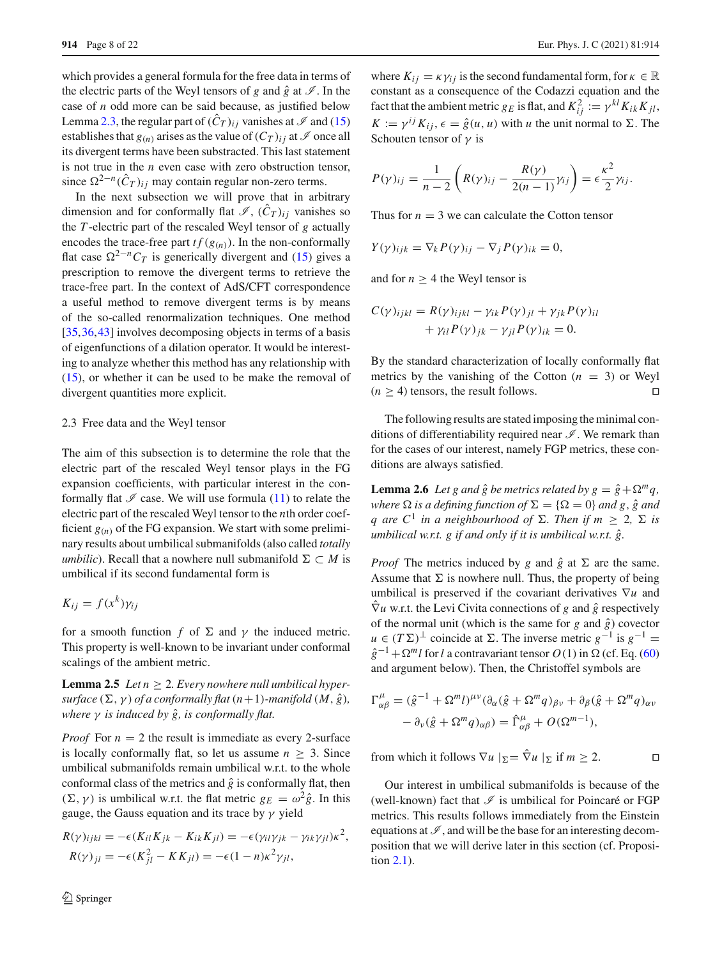which provides a general formula for the free data in terms of the electric parts of the Weyl tensors of *g* and  $\hat{g}$  at  $\mathcal{I}$ . In the case of *n* odd more can be said because, as justified below Lemma [2.3,](#page-6-1) the regular part of  $(\hat{C}_T)_{ij}$  vanishes at  $\mathscr I$  and [\(15\)](#page-6-6) establishes that  $g(n)$  arises as the value of  $(C_T)_{ij}$  at  $\mathscr I$  once all its divergent terms have been substracted. This last statement is not true in the *n* even case with zero obstruction tensor, since  $\Omega^{2-n}(\hat{C}_T)_{ij}$  may contain regular non-zero terms.

In the next subsection we will prove that in arbitrary dimension and for conformally flat  $\mathcal{I}$ ,  $(\hat{C}_T)_{ij}$  vanishes so the *T* -electric part of the rescaled Weyl tensor of *g* actually encodes the trace-free part  $tf(g_{(n)})$ . In the non-conformally flat case  $\Omega^{2-n}C_T$  is generically divergent and [\(15\)](#page-6-6) gives a prescription to remove the divergent terms to retrieve the trace-free part. In the context of AdS/CFT correspondence a useful method to remove divergent terms is by means of the so-called renormalization techniques. One method [\[35](#page-21-6),[36,](#page-21-7)[43\]](#page-21-8) involves decomposing objects in terms of a basis of eigenfunctions of a dilation operator. It would be interesting to analyze whether this method has any relationship with [\(15\)](#page-6-6), or whether it can be used to be make the removal of divergent quantities more explicit.

# 2.3 Free data and the Weyl tensor

The aim of this subsection is to determine the role that the electric part of the rescaled Weyl tensor plays in the FG expansion coefficients, with particular interest in the conformally flat  $\mathcal I$  case. We will use formula [\(11\)](#page-6-2) to relate the electric part of the rescaled Weyl tensor to the *n*th order coefficient  $g_{(n)}$  of the FG expansion. We start with some preliminary results about umbilical submanifolds (also called *totally umbilic*). Recall that a nowhere null submanifold  $\Sigma \subset M$  is umbilical if its second fundamental form is

$$
K_{ij} = f(x^k) \gamma_{ij}
$$

<span id="page-7-1"></span>for a smooth function *f* of  $\Sigma$  and  $\gamma$  the induced metric. This property is well-known to be invariant under conformal scalings of the ambient metric.

**Lemma 2.5** *Let*  $n \geq 2$ *. Every nowhere null umbilical hypersurface*  $(\Sigma, \gamma)$  *of a conformally flat*  $(n+1)$ *-manifold*  $(M, \hat{g})$ *, where* γ *is induced by*  $\hat{g}$ *, is conformally flat.* 

*Proof* For  $n = 2$  the result is immediate as every 2-surface is locally conformally flat, so let us assume  $n \geq 3$ . Since umbilical submanifolds remain umbilical w.r.t. to the whole conformal class of the metrics and  $\hat{g}$  is conformally flat, then  $(\Sigma, \gamma)$  is umbilical w.r.t. the flat metric  $g_E = \omega^2 \hat{g}$ . In this gauge, the Gauss equation and its trace by  $\gamma$  yield

$$
R(\gamma)_{ijkl} = -\epsilon (K_{il}K_{jk} - K_{ik}K_{jl}) = -\epsilon (\gamma_{il}\gamma_{jk} - \gamma_{ik}\gamma_{jl})\kappa^2,
$$
  

$$
R(\gamma)_{jl} = -\epsilon (K_{jl}^2 - KK_{jl}) = -\epsilon (1 - n)\kappa^2 \gamma_{jl},
$$

where  $K_{ij} = \kappa \gamma_{ij}$  is the second fundamental form, for  $\kappa \in \mathbb{R}$ constant as a consequence of the Codazzi equation and the fact that the ambient metric *g<sub>E</sub>* is flat, and  $K_{ij}^2 := \gamma^{kl} K_{ik} K_{jl}$ , *K* :=  $\gamma^{ij} K_{ij}$ ,  $\epsilon = \hat{g}(u, u)$  with *u* the unit normal to  $\Sigma$ . The<br>Schouten tensor of  $\gamma$  is<br> $P(\gamma)_{ij} = \frac{1}{\gamma - \gamma} \left( R(\gamma)_{ij} - \frac{R(\gamma)}{2(\gamma - 1)} \gamma_{ij} \right) = \epsilon \frac{\kappa^2}{2} \gamma_{ij}$ . Schouten tensor of  $\gamma$  is

$$
P(\gamma)_{ij} = \frac{1}{n-2} \left( R(\gamma)_{ij} - \frac{R(\gamma)}{2(n-1)} \gamma_{ij} \right) = \epsilon \frac{\kappa^2}{2} \gamma_{ij}.
$$

Thus for  $n = 3$  we can calculate the Cotton tensor

$$
Y(\gamma)_{ijk} = \nabla_k P(\gamma)_{ij} - \nabla_j P(\gamma)_{ik} = 0,
$$

and for  $n > 4$  the Weyl tensor is

$$
C(\gamma)_{ijkl} = R(\gamma)_{ijkl} - \gamma_{ik} P(\gamma)_{jl} + \gamma_{jk} P(\gamma)_{il}
$$
  
+  $\gamma_{il} P(\gamma)_{jk} - \gamma_{jl} P(\gamma)_{ik} = 0.$ 

By the standard characterization of locally conformally flat metrics by the vanishing of the Cotton  $(n = 3)$  or Weyl  $(n \geq 4)$  tensors, the result follows.

<span id="page-7-2"></span>The following results are stated imposing the minimal conditions of differentiability required near *I* . We remark than for the cases of our interest, namely FGP metrics, these conditions are always satisfied.

**Lemma 2.6** *Let g and*  $\hat{g}$  *be metrics related by*  $g = \hat{g} + \Omega^m q$ *, where*  $\Omega$  *is a defining function of*  $\Sigma = {\Omega = 0}$  *and g,*  $\hat{g}$  *and q* are  $C^1$  *in a neighbourhood of*  $\Sigma$ *. Then if m* > 2,  $\Sigma$  *is umbilical w.r.t. g if and only if it is umbilical w.r.t.*  $\hat{g}$ .

*Proof* The metrics induced by *g* and  $\hat{g}$  at  $\Sigma$  are the same. Assume that  $\Sigma$  is nowhere null. Thus, the property of being umbilical is preserved if the covariant derivatives ∇*u* and  $\hat{\nabla}$ *u* w.r.t. the Levi Civita connections of *g* and  $\hat{g}$  respectively of the normal unit (which is the same for  $g$  and  $\hat{g}$ ) covector  $u \in (T\Sigma)^{\perp}$  coincide at  $\Sigma$ . The inverse metric  $g^{-1}$  is  $g^{-1} =$  $\hat{g}^{-1}$  +  $\Omega^m l$  for *l* a contravariant tensor *O*(1) in  $\Omega$  (cf. Eq. [\(60\)](#page-18-0) and argument below). Then, the Christoffel symbols are

$$
\Gamma^{\mu}_{\alpha\beta} = (\hat{g}^{-1} + \Omega^{m} l)^{\mu\nu} (\partial_{\alpha} (\hat{g} + \Omega^{m} q)_{\beta\nu} + \partial_{\beta} (\hat{g} + \Omega^{m} q)_{\alpha\nu} - \partial_{\nu} (\hat{g} + \Omega^{m} q)_{\alpha\beta}) = \hat{\Gamma}^{\mu}_{\alpha\beta} + O(\Omega^{m-1}),
$$

from which it follows  $\nabla u \mid_{\Sigma} = \hat{\nabla} u \mid_{\Sigma}$  if  $m \ge 2$ .

<span id="page-7-0"></span>Our interest in umbilical submanifolds is because of the (well-known) fact that  $\mathcal I$  is umbilical for Poincaré or FGP metrics. This results follows immediately from the Einstein equations at  $\mathcal{I}$ , and will be the base for an interesting decomposition that we will derive later in this section (cf. Proposition [2.1\)](#page-9-1).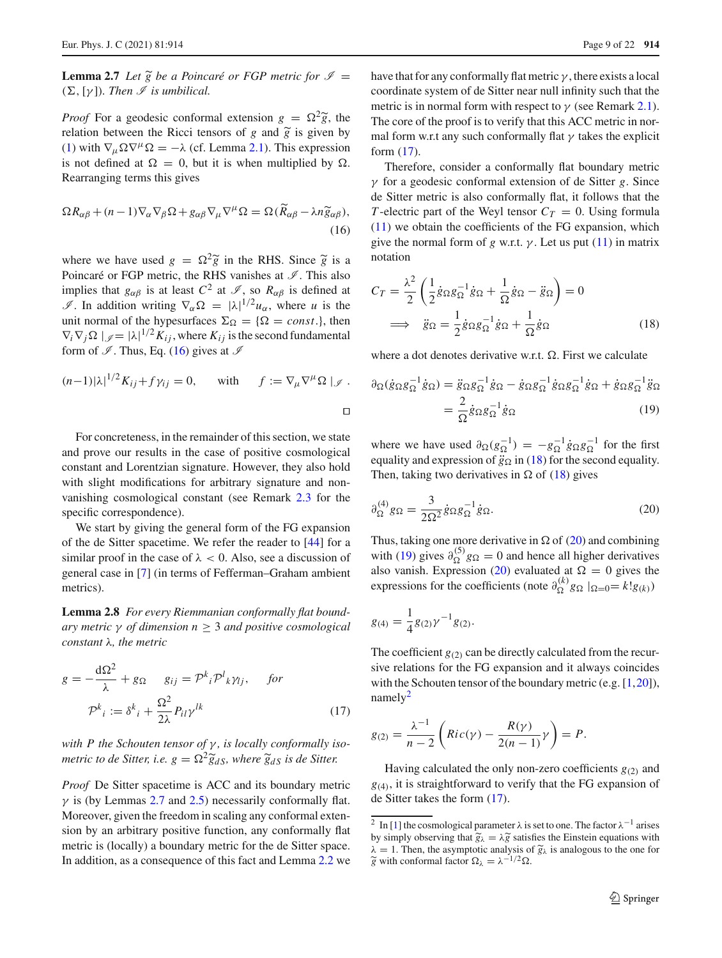**Lemma 2.7** *Let*  $\widetilde{g}$  *be a Poincaré or FGP metric for*  $\mathscr{I}$  =  $(\Sigma, [\gamma])$ *. Then I is umbilical.* **Lemma 2.7** Let  $\tilde{g}$  be a Poincaré or FGP metric for  $\mathcal{I} = (\Sigma, [\gamma])$ . Then  $\mathcal{I}$  is umbilical.<br>*Proof* For a geodesic conformal extension  $g = \Omega^2 \tilde{g}$ , the

( $\Sigma$ , [ $\gamma$ ]). Then  $\Im$  is umbilical.<br>Proof For a geodesic conformal extension *g* relation between the Ricci tensors of *g* and  $\widetilde{g}$ relation between the Ricci tensors of g and  $\tilde{g}$  is given by [\(1\)](#page-3-6) with  $\nabla_{\mu} \Omega \nabla^{\mu} \Omega = -\lambda$  (cf. Lemma [2.1\)](#page-4-1). This expression is not defined at  $\Omega = 0$ , but it is when multiplied by  $\Omega$ .<br>Rearranging terms this gives<br> $\Omega R_{\alpha\beta} + (n-1)\nabla_{\alpha}\nabla_{\beta}\Omega + g_{\alpha\beta}\nabla_{\mu}\nabla^{\mu}\Omega = \Omega(\tilde{R}_{\alpha\beta} - \lambda n \tilde{g}_{\alpha\beta}),$ Rearranging terms this gives

<span id="page-8-1"></span>
$$
\Omega R_{\alpha\beta} + (n-1)\nabla_{\alpha}\nabla_{\beta}\Omega + g_{\alpha\beta}\nabla_{\mu}\nabla^{\mu}\Omega = \Omega(\widetilde{R}_{\alpha\beta} - \lambda n \widetilde{g}_{\alpha\beta}),
$$
\n(16)  
\nwhere we have used  $g = \Omega^2 \widetilde{g}$  in the RHS. Since  $\widetilde{g}$  is a

Poincaré or FGP metric, the RHS vanishes at  $\mathscr{I}$ . This also implies that  $g_{\alpha\beta}$  is at least  $C^2$  at  $\mathcal{I}$ , so  $R_{\alpha\beta}$  is defined at *I*. In addition writing  $\nabla_{\alpha} \Omega = |\lambda|^{1/2} u_{\alpha}$ , where *u* is the unit normal of the hypesurfaces  $\Sigma_{\Omega} = {\Omega = const.}$ , then  $\nabla_i \nabla_j \Omega \mid_{\mathscr{I}} = |\lambda|^{1/2} K_{ij}$ , where  $K_{ij}$  is the second fundamental form of  $\mathcal{I}$ . Thus, Eq. [\(16\)](#page-8-1) gives at  $\mathcal{I}$ 

$$
(n-1)|\lambda|^{1/2}K_{ij} + f\gamma_{ij} = 0, \quad \text{with} \quad f := \nabla_{\mu}\nabla^{\mu}\Omega \mid_{\mathscr{I}}.
$$

For concreteness, in the remainder of this section, we state and prove our results in the case of positive cosmological constant and Lorentzian signature. However, they also hold with slight modifications for arbitrary signature and nonvanishing cosmological constant (see Remark [2.3](#page-9-2) for the specific correspondence).

We start by giving the general form of the FG expansion of the de Sitter spacetime. We refer the reader to [\[44\]](#page-21-19) for a similar proof in the case of  $\lambda < 0$ . Also, see a discussion of general case in [\[7](#page-20-12)] (in terms of Fefferman–Graham ambient metrics).

<span id="page-8-0"></span>**Lemma 2.8** *For every Riemmanian conformally flat boundary metric* γ *of dimension n* ≥ 3 *and positive cosmological constant* λ*, the metric*

$$
g = -\frac{d\Omega^2}{\lambda} + g_{\Omega} \qquad g_{ij} = \mathcal{P}^k_i \mathcal{P}^l_k \gamma_{lj}, \qquad \text{for}
$$

$$
\mathcal{P}^k_i := \delta^k_i + \frac{\Omega^2}{2\lambda} P_{il} \gamma^{lk} \tag{17}
$$

*with P the Schouten tensor of* γ *, is locally conformally iso-* $\mathcal{P}^{k}{}_{i} := \delta^{k}{}_{i} + \frac{1}{2\lambda} P_{il} \gamma^{lk}$ <br>with *P* the Schouten tensor of  $\gamma$ , is locally and the Sitter, i.e.  $g = \Omega^{2} \tilde{g}_{dS}$ , where  $\tilde{g}_{dS}$ *metric to de Sitter, i.e.*  $g = \Omega^2 \tilde{g}_{dS}$ *, where*  $\tilde{g}_{dS}$  *is de Sitter.* 

*Proof* De Sitter spacetime is ACC and its boundary metric  $\gamma$  is (by Lemmas [2.7](#page-7-0) and [2.5\)](#page-7-1) necessarily conformally flat. Moreover, given the freedom in scaling any conformal extension by an arbitrary positive function, any conformally flat metric is (locally) a boundary metric for the de Sitter space. In addition, as a consequence of this fact and Lemma [2.2](#page-5-4) we have that for any conformally flat metric  $\gamma$ , there exists a local coordinate system of de Sitter near null infinity such that the metric is in normal form with respect to  $\gamma$  (see Remark [2.1\)](#page-5-5). The core of the proof is to verify that this ACC metric in normal form w.r.t any such conformally flat  $\gamma$  takes the explicit form [\(17\)](#page-8-2).

Therefore, consider a conformally flat boundary metric γ for a geodesic conformal extension of de Sitter *g*. Since de Sitter metric is also conformally flat, it follows that the *T*-electric part of the Weyl tensor  $C_T = 0$ . Using formula [\(11\)](#page-6-2) we obtain the coefficients of the FG expansion, which give the normal form of *g* w.r.t.  $\gamma$ . Let us put [\(11\)](#page-6-2) in matrix notation

<span id="page-8-3"></span>
$$
C_T = \frac{\lambda^2}{2} \left( \frac{1}{2} \dot{g}_{\Omega} g_{\Omega}^{-1} \dot{g}_{\Omega} + \frac{1}{\Omega} \dot{g}_{\Omega} - \ddot{g}_{\Omega} \right) = 0
$$
  

$$
\implies \ddot{g}_{\Omega} = \frac{1}{2} \dot{g}_{\Omega} g_{\Omega}^{-1} \dot{g}_{\Omega} + \frac{1}{\Omega} \dot{g}_{\Omega}
$$
(18)

where a dot denotes derivative w.r.t.  $\Omega$ . First we calculate

<span id="page-8-5"></span>
$$
\partial_{\Omega}(\dot{g}_{\Omega}g_{\Omega}^{-1}\dot{g}_{\Omega}) = \ddot{g}_{\Omega}g_{\Omega}^{-1}\dot{g}_{\Omega} - \dot{g}_{\Omega}g_{\Omega}^{-1}\dot{g}_{\Omega}g_{\Omega}^{-1}\dot{g}_{\Omega} + \dot{g}_{\Omega}g_{\Omega}^{-1}\ddot{g}_{\Omega}
$$

$$
= \frac{2}{\Omega}\dot{g}_{\Omega}g_{\Omega}^{-1}\dot{g}_{\Omega}
$$
(19)

<span id="page-8-4"></span>where we have used  $\partial_{\Omega}(g_{\Omega}^{-1}) = -g_{\Omega}^{-1} \dot{g}_{\Omega} g_{\Omega}^{-1}$  for the first equality and expression of  $\ddot{g}_{\Omega}$  in [\(18\)](#page-8-3) for the second equality. Then, taking two derivatives in  $\Omega$  of [\(18\)](#page-8-3) gives

$$
\partial_{\Omega}^{(4)} g_{\Omega} = \frac{3}{2\Omega^2} \dot{g}_{\Omega} g_{\Omega}^{-1} \dot{g}_{\Omega}.
$$
 (20)

Thus, taking one more derivative in  $\Omega$  of [\(20\)](#page-8-4) and combining with [\(19\)](#page-8-5) gives  $\partial_{\Omega}^{(5)} g_{\Omega} = 0$  and hence all higher derivatives also vanish. Expression [\(20\)](#page-8-4) evaluated at  $\Omega = 0$  gives the expressions for the coefficients (note  $\partial_{\Omega}^{(k)} g_{\Omega} |_{\Omega=0} = k! g_{(k)}$ )

$$
g_{(4)} = \frac{1}{4}g_{(2)}\gamma^{-1}g_{(2)}.
$$

<span id="page-8-2"></span>The coefficient  $g_{(2)}$  can be directly calculated from the recursive relations for the FG expansion and it always coincides with the Schouten tensor of the boundary metric (e.g. [\[1](#page-20-13)[,20](#page-21-18)]),  $namely<sup>2</sup>$ 

$$
g_{(2)} = \frac{\lambda^{-1}}{n-2} \left( Ric(\gamma) - \frac{R(\gamma)}{2(n-1)} \gamma \right) = P.
$$

Having calculated the only non-zero coefficients  $g_{(2)}$  and  $g<sub>(4)</sub>$ , it is straightforward to verify that the FG expansion of de Sitter takes the form [\(17\)](#page-8-2).

<span id="page-8-6"></span><sup>&</sup>lt;sup>2</sup> In [\[1\]](#page-20-13) the cosmological parameter  $\lambda$  is set to one. The factor  $\lambda^{-1}$  arises de Sitter takes the form (17).<br>  $\frac{1}{2}$  In [1] the cosmological paramete<br>
by simply observing that  $\tilde{g}_{\lambda} = \lambda \tilde{g}$ by simply observing that  $\widetilde{g}_{\lambda} = \lambda \widetilde{g}$  satisfies the Einstein equations with <sup>2</sup> In [1] the cosmological parameter  $\lambda$  is set to one. The factor  $\lambda^{-1}$  arises<br>by simply observing that  $\tilde{g}_{\lambda} = \lambda \tilde{g}$  satisfies the Einstein equations with<br> $\lambda = 1$ . Then, the asymptotic analysis of  $\tilde{g}_{\lambda}$  $\overline{2}$  $\widetilde{g}$  with conformal factor  $\Omega_{\lambda} = \lambda^{-1/2} \Omega$ .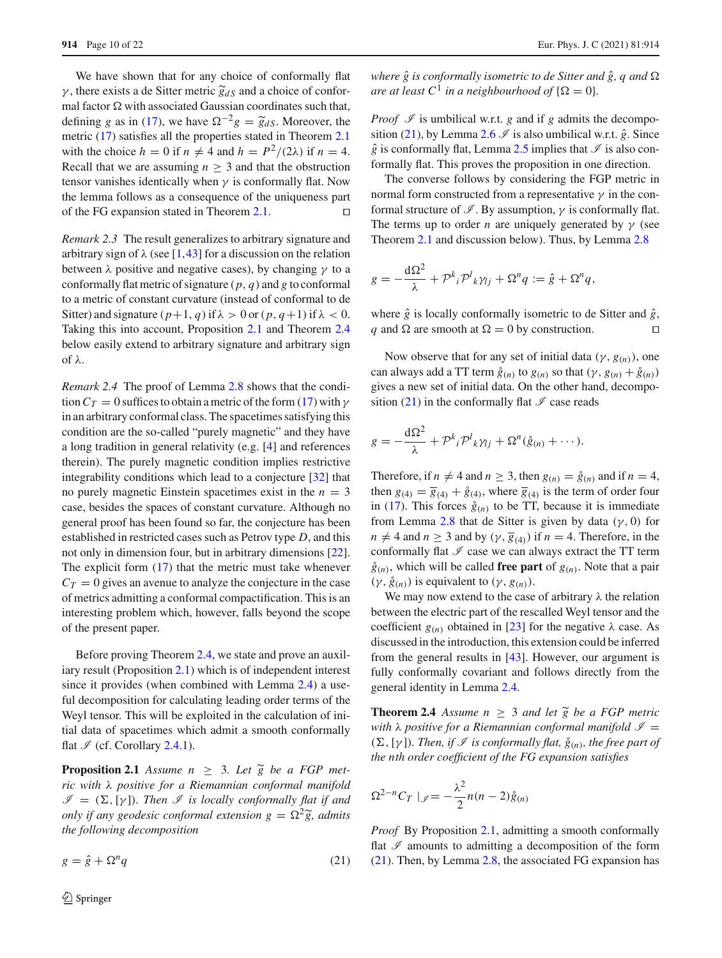We have shown that for any choice of conformally flat 914 Page 10 of 22<br>We have shown that for any choice of conformally flat  $γ$ , there exists a de Sitter metric  $\tilde{g}_{dS}$  and a choice of conformal factor  $\Omega$  with associated Gaussian coordinates such that, We have shown that for any choice of conformally flat  $\gamma$ , there exists a de Sitter metric  $\tilde{g}_{dS}$  and a choice of conformal factor  $\Omega$  with associated Gaussian coordinates such that, defining *g* as in [\(17\)](#page-8-2), we hav metric [\(17\)](#page-8-2) satisfies all the properties stated in Theorem [2.1](#page-4-0) with the choice  $h = 0$  if  $n \neq 4$  and  $h = P^2/(2\lambda)$  if  $n = 4$ . Recall that we are assuming  $n > 3$  and that the obstruction tensor vanishes identically when  $\gamma$  is conformally flat. Now the lemma follows as a consequence of the uniqueness part of the FG expansion stated in Theorem [2.1.](#page-4-0)

<span id="page-9-2"></span>*Remark 2.3* The result generalizes to arbitrary signature and arbitrary sign of  $\lambda$  (see [\[1](#page-20-13),[43](#page-21-8)] for a discussion on the relation between  $\lambda$  positive and negative cases), by changing  $\gamma$  to a conformally flat metric of signature (*p*, *q*) and *g* to conformal to a metric of constant curvature (instead of conformal to de Sitter) and signature  $(p+1, q)$  if  $\lambda > 0$  or  $(p, q+1)$  if  $\lambda < 0$ . Taking this into account, Proposition [2.1](#page-9-1) and Theorem [2.4](#page-9-0) below easily extend to arbitrary signature and arbitrary sign of λ.

<span id="page-9-4"></span>*Remark 2.4* The proof of Lemma [2.8](#page-8-0) shows that the condition  $C_T = 0$  suffices to obtain a metric of the form [\(17\)](#page-8-2) with  $\gamma$ in an arbitrary conformal class. The spacetimes satisfying this condition are the so-called "purely magnetic" and they have a long tradition in general relativity (e.g. [\[4](#page-20-9)] and references therein). The purely magnetic condition implies restrictive integrability conditions which lead to a conjecture [\[32](#page-21-9)] that no purely magnetic Einstein spacetimes exist in the  $n = 3$ case, besides the spaces of constant curvature. Although no general proof has been found so far, the conjecture has been established in restricted cases such as Petrov type *D*, and this not only in dimension four, but in arbitrary dimensions [\[22](#page-21-20)]. The explicit form [\(17\)](#page-8-2) that the metric must take whenever  $C_T = 0$  gives an avenue to analyze the conjecture in the case of metrics admitting a conformal compactification. This is an interesting problem which, however, falls beyond the scope of the present paper.

Before proving Theorem [2.4,](#page-9-0) we state and prove an auxiliary result (Proposition [2.1\)](#page-9-1) which is of independent interest since it provides (when combined with Lemma [2.4\)](#page-6-0) a useful decomposition for calculating leading order terms of the Weyl tensor. This will be exploited in the calculation of initial data of spacetimes which admit a smooth conformally flat  $\mathcal{I}$  (cf. Corollary [2.4.1\)](#page-10-0).

<span id="page-9-1"></span>**Proposition 2.1** *Assume n*  $\geq$  3*. Let*  $\tilde{g}$  *be a FGP met-*<br>*Proposition 2.1 Assume n*  $\geq$  3*. Let*  $\tilde{g}$  *be a FGP met-*<br>*ric with*  $\lambda$  *positive for a Riemannian conformal manifold*<br> $\mathcal{I} = (\Sigma, [\gamma])$ *. Th ric with* λ *positive for a Riemannian conformal manifold*  $\mathscr{I} = (\Sigma, [\gamma])$ *. Then*  $\mathscr{I}$  *is locally conformally flat if and only if any geodesic conformal extension*  $g = \Omega^2 \tilde{g}$ *, admits the following decomposition*

<span id="page-9-3"></span> $g = \hat{g} + \Omega^n q$  (21)

*where*  $\hat{g}$  *is conformally isometric to de Sitter and*  $\hat{g}$ *, q and*  $\Omega$ *are at least*  $C^1$  *in a neighbourhood of*  $\{\Omega = 0\}$ *.* 

*Proof*  $\mathcal I$  is umbilical w.r.t. *g* and if *g* admits the decompo-sition [\(21\)](#page-9-3), by Lemma [2.6](#page-7-2)  $\Im$  is also umbilical w.r.t.  $\hat{g}$ . Since  $\hat{g}$  is conformally flat, Lemma [2.5](#page-7-1) implies that  $\mathscr I$  is also conformally flat. This proves the proposition in one direction.

The converse follows by considering the FGP metric in normal form constructed from a representative  $\gamma$  in the conformal structure of  $\mathcal{I}$ . By assumption,  $\gamma$  is conformally flat. The terms up to order *n* are uniquely generated by  $\gamma$  (see Theorem [2.1](#page-4-0) and discussion below). Thus, by Lemma [2.8](#page-8-0)

$$
g = -\frac{\mathrm{d}\Omega^2}{\lambda} + \mathcal{P}^k{}_i \mathcal{P}^l{}_k \gamma_{lj} + \Omega^n q := \hat{g} + \Omega^n q,
$$

where  $\hat{g}$  is locally conformally isometric to de Sitter and  $\hat{g}$ , *q* and  $\Omega$  are smooth at  $\Omega = 0$  by construction.

Now observe that for any set of initial data ( $\gamma$ ,  $g(n)$ ), one can always add a TT term  $\hat{g}_{(n)}$  to  $g_{(n)}$  so that  $(\gamma, g_{(n)} + \hat{g}_{(n)})$ gives a new set of initial data. On the other hand, decompo-sition [\(21\)](#page-9-3) in the conformally flat  $\mathscr I$  case reads

$$
g = -\frac{\mathrm{d}\Omega^2}{\lambda} + \mathcal{P}^k{}_i \mathcal{P}^l{}_k \gamma_{lj} + \Omega^n(\mathring{g}_{(n)} + \cdots).
$$

Therefore, if  $n \neq 4$  and  $n \geq 3$ , then  $g(n) = \hat{g}(n)$  and if  $n = 4$ , then  $g_{(4)} = \overline{g}_{(4)} + \overset{\circ}{g}_{(4)}$ , where  $\overline{g}_{(4)}$  is the term of order four in [\(17\)](#page-8-2). This forces  $\hat{g}_{(n)}$  to be TT, because it is immediate from Lemma [2.8](#page-8-0) that de Sitter is given by data ( $\gamma$ , 0) for  $n \neq 4$  and  $n \geq 3$  and by  $(\gamma, \overline{g}_{(4)})$  if  $n = 4$ . Therefore, in the conformally flat  $I$  case we can always extract the TT term  $\hat{g}(n)$ , which will be called **free part** of  $g(n)$ . Note that a pair  $(\gamma, \dot{g}_{(n)})$  is equivalent to  $(\gamma, g_{(n)})$ .

We may now extend to the case of arbitrary  $\lambda$  the relation between the electric part of the rescalled Weyl tensor and the coefficient  $g_{(n)}$  obtained in [\[23](#page-21-0)] for the negative  $\lambda$  case. As discussed in the introduction, this extension could be inferred from the general results in [\[43](#page-21-8)]. However, our argument is fully conformally covariant and follows directly from the general identity in Lemma [2.4.](#page-6-0) Folly conformally covariant and follows directly from the general identity in Lemma 2.4.<br>**Theorem 2.4** *Assume n*  $\geq$  3 *and let*  $\tilde{g}$  *be a FGP metric* 

<span id="page-9-0"></span>*with*  $\lambda$  *positive for a Riemannian conformal manifold*  $\mathcal{I}$  =  $(\Sigma, [\gamma])$ *. Then, if*  $\mathscr I$  *is conformally flat,*  $\mathring g_{(n)}$ *, the free part of the nth order coefficient of the FG expansion satisfies*

$$
\Omega^{2-n}C_T \mid_{\mathscr{I}} = -\frac{\lambda^2}{2}n(n-2)\mathring{g}_{(n)}
$$

*Proof* By Proposition [2.1,](#page-9-1) admitting a smooth conformally flat  $I$  amounts to admitting a decomposition of the form [\(21\)](#page-9-3). Then, by Lemma [2.8,](#page-8-0) the associated FG expansion has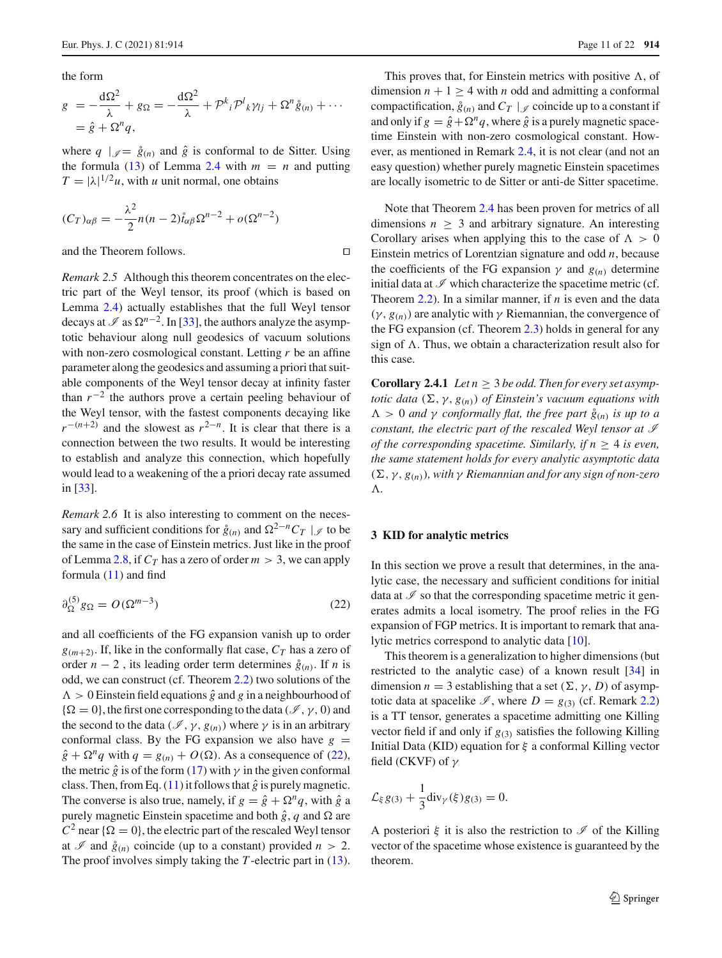the form

$$
g = -\frac{\mathrm{d}\Omega^2}{\lambda} + g_{\Omega} = -\frac{\mathrm{d}\Omega^2}{\lambda} + \mathcal{P}^k{}_i \mathcal{P}^l{}_k \gamma_{lj} + \Omega^n \mathring{g}_{(n)} + \cdots
$$
  
=  $\hat{g} + \Omega^n q$ ,

where  $q \mid \mathcal{J} = \hat{g}(n)$  and  $\hat{g}$  is conformal to de Sitter. Using the formula [\(13\)](#page-6-4) of Lemma [2.4](#page-6-0) with  $m = n$  and putting  $T = |\lambda|^{1/2} u$ , with *u* unit normal, one obtains

$$
(C_T)_{\alpha\beta} = -\frac{\lambda^2}{2}n(n-2)\hat{t}_{\alpha\beta}\Omega^{n-2} + o(\Omega^{n-2})
$$

and the Theorem follows.

*Remark 2.5* Although this theorem concentrates on the electric part of the Weyl tensor, its proof (which is based on Lemma [2.4\)](#page-6-0) actually establishes that the full Weyl tensor decays at  $\mathcal I$  as  $\Omega^{n-2}$ . In [\[33\]](#page-21-21), the authors analyze the asymptotic behaviour along null geodesics of vacuum solutions with non-zero cosmological constant. Letting *r* be an affine parameter along the geodesics and assuming a priori that suitable components of the Weyl tensor decay at infinity faster than  $r^{-2}$  the authors prove a certain peeling behaviour of the Weyl tensor, with the fastest components decaying like  $r^{-(n+2)}$  and the slowest as  $r^{2-n}$ . It is clear that there is a connection between the two results. It would be interesting to establish and analyze this connection, which hopefully would lead to a weakening of the a priori decay rate assumed in [\[33\]](#page-21-21).

*Remark 2.6* It is also interesting to comment on the necessary and sufficient conditions for  $\hat{g}_{(n)}$  and  $\Omega^{2-n}C_T \mid \mathcal{J}$  to be the same in the case of Einstein metrics. Just like in the proof of Lemma [2.8,](#page-8-0) if  $C_T$  has a zero of order  $m > 3$ , we can apply formula [\(11\)](#page-6-2) and find

<span id="page-10-2"></span>
$$
\partial_{\Omega}^{(5)} g_{\Omega} = O(\Omega^{m-3})
$$
\n(22)

and all coefficients of the FG expansion vanish up to order  $g_{(m+2)}$ . If, like in the conformally flat case,  $C_T$  has a zero of order  $n - 2$ , its leading order term determines  $\hat{g}(n)$ . If *n* is odd, we can construct (cf. Theorem [2.2\)](#page-4-2) two solutions of the  $\Lambda > 0$  Einstein field equations  $\hat{g}$  and *g* in a neighbourhood of  $\{\Omega = 0\}$ , the first one corresponding to the data ( $\mathcal{I}$ ,  $\gamma$ , 0) and the second to the data ( $\mathcal{I}, \gamma, g(n)$ ) where  $\gamma$  is in an arbitrary conformal class. By the FG expansion we also have  $g =$  $\hat{g} + \Omega^n q$  with  $q = g_{(n)} + O(\Omega)$ . As a consequence of [\(22\)](#page-10-2), the metric  $\hat{g}$  is of the form [\(17\)](#page-8-2) with  $\gamma$  in the given conformal class. Then, from Eq.  $(11)$  it follows that  $\hat{g}$  is purely magnetic. The converse is also true, namely, if  $g = \hat{g} + \Omega^n q$ , with  $\hat{g}$  a purely magnetic Einstein spacetime and both  $\hat{g}$ , *q* and  $\Omega$  are  $C^2$  near  $\{\Omega = 0\}$ , the electric part of the rescaled Weyl tensor at  $\mathcal I$  and  $\hat{g}_{(n)}$  coincide (up to a constant) provided  $n > 2$ . The proof involves simply taking the *T*-electric part in [\(13\)](#page-6-4).

This proves that, for Einstein metrics with positive  $\Lambda$ , of dimension  $n + 1 \geq 4$  with *n* odd and admitting a conformal compactification,  $\hat{g}_{(n)}$  and  $C_T \mid \mathcal{J}$  coincide up to a constant if and only if  $g = \hat{g} + \Omega^n q$ , where  $\hat{g}$  is a purely magnetic spacetime Einstein with non-zero cosmological constant. However, as mentioned in Remark [2.4,](#page-9-4) it is not clear (and not an easy question) whether purely magnetic Einstein spacetimes are locally isometric to de Sitter or anti-de Sitter spacetime.

Note that Theorem [2.4](#page-9-0) has been proven for metrics of all dimensions  $n \geq 3$  and arbitrary signature. An interesting Corollary arises when applying this to the case of  $\Lambda > 0$ Einstein metrics of Lorentzian signature and odd *n*, because the coefficients of the FG expansion  $\gamma$  and  $g_{(n)}$  determine initial data at  $\mathscr I$  which characterize the spacetime metric (cf. Theorem [2.2\)](#page-4-2). In a similar manner, if *n* is even and the data  $(\gamma, g_{(n)})$  are analytic with  $\gamma$  Riemannian, the convergence of the FG expansion (cf. Theorem [2.3\)](#page-4-3) holds in general for any sign of  $\Lambda$ . Thus, we obtain a characterization result also for this case.

<span id="page-10-0"></span>**Corollary 2.4.1** *Let*  $n \geq 3$  *be odd. Then for every set asymptotic data*  $(\Sigma, \gamma, g_{(n)})$  *of Einstein's vacuum equations with*  $Λ > 0$  *and* γ *conformally flat, the free part*  $\hat{g}_{(n)}$  *is up to a constant, the electric part of the rescaled Weyl tensor at I of the corresponding spacetime. Similarly, if n* ≥ 4 *is even, the same statement holds for every analytic asymptotic data*  $(\Sigma, \gamma, g_{(n)})$ , with  $\gamma$  Riemannian and for any sign of non-zero -*.*

#### <span id="page-10-1"></span>**3 KID for analytic metrics**

In this section we prove a result that determines, in the analytic case, the necessary and sufficient conditions for initial data at  $\mathscr I$  so that the corresponding spacetime metric it generates admits a local isometry. The proof relies in the FG expansion of FGP metrics. It is important to remark that analytic metrics correspond to analytic data [\[10\]](#page-20-7).

This theorem is a generalization to higher dimensions (but restricted to the analytic case) of a known result [\[34\]](#page-21-10) in dimension  $n = 3$  establishing that a set  $(\Sigma, \gamma, D)$  of asymptotic data at spacelike  $\mathcal{I}$ , where  $D = g_{(3)}$  (cf. Remark [2.2\)](#page-6-7) is a TT tensor, generates a spacetime admitting one Killing vector field if and only if  $g_{(3)}$  satisfies the following Killing Initial Data (KID) equation for  $\xi$  a conformal Killing vector field (CKVF) of  $\gamma$ 

$$
\mathcal{L}_{\xi} g_{(3)} + \frac{1}{3} \text{div}_{\gamma}(\xi) g_{(3)} = 0.
$$

A posteriori  $\xi$  it is also the restriction to  $\mathscr I$  of the Killing vector of the spacetime whose existence is guaranteed by the theorem.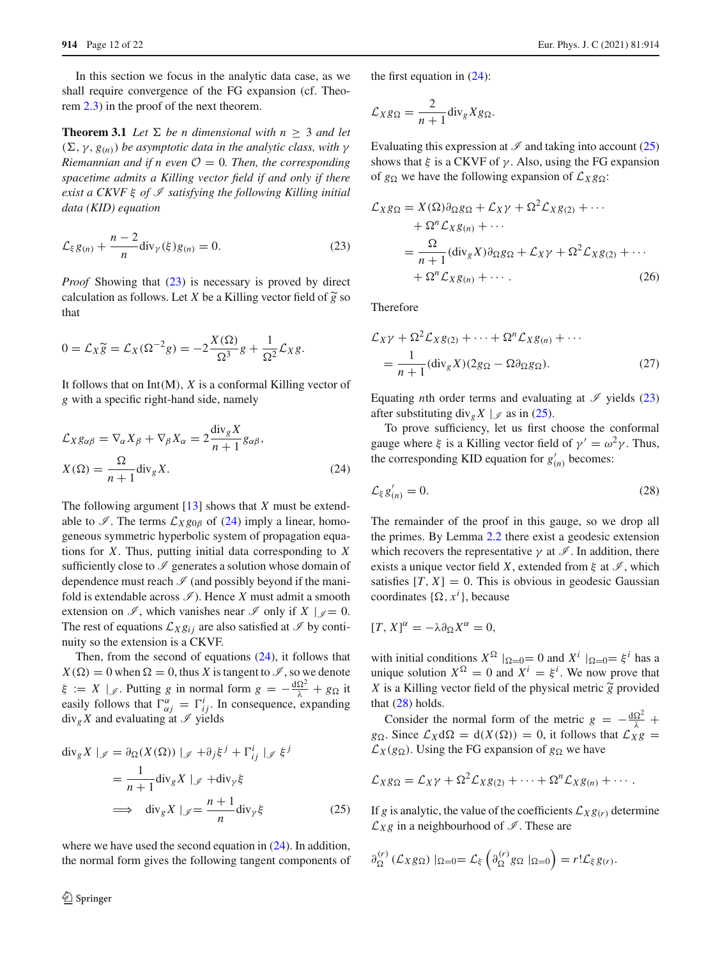In this section we focus in the analytic data case, as we shall require convergence of the FG expansion (cf. Theorem [2.3\)](#page-4-3) in the proof of the next theorem.

**Theorem 3.1** *Let*  $\Sigma$  *be n dimensional with*  $n \geq 3$  *and let*  $(\Sigma, \gamma, g_{(n)})$  *be asymptotic data in the analytic class, with*  $\gamma$ *Riemannian and if n even*  $\mathcal{O} = 0$ *. Then, the corresponding spacetime admits a Killing vector field if and only if there exist a CKVF* ξ *of I satisfying the following Killing initial data (KID) equation*

<span id="page-11-0"></span>
$$
\mathcal{L}_{\xi} g_{(n)} + \frac{n-2}{n} \text{div}_{\gamma}(\xi) g_{(n)} = 0.
$$
 (23)

*Proof* Showing that [\(23\)](#page-11-0) is necessary is proved by direct  $L_{\xi}g_{(n)} + \frac{1}{n} \text{div}_{\gamma}(\xi)g_{(n)} = 0.$  (2)<br>*Proof* Showing that (23) is necessary is proved by direcalculation as follows. Let *X* be a Killing vector field of  $\tilde{g}$ calculation as follows. Let *X* be a Killing vector field of  $\tilde{g}$  so<br>that<br> $0 = \mathcal{L}_X \tilde{g} = \mathcal{L}_X(\Omega^{-2}g) = -2\frac{X(\Omega)}{\Omega^3}g + \frac{1}{\Omega^2}\mathcal{L}_Xg.$ that

$$
0 = \mathcal{L}_X \widetilde{g} = \mathcal{L}_X(\Omega^{-2}g) = -2\frac{X(\Omega)}{\Omega^3}g + \frac{1}{\Omega^2}\mathcal{L}_Xg.
$$

It follows that on Int(M), *X* is a conformal Killing vector of *g* with a specific right-hand side, namely

$$
\mathcal{L}_{X}g_{\alpha\beta} = \nabla_{\alpha}X_{\beta} + \nabla_{\beta}X_{\alpha} = 2\frac{\text{div}_{g}X}{n+1}g_{\alpha\beta},
$$

$$
X(\Omega) = \frac{\Omega}{n+1}\text{div}_{g}X.
$$
(24)

The following argument [\[13\]](#page-20-4) shows that *X* must be extendable to  $\mathcal{I}$ . The terms  $\mathcal{L}_{X}g_{0\beta}$  of [\(24\)](#page-11-1) imply a linear, homogeneous symmetric hyperbolic system of propagation equations for *X*. Thus, putting initial data corresponding to *X* sufficiently close to  $\mathscr I$  generates a solution whose domain of dependence must reach  $\mathcal I$  (and possibly beyond if the manifold is extendable across  $\mathscr{I}$ ). Hence *X* must admit a smooth extension on  $\mathscr{I}$ , which vanishes near  $\mathscr{I}$  only if  $X \mid \mathscr{I} = 0$ . The rest of equations  $\mathcal{L}_X g_{ij}$  are also satisfied at  $\mathcal I$  by continuity so the extension is a CKVF.

Then, from the second of equations  $(24)$ , it follows that  $X(\Omega) = 0$  when  $\Omega = 0$ , thus *X* is tangent to  $\mathcal{I}$ , so we denote  $\xi := X \mid \mathcal{J}$ . Putting *g* in normal form  $g = -\frac{d\Omega^2}{\lambda} + g\Omega$  it easily follows that  $\Gamma^{\alpha}_{\alpha j} = \Gamma^i_{ij}$ . In consequence, expanding  $div_g X$  and evaluating at  $\mathscr I$  yields

$$
\operatorname{div}_{g} X \mid_{\mathscr{J}} = \partial_{\Omega} (X(\Omega)) \mid_{\mathscr{J}} + \partial_{j} \xi^{j} + \Gamma_{ij}^{i} \mid_{\mathscr{J}} \xi^{j}
$$

$$
= \frac{1}{n+1} \operatorname{div}_{g} X \mid_{\mathscr{J}} + \operatorname{div}_{\gamma} \xi
$$

$$
\implies \operatorname{div}_{g} X \mid_{\mathscr{J}} = \frac{n+1}{n} \operatorname{div}_{\gamma} \xi \tag{25}
$$

where we have used the second equation in  $(24)$ . In addition, the normal form gives the following tangent components of <span id="page-11-4"></span>the first equation in [\(24\)](#page-11-1):

$$
\mathcal{L}_X g_{\Omega} = \frac{2}{n+1} \text{div}_g X g_{\Omega}.
$$

Evaluating this expression at  $\mathscr I$  and taking into account [\(25\)](#page-11-2) shows that  $\xi$  is a CKVF of  $\gamma$ . Also, using the FG expansion of  $g_{\Omega}$  we have the following expansion of  $\mathcal{L}_{X}g_{\Omega}$ :

<span id="page-11-5"></span>
$$
\mathcal{L}_{X}g_{\Omega} = X(\Omega)\partial_{\Omega}g_{\Omega} + \mathcal{L}_{X}\gamma + \Omega^{2}\mathcal{L}_{X}g_{(2)} + \cdots \n+ \Omega^{n}\mathcal{L}_{X}g_{(n)} + \cdots \n= \frac{\Omega}{n+1}(\text{div}_{g}X)\partial_{\Omega}g_{\Omega} + \mathcal{L}_{X}\gamma + \Omega^{2}\mathcal{L}_{X}g_{(2)} + \cdots \n+ \Omega^{n}\mathcal{L}_{X}g_{(n)} + \cdots
$$
\n(26)

Therefore

<span id="page-11-6"></span>
$$
\mathcal{L}_X \gamma + \Omega^2 \mathcal{L}_X g_{(2)} + \dots + \Omega^n \mathcal{L}_X g_{(n)} + \dots
$$
  
= 
$$
\frac{1}{n+1} (\text{div}_g X)(2g_{\Omega} - \Omega \partial_{\Omega} g_{\Omega}).
$$
 (27)

Equating *n*th order terms and evaluating at  $\mathcal{I}$  yields [\(23\)](#page-11-0) after substituting div<sub>g</sub> *X* |  $\mathcal{J}$  as in [\(25\)](#page-11-2).

<span id="page-11-3"></span><span id="page-11-1"></span>To prove sufficiency, let us first choose the conformal gauge where  $\xi$  is a Killing vector field of  $\gamma' = \omega^2 \gamma$ . Thus, the corresponding KID equation for  $g'_{(n)}$  becomes:

$$
\mathcal{L}_{\xi}g'_{(n)}=0.\tag{28}
$$

The remainder of the proof in this gauge, so we drop all the primes. By Lemma [2.2](#page-5-4) there exist a geodesic extension which recovers the representative  $\gamma$  at  $\mathscr I$ . In addition, there exists a unique vector field *X*, extended from  $\xi$  at  $\mathscr{I}$ , which satisfies  $[T, X] = 0$ . This is obvious in geodesic Gaussian coordinates  $\{\Omega, x^i\}$ , because

$$
[T, X]^{\alpha} = -\lambda \partial_{\Omega} X^{\alpha} = 0,
$$

with initial conditions  $X^{\Omega}$   $|_{\Omega=0}= 0$  and  $X^i$   $|_{\Omega=0} = \xi^i$  has a unique solution  $X^{\Omega} = 0$  and  $X^i = \xi^i$ . We now prove that with initial conditions  $X^{\Omega} |_{\Omega=0} = 0$  and  $X^{i} |_{\Omega=0} =$ <br>unique solution  $X^{\Omega} = 0$  and  $X^{i} = \xi^{i}$ . We now p<br>*X* is a Killing vector field of the physical metric  $\tilde{g}$ *X* is a Killing vector field of the physical metric  $\widetilde{g}$  provided that  $(28)$  holds.

Consider the normal form of the metric  $g = -\frac{d\Omega^2}{\lambda} +$  $g_{\Omega}$ . Since  $\mathcal{L}_X d\Omega = d(X(\Omega)) = 0$ , it follows that  $\mathcal{L}_X g$  $\mathcal{L}_X(g_{\Omega})$ . Using the FG expansion of  $g_{\Omega}$  we have

<span id="page-11-2"></span>
$$
\mathcal{L}_X g_{\Omega} = \mathcal{L}_X \gamma + \Omega^2 \mathcal{L}_X g_{(2)} + \cdots + \Omega^n \mathcal{L}_X g_{(n)} + \cdots
$$

If *g* is analytic, the value of the coefficients  $\mathcal{L}_{X}g(r)$  determine  $\mathcal{L}_{X}g$  in a neighbourhood of  $\mathcal{I}$ . These are

$$
\partial_{\Omega}^{(r)}\left(\mathcal{L}_{X}g_{\Omega}\right)|_{\Omega=0}=\mathcal{L}_{\xi}\left(\partial_{\Omega}^{(r)}g_{\Omega}||_{\Omega=0}\right)=r!\mathcal{L}_{\xi}g_{(r)}.
$$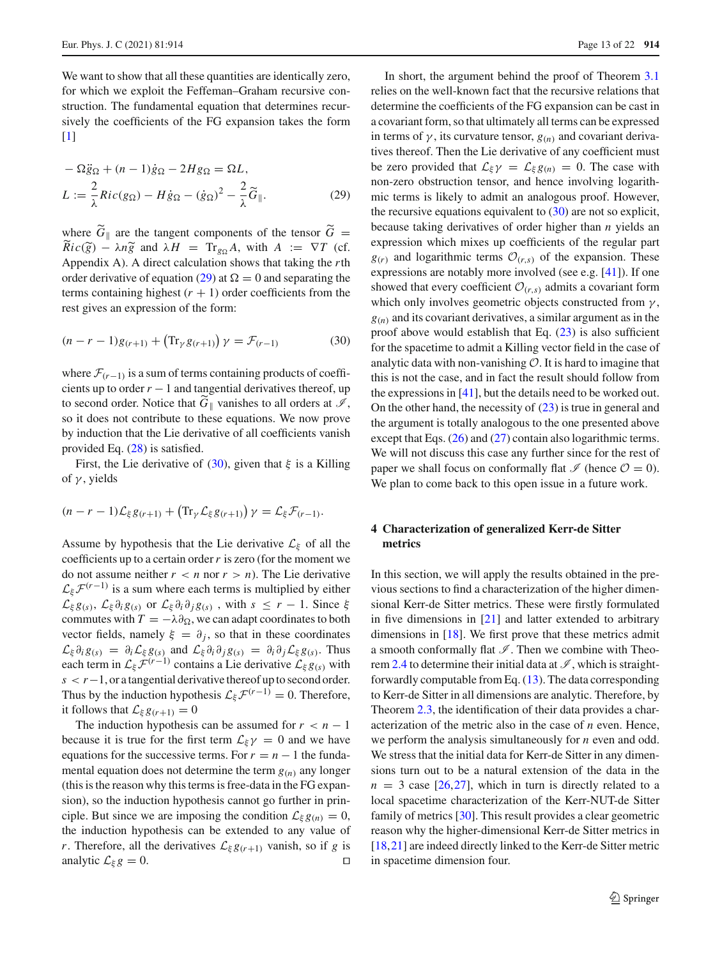We want to show that all these quantities are identically zero, for which we exploit the Feffeman–Graham recursive construction. The fundamental equation that determines recursively the coefficients of the FG expansion takes the form [\[1](#page-20-13)]

$$
-\Omega \ddot{g}_{\Omega} + (n-1)\dot{g}_{\Omega} - 2Hg_{\Omega} = \Omega L,
$$
  

$$
L := \frac{2}{\lambda} Ric(g_{\Omega}) - H\dot{g}_{\Omega} - (\dot{g}_{\Omega})^2 - \frac{2}{\lambda}\widetilde{G}_{\parallel}.
$$
 (29)

where  $G_{\parallel}$  are the tangent components of the tensor  $G =$  $L := \frac{1}{\lambda} Ric(g_{\Omega})$ <br>where  $\widetilde{G}_{\parallel}$  are  $\widetilde{Ric}(\widetilde{g}) - \lambda n \widetilde{g}$  $\widetilde{R}ic(\widetilde{g}) - \lambda n \widetilde{g}$  and  $\lambda H = \text{Tr}_{g}A$ , with  $A := \nabla T$  (cf. Appendix A). A direct calculation shows that taking the *r*th order derivative of equation [\(29\)](#page-12-1) at  $\Omega = 0$  and separating the terms containing highest  $(r + 1)$  order coefficients from the rest gives an expression of the form: (*n* − *r* − 1)*g*<sub>(*r*+1)</sub> + (*n* − *r* − 1)*g*<sub>(*r*+1)</sub> + (*n* 

<span id="page-12-2"></span>
$$
(n - r - 1)g_{(r+1)} + (\text{Tr}_{\gamma}g_{(r+1)})\gamma = \mathcal{F}_{(r-1)}
$$
(30)

where  $\mathcal{F}_{(r-1)}$  is a sum of terms containing products of coefficients up to order  $r - 1$  and tangential derivatives thereof, up to second order. Notice that  $G_{\parallel}$  vanishes to all orders at  $\mathcal{I}$ , so it does not contribute to these equations. We now prove by induction that the Lie derivative of all coefficients vanish provided Eq. [\(28\)](#page-11-3) is satisfied.

First, the Lie derivative of [\(30\)](#page-12-2), given that  $\xi$  is a Killing of  $\gamma$ , yields (*n* − *r* − 1) $\mathcal{L}_{\xi} g_{(r+1)} + (\text{Tr}_{\gamma} \mathcal{L}_{\xi} g_{(r+1)})$ <br>(*n* − *r* − 1) $\mathcal{L}_{\xi} g_{(r+1)} + (\text{Tr}_{\gamma} \mathcal{L}_{\xi} g_{(r+1)})$ 

$$
(n-r-1)\mathcal{L}_{\xi}g_{(r+1)}+\left(\text{Tr}_{\gamma}\mathcal{L}_{\xi}g_{(r+1)}\right)\gamma=\mathcal{L}_{\xi}\mathcal{F}_{(r-1)}.
$$

Assume by hypothesis that the Lie derivative  $\mathcal{L}_{\xi}$  of all the coefficients up to a certain order*r* is zero (for the moment we do not assume neither  $r < n$  nor  $r > n$ ). The Lie derivative  $\mathcal{L}_{\xi} \mathcal{F}^{(r-1)}$  is a sum where each terms is multiplied by either  $\mathcal{L}_{\xi} g_{(s)}$ ,  $\mathcal{L}_{\xi} \partial_i g_{(s)}$  or  $\mathcal{L}_{\xi} \partial_i \partial_j g_{(s)}$ , with  $s \leq r - 1$ . Since  $\xi$ commutes with  $T = -\lambda \partial_{\Omega}$ , we can adapt coordinates to both vector fields, namely  $\xi = \partial_i$ , so that in these coordinates  $\mathcal{L}_{\xi} \partial_i g_{(s)} = \partial_i \mathcal{L}_{\xi} g_{(s)}$  and  $\mathcal{L}_{\xi} \partial_i \partial_j g_{(s)} = \partial_i \partial_j \mathcal{L}_{\xi} g_{(s)}$ . Thus each term in  $\mathcal{L}_{\xi} \mathcal{F}^{(r-1)}$  contains a Lie derivative  $\mathcal{L}_{\xi} g_{(s)}$  with *s* < *r*−1, or a tangential derivative thereof up to second order. Thus by the induction hypothesis  $\mathcal{L}_{\xi} \mathcal{F}^{(r-1)} = 0$ . Therefore, it follows that  $\mathcal{L}_{\xi} g_{(r+1)} = 0$ 

The induction hypothesis can be assumed for  $r < n - 1$ because it is true for the first term  $\mathcal{L}_{\xi} \gamma = 0$  and we have equations for the successive terms. For  $r = n - 1$  the fundamental equation does not determine the term  $g(n)$  any longer (this is the reason why this terms is free-data in the FG expansion), so the induction hypothesis cannot go further in principle. But since we are imposing the condition  $\mathcal{L}_{\xi} g_{(n)} = 0$ , the induction hypothesis can be extended to any value of *r*. Therefore, all the derivatives  $\mathcal{L}_{\xi} g_{(r+1)}$  vanish, so if *g* is analytic  $\mathcal{L}_{\xi} g = 0$ .

<span id="page-12-1"></span>In short, the argument behind the proof of Theorem [3.1](#page-11-4) relies on the well-known fact that the recursive relations that determine the coefficients of the FG expansion can be cast in a covariant form, so that ultimately all terms can be expressed in terms of  $\gamma$ , its curvature tensor,  $g(n)$  and covariant derivatives thereof. Then the Lie derivative of any coefficient must be zero provided that  $\mathcal{L}_{\xi} \gamma = \mathcal{L}_{\xi} g_{(n)} = 0$ . The case with non-zero obstruction tensor, and hence involving logarithmic terms is likely to admit an analogous proof. However, the recursive equations equivalent to  $(30)$  are not so explicit, because taking derivatives of order higher than *n* yields an expression which mixes up coefficients of the regular part  $g(r)$  and logarithmic terms  $\mathcal{O}(r,s)$  of the expansion. These expressions are notably more involved (see e.g. [\[41](#page-21-22)]). If one showed that every coefficient  $O_{(r,s)}$  admits a covariant form which only involves geometric objects constructed from  $\gamma$ ,  $g(n)$  and its covariant derivatives, a similar argument as in the proof above would establish that Eq.  $(23)$  is also sufficient for the spacetime to admit a Killing vector field in the case of analytic data with non-vanishing *O*. It is hard to imagine that this is not the case, and in fact the result should follow from the expressions in [\[41](#page-21-22)], but the details need to be worked out. On the other hand, the necessity of [\(23\)](#page-11-0) is true in general and the argument is totally analogous to the one presented above except that Eqs. [\(26\)](#page-11-5) and [\(27\)](#page-11-6) contain also logarithmic terms. We will not discuss this case any further since for the rest of paper we shall focus on conformally flat  $\mathcal I$  (hence  $\mathcal O = 0$ ). We plan to come back to this open issue in a future work.

# <span id="page-12-0"></span>**4 Characterization of generalized Kerr-de Sitter metrics**

In this section, we will apply the results obtained in the previous sections to find a characterization of the higher dimensional Kerr-de Sitter metrics. These were firstly formulated in five dimensions in [\[21\]](#page-21-23) and latter extended to arbitrary dimensions in [\[18\]](#page-21-11). We first prove that these metrics admit a smooth conformally flat  $\mathscr I$ . Then we combine with Theo-rem [2.4](#page-9-0) to determine their initial data at  $\mathscr{I}$ , which is straightforwardly computable from Eq. [\(13\)](#page-6-4). The data corresponding to Kerr-de Sitter in all dimensions are analytic. Therefore, by Theorem [2.3,](#page-4-3) the identification of their data provides a characterization of the metric also in the case of *n* even. Hence, we perform the analysis simultaneously for *n* even and odd. We stress that the initial data for Kerr-de Sitter in any dimensions turn out to be a natural extension of the data in the  $n = 3$  case [\[26,](#page-21-12)[27\]](#page-21-13), which in turn is directly related to a local spacetime characterization of the Kerr-NUT-de Sitter family of metrics [\[30\]](#page-21-24). This result provides a clear geometric reason why the higher-dimensional Kerr-de Sitter metrics in [\[18](#page-21-11),[21\]](#page-21-23) are indeed directly linked to the Kerr-de Sitter metric in spacetime dimension four.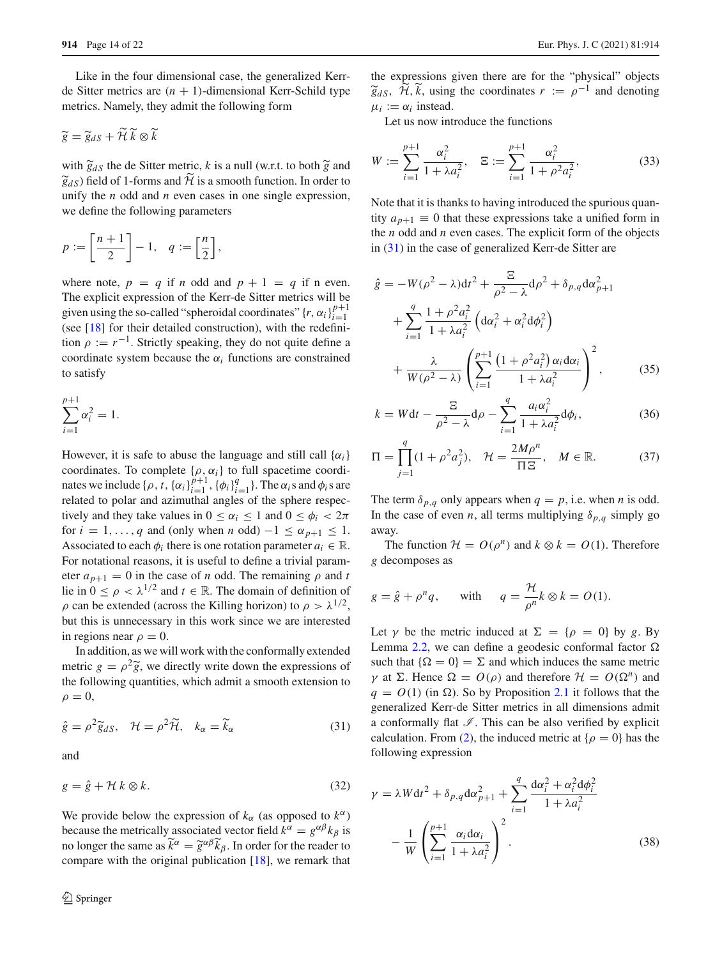Like in the four dimensional case, the generalized Kerrde Sitter metrics are  $(n + 1)$ -dimensional Kerr-Schild type metrics. Namely, they admit the following form de Sitter metrics are<br>metrics. Namely, the<br> $\widetilde{g} = \widetilde{g}_{dS} + \widetilde{H} \widetilde{k} \otimes \widetilde{k}$ 

$$
\widetilde{g} = \widetilde{g}_{dS} + \widetilde{\mathcal{H}} \,\widetilde{k} \otimes \widetilde{k}
$$

 $\widetilde{g} = \widetilde{g}_{dS} + \widetilde{H} \widetilde{k} \otimes \widetilde{k}$ <br>with  $\widetilde{g}_{dS}$  the de Sitter metric, *k* is a null (w.r.t. to both  $\widetilde{g}$  and  $\widetilde{g} = \widetilde{g}_{dS} + \widetilde{H} \widetilde{k} \otimes \widetilde{k}$ <br>with  $\widetilde{g}_{dS}$  the de Sitter metric<br> $\widetilde{g}_{dS}$ ) field of 1-forms and  $\widetilde{H}$ 1-forms and  $H$  is a smooth function. In order to unify the *n* odd and *n* even cases in one single expression, we define the following parameters  $\oint g_{dS}$ ) field of 1-forms and  $H$  is<br>unify the *n* odd and *n* even ca<br>we define the following param<br> $p := \left[\frac{n+1}{2}\right] - 1, \quad q := \left[\frac{n}{2}\right]$ 

$$
p := \left[\frac{n+1}{2}\right] - 1, \quad q := \left[\frac{n}{2}\right],
$$

where note,  $p = q$  if *n* odd and  $p + 1 = q$  if *n* even. The explicit expression of the Kerr-de Sitter metrics will be given using the so-called "spheroidal coordinates"  $\{r, \alpha_i\}_{i=1}^{p+1}$ *i*=1 (see  $[18]$  for their detailed construction), with the redefinition  $\rho := r^{-1}$ . Strictly speaking, they do not quite define a coordinate system because the  $\alpha_i$  functions are constrained to satisfy

$$
\sum_{i=1}^{p+1} \alpha_i^2 = 1.
$$

However, it is safe to abuse the language and still call  $\{\alpha_i\}$ coordinates. To complete  $\{\rho, \alpha_i\}$  to full spacetime coordinates we include  $\{\rho, t, \{\alpha_i\}_{i=1}^{p+1}, \{\phi_i\}_{i=1}^q\}$ . The  $\alpha_i$ s and  $\phi_i$ s are related to polar and azimuthal angles of the sphere respectively and they take values in  $0 \leq \alpha_i \leq 1$  and  $0 \leq \phi_i < 2\pi$ for  $i = 1, \ldots, q$  and (only when *n* odd)  $-1 \leq \alpha_{p+1} \leq 1$ . Associated to each  $\phi_i$  there is one rotation parameter  $a_i \in \mathbb{R}$ . For notational reasons, it is useful to define a trivial parameter  $a_{n+1} = 0$  in the case of *n* odd. The remaining  $\rho$  and *t* lie in  $0 \le \rho < \lambda^{1/2}$  and  $t \in \mathbb{R}$ . The domain of definition of  $\rho$  can be extended (across the Killing horizon) to  $\rho > \lambda^{1/2}$ , in regions near  $\rho = 0$ .

but this is unnecessary in this work since we are interested<br>in regions near  $\rho = 0$ .<br>In addition, as we will work with the conformally extended<br>metric  $g = \rho^2 \tilde{g}$ , we directly write down the expressions of In addition, as we will work with the conformally extended metric  $g = \rho^2 \tilde{g}$ , we directly write down the expressions of the following quantities, which admit a smooth extension to<br>  $\rho = 0$ ,<br>  $\hat{g} = \rho^2 \tilde{g}_{dS}$ ,  $\mathcal{H} = \rho^2 \tilde{\mathcal{H}}$ ,  $k_{\alpha} = \tilde{k}_{\alpha}$  (31)  $\rho = 0$ ,

<span id="page-13-3"></span><span id="page-13-0"></span>
$$
\hat{g} = \rho^2 \widetilde{g}_{dS}, \quad \mathcal{H} = \rho^2 \widetilde{\mathcal{H}}, \quad k_{\alpha} = \widetilde{k}_{\alpha} \tag{31}
$$

and

$$
g = \hat{g} + \mathcal{H} k \otimes k. \tag{32}
$$

We provide below the expression of  $k_\alpha$  (as opposed to  $k^\alpha$ ) because the metrically associated vector field  $k^{\alpha} = g^{\alpha\beta}k_{\beta}$  is We provide below the expression of  $k_{\alpha}$  (as opposed to  $k^{\alpha}$ )<br>because the metrically associated vector field  $k^{\alpha} = g^{\alpha\beta}k_{\beta}$  is<br>no longer the same as  $\tilde{k}^{\alpha} = \tilde{g}^{\alpha\beta}\tilde{k}_{\beta}$ . In order for the reader to compare with the original publication [\[18](#page-21-11)], we remark that

the expressions given there are for the "physical" objects *Eur. Phys. J. C (2021)* 81:914<br> *the expressions given there are for the "physical" objects*<br>  $\tilde{g}_{dS}$ ,  $\tilde{\mathcal{H}}$ ,  $\tilde{k}$ , using the coordinates  $r := \rho^{-1}$  and denoting

<span id="page-13-1"></span>Let us now introduce the functions

$$
\mu_i := \alpha_i \text{ instead.}
$$
  
Let us now introduce the functions  

$$
W := \sum_{i=1}^{p+1} \frac{\alpha_i^2}{1 + \lambda a_i^2}, \quad \Xi := \sum_{i=1}^{p+1} \frac{\alpha_i^2}{1 + \rho^2 a_i^2},
$$
(33)

Note that it is thanks to having introduced the spurious quantity  $a_{p+1} \equiv 0$  that these expressions take a unified form in the *n* odd and *n* even cases. The explicit form of the objects in [\(31\)](#page-13-0) in the case of generalized Kerr-de Sitter are

$$
\hat{g} = -W(\rho^2 - \lambda)dt^2 + \frac{\Xi}{\rho^2 - \lambda} d\rho^2 + \delta_{p,q} d\alpha_{p+1}^2
$$
  
+ 
$$
\sum_{i=1}^q \frac{1 + \rho^2 a_i^2}{1 + \lambda a_i^2} \left( d\alpha_i^2 + \alpha_i^2 d\phi_i^2 \right)
$$
  
+ 
$$
\frac{\lambda}{W(\rho^2 - \lambda)} \left( \sum_{i=1}^{p+1} \frac{\left( 1 + \rho^2 a_i^2 \right) \alpha_i d\alpha_i}{1 + \lambda a_i^2} \right)^2,
$$
 (35)  

$$
k = W dt - \frac{\Xi}{\rho^2 - \lambda} d\rho - \sum_{i=1}^q \frac{a_i \alpha_i^2}{1 + \lambda a_i^2} d\phi_i,
$$
 (36)

<span id="page-13-5"></span><span id="page-13-4"></span>
$$
k = Wdt - \frac{\Xi}{\rho^2 - \lambda} d\rho - \sum_{i=1}^{q} \frac{a_i \alpha_i^2}{1 + \lambda a_i^2} d\phi_i,
$$
 (36)  

$$
\Pi = \prod_{i=1}^{q} (1 + \rho^2 a_j^2), \quad \mathcal{H} = \frac{2M\rho^n}{\Pi \Xi}, \quad M \in \mathbb{R}.
$$
 (37)

<span id="page-13-6"></span>
$$
\Pi = \prod_{j=1}^{q} (1 + \rho^2 a_j^2), \quad \mathcal{H} = \frac{2M\rho^n}{\Pi \Xi}, \quad M \in \mathbb{R}.
$$
 (37)

The term  $\delta_{p,q}$  only appears when  $q = p$ , i.e. when *n* is odd. In the case of even *n*, all terms multiplying  $\delta_{p,q}$  simply go away.

The function  $\mathcal{H} = O(\rho^n)$  and  $k \otimes k = O(1)$ . Therefore *g* decomposes as

$$
g = \hat{g} + \rho^n q
$$
, with  $q = \frac{\mathcal{H}}{\rho^n} k \otimes k = O(1)$ .

Let  $\gamma$  be the metric induced at  $\Sigma = {\rho = 0}$  by g. By Lemma [2.2,](#page-5-4) we can define a geodesic conformal factor  $\Omega$ such that  $\{\Omega = 0\} = \Sigma$  and which induces the same metric γ at Σ. Hence  $\Omega = O(\rho)$  and therefore  $\mathcal{H} = O(\Omega^n)$  and  $q = O(1)$  (in  $\Omega$ ). So by Proposition [2.1](#page-9-1) it follows that the generalized Kerr-de Sitter metrics in all dimensions admit a conformally flat  $\mathcal{I}$ . This can be also verified by explicit calculation. From [\(2\)](#page-3-1), the induced metric at  $\{\rho = 0\}$  has the<br>following expression<br> $\gamma = \lambda W dt^2 + \delta_{p,q} d\alpha_{p+1}^2 + \sum_{j=1}^{q} \frac{d\alpha_i^2 + \alpha_i^2 d\phi_i^2}{1 + \lambda a_i^2}$ following expression

<span id="page-13-2"></span>
$$
\gamma = \lambda W dt^2 + \delta_{p,q} d\alpha_{p+1}^2 + \sum_{i=1}^q \frac{d\alpha_i^2 + \alpha_i^2 d\phi_i^2}{1 + \lambda a_i^2}
$$

$$
- \frac{1}{W} \left( \sum_{i=1}^{p+1} \frac{\alpha_i d\alpha_i}{1 + \lambda a_i^2} \right)^2.
$$
(38)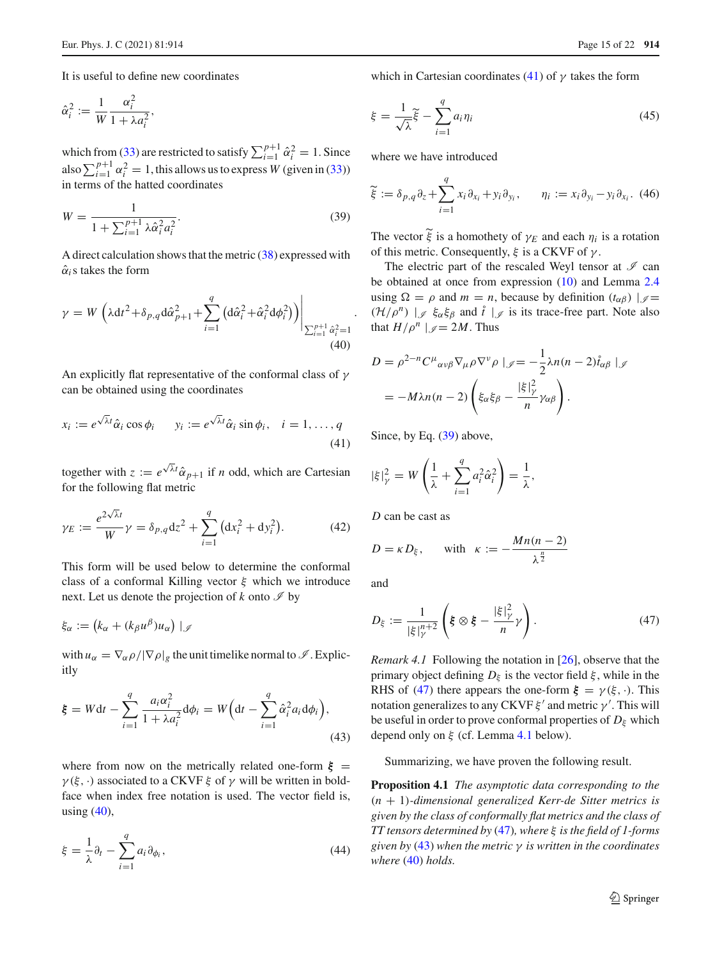It is useful to define new coordinates

$$
\hat{\alpha}_i^2 := \frac{1}{W} \frac{\alpha_i^2}{1 + \lambda a_i^2},
$$

 $\hat{\alpha}_i^2 := \frac{1}{W} \frac{\alpha_i^2}{1 + \lambda a_i^2},$ <br>which from [\(33\)](#page-13-1) are restricted to satisfy  $\sum_{i=1}^{p+1} \hat{\alpha}_i^2 = 1$ . Since  $\hat{\alpha}_i^2 := \frac{1}{W} \frac{1}{1 + \lambda a_i^2},$ <br>which from [\(33\)](#page-13-1) are restricted to satisfy  $\sum_{i=1}^{p+1} \hat{\alpha}_i^2 = 1$ . Since<br>also  $\sum_{i=1}^{p+1} \alpha_i^2 = 1$ , this allows us to express *W* (given in (33))<br>in terms of the hatted coordinates<br> $W =$ in terms of the hatted coordinates

$$
W = \frac{1}{1 + \sum_{i=1}^{p+1} \lambda \hat{\alpha}_i^2 a_i^2}.
$$
 (39)

<span id="page-14-0"></span>A direct calculation shows that the metric [\(38\)](#page-13-2) expressed with  $\hat{\alpha}_i$ s takes the form

$$
\gamma = W \left( \lambda \mathrm{d}t^2 + \delta_{p,q} \mathrm{d}\hat{\alpha}_{p+1}^2 + \sum_{i=1}^q \left( \mathrm{d}\hat{\alpha}_i^2 + \hat{\alpha}_i^2 \mathrm{d}\phi_i^2 \right) \right) \Bigg|_{\sum_{i=1}^{p+1} \hat{\alpha}_i^2 = 1}
$$
\n(40)

An explicitly flat representative of the conformal class of  $\gamma$ can be obtained using the coordinates

$$
x_i := e^{\sqrt{\lambda}t} \hat{\alpha}_i \cos \phi_i \qquad y_i := e^{\sqrt{\lambda}t} \hat{\alpha}_i \sin \phi_i, \quad i = 1, ..., q
$$
\n(41)

<span id="page-14-7"></span>for the following flat metric

together with 
$$
z := e^{\sqrt{\lambda}t} \hat{\alpha}_{p+1}
$$
 if *n* odd, which are Cartesian  
for the following flat metric  

$$
\gamma_E := \frac{e^{2\sqrt{\lambda}t}}{W} \gamma = \delta_{p,q} dz^2 + \sum_{i=1}^{q} (dx_i^2 + dy_i^2).
$$
(42)

This form will be used below to determine the conformal class of a conformal Killing vector  $\xi$  which we introduce next. Let us denote the projection of  $k$  onto  $\mathscr I$  by This fo<br>class of<br>next. Le<br> $\xi_{\alpha} := ($ 

$$
\xi_{\alpha} := (k_{\alpha} + (k_{\beta}u^{\beta})u_{\alpha}) \mid_{\mathscr{I}}
$$

itly

with 
$$
u_{\alpha} = \nabla_{\alpha} \rho / |\nabla \rho|_g
$$
 the unit timelike normal to  $\mathcal{I}$ . Explicitly  
\n
$$
\boldsymbol{\xi} = W dt - \sum_{i=1}^{q} \frac{a_i \alpha_i^2}{1 + \lambda a_i^2} d\phi_i = W \Big(dt - \sum_{i=1}^{q} \hat{\alpha}_i^2 a_i d\phi_i \Big), \tag{43}
$$

<span id="page-14-5"></span>where from now on the metrically related one-form  $\xi =$  $\gamma(\xi, \cdot)$  associated to a CKVF  $\xi$  of  $\gamma$  will be written in boldface when index free notation is used. The vector field is,<br>
using (40),<br>  $\xi = \frac{1}{\lambda} \partial_t - \sum_{i=1}^{q} a_i \partial_{\phi_i},$  (44) using  $(40)$ ,

$$
\xi = \frac{1}{\lambda} \partial_t - \sum_{i=1}^q a_i \partial_{\phi_i},\tag{44}
$$

which in Cartesian coordinates [\(41\)](#page-14-1) of  $\gamma$  takes the form

<span id="page-14-8"></span>which in Cartesian coordinates (41) of 
$$
\gamma
$$
 takes the form  
\n
$$
\xi = \frac{1}{\sqrt{\lambda}} \tilde{\xi} - \sum_{i=1}^{q} a_i \eta_i
$$
\n(45)

<span id="page-14-9"></span><span id="page-14-2"></span>where we have introduced

$$
\widetilde{\xi} := \delta_{p,q} \partial_z + \sum_{i=1}^q x_i \partial_{x_i} + y_i \partial_{y_i}, \qquad \eta_i := x_i \partial_{y_i} - y_i \partial_{x_i}. \tag{46}
$$
\nThe vector  $\widetilde{\xi}$  is a homothety of  $\gamma_E$  and each  $\eta_i$  is a rotation.

of this metric. Consequently,  $\xi$  is a CKVF of  $\gamma$ .

The electric part of the rescaled Weyl tensor at  $\mathscr I$  can be obtained at once from expression [\(10\)](#page-5-6) and Lemma [2.4](#page-6-0) using  $\Omega = \rho$  and  $m = n$ , because by definition  $(t_{\alpha\beta}) |g =$  $(\mathcal{H}/\rho^n)$   $|_{\mathscr{I}} \xi_{\alpha} \xi_{\beta}$  and  $\hat{t}$   $|_{\mathscr{I}}$  is its trace-free part. Note also that  $H/\rho^n \mid \mathcal{J} = 2M$ . Thus

that 
$$
H/\rho^n \mid_{\mathscr{I}} = 2M
$$
. Thus  
\n
$$
D = \rho^{2-n} C^{\mu}{}_{\alpha\nu\beta} \nabla_{\mu} \rho \nabla^{\nu} \rho \mid_{\mathscr{I}} = -\frac{1}{2} \lambda n(n-2) \mathring{t}_{\alpha\beta} \mid_{\mathscr{I}}
$$
\n
$$
= -M\lambda n(n-2) \left( \xi_{\alpha} \xi_{\beta} - \frac{|\xi|_{\gamma}^2}{n} \gamma_{\alpha\beta} \right).
$$

Since, by Eq. [\(39\)](#page-14-2) above,

Since, by Eq. (39) above,  
\n
$$
|\xi|_{\gamma}^{2} = W\left(\frac{1}{\lambda} + \sum_{i=1}^{q} a_{i}^{2} \hat{\alpha}_{i}^{2}\right) = \frac{1}{\lambda},
$$

*D* can be cast as

$$
D = \kappa D_{\xi}, \quad \text{with} \quad \kappa := -\frac{Mn(n-2)}{\lambda^{\frac{n}{2}}}
$$

<span id="page-14-3"></span>and

<span id="page-14-1"></span>.

$$
D_{\xi} := \frac{1}{|\xi|_{\gamma}^{n+2}} \left( \xi \otimes \xi - \frac{|\xi|_{\gamma}^2}{n} \gamma \right). \tag{47}
$$

<span id="page-14-6"></span><span id="page-14-4"></span>*Remark 4.1* Following the notation in [\[26](#page-21-12)], observe that the primary object defining  $D_{\xi}$  is the vector field  $\xi$ , while in the RHS of [\(47\)](#page-14-3) there appears the one-form  $\xi = \gamma(\xi, \cdot)$ . This notation generalizes to any CKVF  $\xi'$  and metric  $\gamma'$ . This will be useful in order to prove conformal properties of  $D_{\xi}$  which depend only on  $\xi$  (cf. Lemma [4.1](#page-15-0) below).

Summarizing, we have proven the following result.

**Proposition 4.1** *The asymptotic data corresponding to the* (*n* + 1)*-dimensional generalized Kerr-de Sitter metrics is given by the class of conformally flat metrics and the class of TT tensors determined by* [\(47\)](#page-14-3)*, where* ξ *is the field of 1-forms given by* [\(43\)](#page-14-4) *when the metric* γ *is written in the coordinates where* [\(40\)](#page-14-0) *holds.*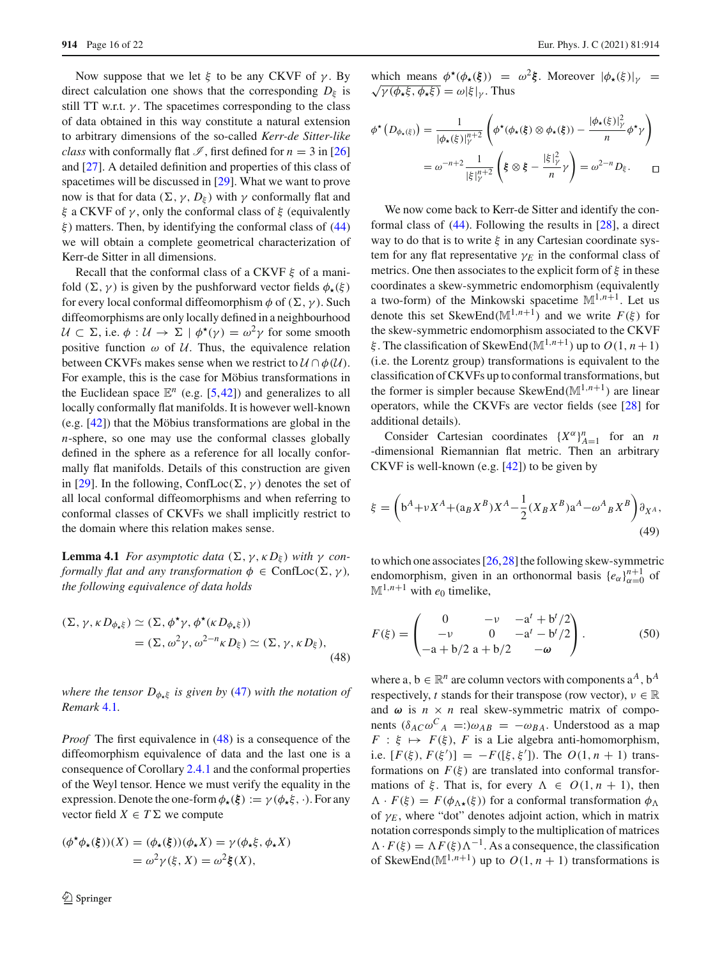Now suppose that we let  $\xi$  to be any CKVF of  $\gamma$ . By direct calculation one shows that the corresponding  $D_{\xi}$  is still TT w.r.t.  $\gamma$ . The spacetimes corresponding to the class of data obtained in this way constitute a natural extension to arbitrary dimensions of the so-called *Kerr-de Sitter-like class* with conformally flat  $\mathcal{I}$ , first defined for  $n = 3$  in [\[26\]](#page-21-12) and [\[27](#page-21-13)]. A detailed definition and properties of this class of spacetimes will be discussed in [\[29\]](#page-21-25). What we want to prove now is that for data (Σ,  $\gamma$ ,  $D_{\xi}$ ) with  $\gamma$  conformally flat and ξ a CKVF of  $γ$ , only the conformal class of ξ (equivalently  $\xi$ ) matters. Then, by identifying the conformal class of [\(44\)](#page-14-5) we will obtain a complete geometrical characterization of Kerr-de Sitter in all dimensions.

Recall that the conformal class of a CKVF  $\xi$  of a manifold  $(\Sigma, \gamma)$  is given by the pushforward vector fields  $\phi_{\star}(\xi)$ for every local conformal diffeomorphism  $\phi$  of  $(\Sigma, \gamma)$ . Such diffeomorphisms are only locally defined in a neighbourhood  $U \subset \Sigma$ , i.e.  $\phi : U \to \Sigma \mid \phi^*(\gamma) = \omega^2 \gamma$  for some smooth positive function  $\omega$  of  $\mathcal{U}$ . Thus, the equivalence relation between CKVFs makes sense when we restrict to  $\mathcal{U} \cap \phi(\mathcal{U})$ . For example, this is the case for Möbius transformations in the Euclidean space  $\mathbb{E}^n$  (e.g. [\[5](#page-20-14)[,42](#page-21-26)]) and generalizes to all locally conformally flat manifolds. It is however well-known (e.g. [\[42\]](#page-21-26)) that the Möbius transformations are global in the *n*-sphere, so one may use the conformal classes globally defined in the sphere as a reference for all locally conformally flat manifolds. Details of this construction are given in [\[29\]](#page-21-25). In the following, ConfLoc( $\Sigma$ ,  $\gamma$ ) denotes the set of all local conformal diffeomorphisms and when referring to conformal classes of CKVFs we shall implicitly restrict to the domain where this relation makes sense.

**Lemma 4.1** *For asymptotic data* (Σ,  $\gamma$ ,  $\kappa D_{\xi}$ ) *with*  $\gamma$  *conformally flat and any transformation*  $\phi \in \text{ConfLoc}(\Sigma, \gamma)$ *, the following equivalence of data holds*

$$
(\Sigma, \gamma, \kappa D_{\phi_* \xi}) \simeq (\Sigma, \phi^* \gamma, \phi^* (\kappa D_{\phi_* \xi}))
$$
  
= 
$$
(\Sigma, \omega^2 \gamma, \omega^{2-n} \kappa D_{\xi}) \simeq (\Sigma, \gamma, \kappa D_{\xi}),
$$
 (48)

*where the tensor*  $D_{\phi,\xi}$  *is given by* [\(47\)](#page-14-3) *with the notation of Remark* [4.1](#page-14-6)*.*

*Proof* The first equivalence in [\(48\)](#page-15-1) is a consequence of the diffeomorphism equivalence of data and the last one is a consequence of Corollary [2.4.1](#page-10-0) and the conformal properties of the Weyl tensor. Hence we must verify the equality in the expression. Denote the one-form  $\phi_{\star}(\xi) := \gamma(\phi_{\star}\xi, \cdot)$ . For any vector field  $X \in T\Sigma$  we compute

$$
(\phi^{\star}\phi_{\star}(\xi))(X) = (\phi_{\star}(\xi))(\phi_{\star}X) = \gamma(\phi_{\star}\xi, \phi_{\star}X)
$$

$$
= \omega^2 \gamma(\xi, X) = \omega^2 \xi(X),
$$

which means  $\phi^*(\phi_*(\xi)) = \omega^2 \xi$ . Moreover  $|\phi_*(\xi)|_{\gamma} = \sqrt{\gamma(\phi_* \xi, \phi_* \xi)} = \omega |\xi|_{\gamma}$ . Thus

which means 
$$
\phi^*(\phi_*(\xi)) = \omega^2 \xi
$$
. Moreover  $|\phi_*(\xi)|_\gamma = \sqrt{\gamma(\phi_*\xi, \phi_*\xi)} = \omega |\xi|_\gamma$ . Thus  
\n
$$
\phi^*(D_{\phi_*(\xi)}) = \frac{1}{|\phi_*(\xi)|_\gamma^{n+2}} \left( \phi^*(\phi_*(\xi) \otimes \phi_*(\xi)) - \frac{|\phi_*(\xi)|_\gamma^2}{n} \phi^*\gamma \right)
$$
\n
$$
= \omega^{-n+2} \frac{1}{|\xi|_\gamma^{n+2}} \left( \xi \otimes \xi - \frac{|\xi|_\gamma^2}{n} \gamma \right) = \omega^{2-n} D_\xi.
$$

We now come back to Kerr-de Sitter and identify the conformal class of [\(44\)](#page-14-5). Following the results in [\[28](#page-21-14)], a direct way to do that is to write  $\xi$  in any Cartesian coordinate system for any flat representative  $\gamma_E$  in the conformal class of metrics. One then associates to the explicit form of  $\xi$  in these coordinates a skew-symmetric endomorphism (equivalently a two-form) of the Minkowski spacetime  $\mathbb{M}^{1,n+1}$ . Let us denote this set SkewEnd( $\mathbb{M}^{1,n+1}$ ) and we write  $F(\xi)$  for the skew-symmetric endomorphism associated to the CKVF ξ. The classification of SkewEnd( $\mathbb{M}^{1,n+1}$ ) up to  $O(1, n+1)$ (i.e. the Lorentz group) transformations is equivalent to the classification of CKVFs up to conformal transformations, but the former is simpler because SkewEnd( $\mathbb{M}^{1,n+1}$ ) are linear operators, while the CKVFs are vector fields (see [\[28\]](#page-21-14) for additional details).

<span id="page-15-2"></span>Consider Cartesian coordinates  $\{X^{\alpha}\}_{n=1}^n$  for an *n* -dimensional Riemannian flat metric. Then an arbitrary CKVF is well-known (e.g. [\[42\]](#page-21-26)) to be given by

<span id="page-15-0"></span>
$$
\xi = \left( b^A + vX^A + (a_B X^B)X^A - \frac{1}{2} (X_B X^B) a^A - \omega^A{}_B X^B \right) \partial_{X^A},
$$
\n(49)

<span id="page-15-3"></span>to which one associates  $[26, 28]$  $[26, 28]$  $[26, 28]$  the following skew-symmetric endomorphism, given in an orthonormal basis  ${e_{\alpha}}_{\alpha=0}^{n+1}$  of  $M^{1,n+1}$  with  $e_0$  timelike,

<span id="page-15-1"></span>
$$
F(\xi) = \begin{pmatrix} 0 & -\nu & -a^{t} + b^{t}/2 \\ -\nu & 0 & -a^{t} - b^{t}/2 \\ -a + b/2 & a + b/2 & -\omega \end{pmatrix}.
$$
 (50)

where a,  $b \in \mathbb{R}^n$  are column vectors with components  $a^A$ ,  $b^A$ respectively, *t* stands for their transpose (row vector),  $v \in \mathbb{R}$ and  $\omega$  is  $n \times n$  real skew-symmetric matrix of components  $(\delta_{AC}\omega^C{}_A =:)\omega_{AB} = -\omega_{BA}$ . Understood as a map  $F : \xi \mapsto F(\xi)$ , *F* is a Lie algebra anti-homomorphism, i.e.  $[F(\xi), F(\xi')] = -F([\xi, \xi'])$ . The  $O(1, n + 1)$  transformations on  $F(\xi)$  are translated into conformal transformations of  $\xi$ . That is, for every  $\Lambda \in O(1, n + 1)$ , then  $\Lambda \cdot F(\xi) = F(\phi_{\Lambda \star}(\xi))$  for a conformal transformation  $\phi_{\Lambda}$ of  $\gamma_E$ , where "dot" denotes adjoint action, which in matrix notation corresponds simply to the multiplication of matrices  $\Lambda \cdot F(\xi) = \Lambda F(\xi) \Lambda^{-1}$ . As a consequence, the classification of SkewEnd( $\mathbb{M}^{1,n+1}$ ) up to  $O(1, n+1)$  transformations is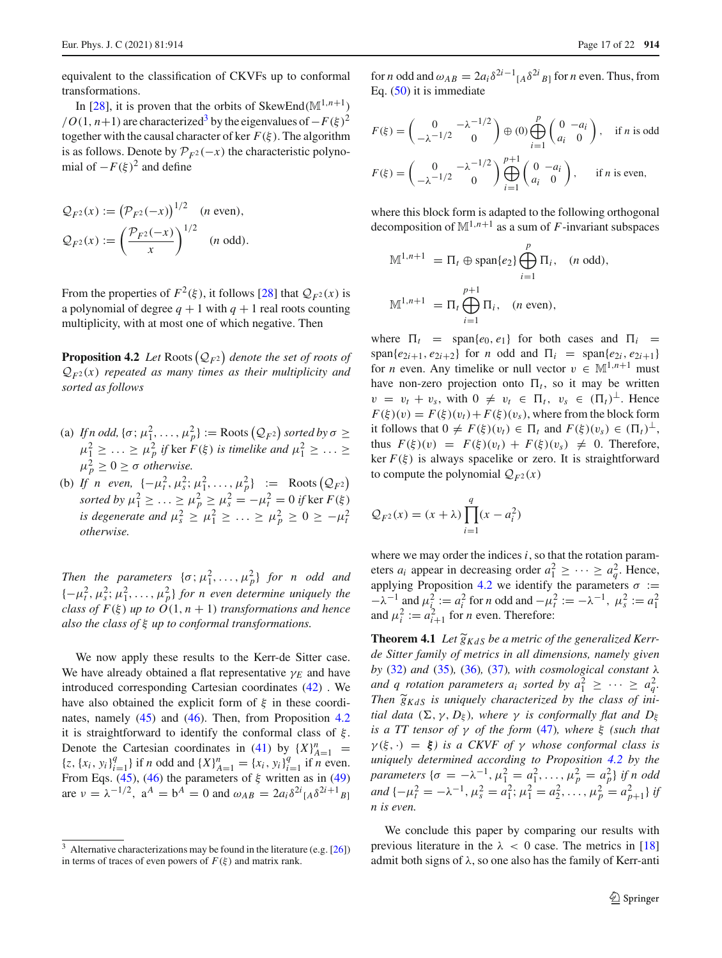equivalent to the classification of CKVFs up to conformal transformations.

In [\[28\]](#page-21-14), it is proven that the orbits of SkewEnd( $\mathbb{M}^{1,n+1}$ )  $/$ *O*(1, *n*+1) are characterized<sup>3</sup> by the eigenvalues of  $-F(\xi)^2$ together with the causal character of ker  $F(\xi)$ . The algorithm is as follows. Denote by  $\mathcal{P}_{F^2}(-x)$  the characteristic polynomial of  $-F(\xi)^2$  and define is as follows.<br>
mial of  $-F(x)$ <br>  $Q_{F^2}(x) := ($ 

$$
Q_{F^2}(x) := (P_{F^2}(-x))^{1/2} \quad (n \text{ even}),
$$
  

$$
Q_{F^2}(x) := \left(\frac{\mathcal{P}_{F^2}(-x)}{x}\right)^{1/2} \quad (n \text{ odd}).
$$

From the properties of  $F^2(\xi)$ , it follows [\[28\]](#page-21-14) that  $\mathcal{Q}_{F^2}(x)$  is a polynomial of degree  $q + 1$  with  $q + 1$  real roots counting multiplicity, with at most one of which negative. Then From the properties of  $P$  ( $\zeta$ )<br>a polynomial of degree  $q + 1$ <br>multiplicity, with at most on

*QF*<sup>2</sup> *denote the set of roots of QF*<sup>2</sup> (*x*) *repeated as many times as their multiplicity and sorted as follows*  $Q_{F^2}(x)$  repeated as many times as their multiplicity and<br>sorted as follows<br>(a) If n odd,  $\{\sigma; \mu_1^2, \dots, \mu_p^2\} := \text{Roots} (Q_{F^2})$  sorted by  $\sigma \ge$ 

- $\mu_1^2 \geq \ldots \geq \mu_p^2$  if ker  $F(\xi)$  is timelike and  $\mu_1^2 \geq \ldots \geq$  $\mu_p^2 \geq 0 \geq \sigma$  *otherwise. p*  $(\mathcal{Q}_{F^2})$  *sorted by*  $\sigma \ge$ <br>*elike and*  $\mu_1^2 \ge \dots \ge$ <br> $\frac{2}{p}$ }  $\; := \;$  Roots  $(\mathcal{Q}_{F^2})$
- (b) *If n even,*  $\{-\mu_t^2, \mu_s^2; \mu_1^2, \dots, \mu_p^2\}$  := Roots  $(Q_{F^2})$ *sorted by*  $\mu_1^2 \ge \ldots \ge \mu_p^2 \ge \mu_s^2 = -\mu_t^2 = 0$  *if* ker  $F(\xi)$ *is degenerate and*  $\mu_s^2 \ge \mu_1^2 \ge \ldots \ge \mu_p^2 \ge 0 \ge -\mu_t^2$ *otherwise.*

*Then the parameters*  $\{\sigma; \mu_1^2, \ldots, \mu_p^2\}$  *for n odd and*  ${-\mu_t^2, \mu_s^2; \mu_1^2, \ldots, \mu_p^2}$  *for n even determine uniquely the class of F(ξ) up to*  $O(1, n + 1)$  *transformations and hence also the class of* ξ *up to conformal transformations.*

We now apply these results to the Kerr-de Sitter case. We have already obtained a flat representative  $\gamma_E$  and have introduced corresponding Cartesian coordinates [\(42\)](#page-14-7) . We have also obtained the explicit form of  $\xi$  in these coordinates, namely [\(45\)](#page-14-8) and [\(46\)](#page-14-9). Then, from Proposition [4.2](#page-16-1) it is straightforward to identify the conformal class of  $\xi$ . Denote the Cartesian coordinates in [\(41\)](#page-14-1) by  $\{X\}_{A=1}^n$  ${x_i, {x_i, y_i}}_{i=1}^q$  if *n* odd and  ${X}^n_{A=1} = {x_i, y_i}_{i=1}^q$  if *n* even. From Eqs. [\(45\)](#page-14-8), [\(46\)](#page-14-9) the parameters of  $\xi$  written as in [\(49\)](#page-15-2) are  $v = \lambda^{-1/2}$ ,  $a^A = b^A = 0$  and  $\omega_{AB} = 2a_i \delta^{2i} [A \delta^{2i+1} B]$ 

for *n* odd and  $\omega_{AB} = 2a_i \delta^{2i-1} [A \delta^{2i} B]$  for *n* even. Thus, from Eq. [\(50\)](#page-15-3) it is immediate

$$
F(\xi) = \begin{pmatrix} 0 & -\lambda^{-1/2} \\ -\lambda^{-1/2} & 0 \end{pmatrix} \oplus (0) \bigoplus_{i=1}^{p} \begin{pmatrix} 0 & -a_i \\ a_i & 0 \end{pmatrix}, \text{ if } n \text{ is odd}
$$
  

$$
F(\xi) = \begin{pmatrix} 0 & -\lambda^{-1/2} \\ -\lambda^{-1/2} & 0 \end{pmatrix} \bigoplus_{i=1}^{p+1} \begin{pmatrix} 0 & -a_i \\ a_i & 0 \end{pmatrix}, \text{ if } n \text{ is even,}
$$

where this block form is adapted to the following orthogonal decomposition of  $\mathbb{M}^{1,n+1}$  as a sum of *F*-invariant subspaces

$$
\mathbb{M}^{1,n+1} = \Pi_t \oplus \text{span}\{e_2\} \bigoplus_{i=1}^p \Pi_i, \quad (n \text{ odd}),
$$
  

$$
\mathbb{M}^{1,n+1} = \Pi_t \bigoplus_{i=1}^{p+1} \Pi_i, \quad (n \text{ even}),
$$

<span id="page-16-1"></span>where  $\Pi_t$  = span $\{e_0, e_1\}$  for both cases and  $\Pi_i$  =  $span\{e_{2i+1}, e_{2i+2}\}\$ for *n* odd and  $\Pi_i = span\{e_{2i}, e_{2i+1}\}\$ for *n* even. Any timelike or null vector  $v \in M^{1,n+1}$  must have non-zero projection onto  $\Pi_t$ , so it may be written  $v = v_t + v_s$ , with  $0 \neq v_t \in \Pi_t$ ,  $v_s \in (\Pi_t)^{\perp}$ . Hence  $F(\xi)(v) = F(\xi)(v_t) + F(\xi)(v_s)$ , where from the block form it follows that  $0 \neq F(\xi)(v_t) \in \Pi_t$  and  $F(\xi)(v_s) \in (\Pi_t)^{\perp}$ , thus  $F(\xi)(v) = F(\xi)(v_t) + F(\xi)(v_s) \neq 0$ . Therefore, ker  $F(\xi)$  is always spacelike or zero. It is straightforward to compute the polynomial  $Q_{F^2}(x)$ **ker**  $F(\xi)$  is always sp<br>to compute the polyno<br> $Q_{F^2}(x) = (x + \lambda) \prod_{i=1}^{q}$ 

$$
Q_{F^2}(x) = (x + \lambda) \prod_{i=1}^q (x - a_i^2)
$$

where we may order the indices  $i$ , so that the rotation parameters  $a_i$  appear in decreasing order  $a_1^2 \geq \cdots \geq a_q^2$ . Hence, applying Proposition [4.2](#page-16-1) we identify the parameters  $\sigma$  :=  $-\lambda^{-1}$  and  $\mu_i^2 := a_i^2$  for *n* odd and  $-\mu_i^2 := -\lambda^{-1}$ ,  $\mu_s^2 := a_1^2$ and  $\mu_i^2 := a_{i+1}^2$  for *n* even. Therefore: applying 1 roposition<br>  $-\lambda^{-1}$  and  $\mu_i^2 := a_i^2$ <br>
and  $\mu_i^2 := a_{i+1}^2$  for *i*<br> **Theorem 4.1** Let  $\tilde{g}$ 

**Theorem 4.1** Let  $\widetilde{g}_{KdS}$  be a metric of the generalized Kerr*de Sitter family of metrics in all dimensions, namely given* by  $(32)$  *and*  $(35)$ *,*  $(36)$ *,*  $(37)$ *, with cosmological constant*  $\lambda$ *and q rotation parameters*  $a_i$  *sorted by*  $a_1^2 \geq \cdots \geq a_q^2$ . *de Sitte*<br>*by* (32)<br>*and q i*<br>*Then*  $\tilde{g}$ Then  $\widetilde{g}_{KdS}$  is uniquely characterized by the class of ini*tial data*  $(\Sigma, \gamma, D_{\xi})$ *, where*  $\gamma$  *is conformally flat and*  $D_{\xi}$ *is a TT tensor of* γ *of the form* [\(47\)](#page-14-3)*, where* ξ *(such that*  $\gamma(\xi, \cdot) = \xi$ *) is a CKVF of*  $\gamma$  *whose conformal class is uniquely determined according to Proposition [4.2](#page-16-1) by the*  $\mathit{parameters} \ \{\sigma = -\lambda^{-1}, \mu_1^2 = a_1^2, \ldots, \mu_p^2 = a_p^2\} \ \mathit{if} \ n \ \mathit{odd}$ *and*  $\{-\mu_t^2 = -\lambda^{-1}, \mu_s^2 = a_1^2; \mu_1^2 = a_2^2, \ldots, \mu_p^2 = a_{p+1}^2\}$  *if n is even.*

We conclude this paper by comparing our results with previous literature in the  $\lambda < 0$  case. The metrics in [\[18\]](#page-21-11) admit both signs of  $\lambda$ , so one also has the family of Kerr-anti

<span id="page-16-0"></span> $3$  Alternative characterizations may be found in the literature (e.g. [\[26](#page-21-12)]) in terms of traces of even powers of  $F(\xi)$  and matrix rank.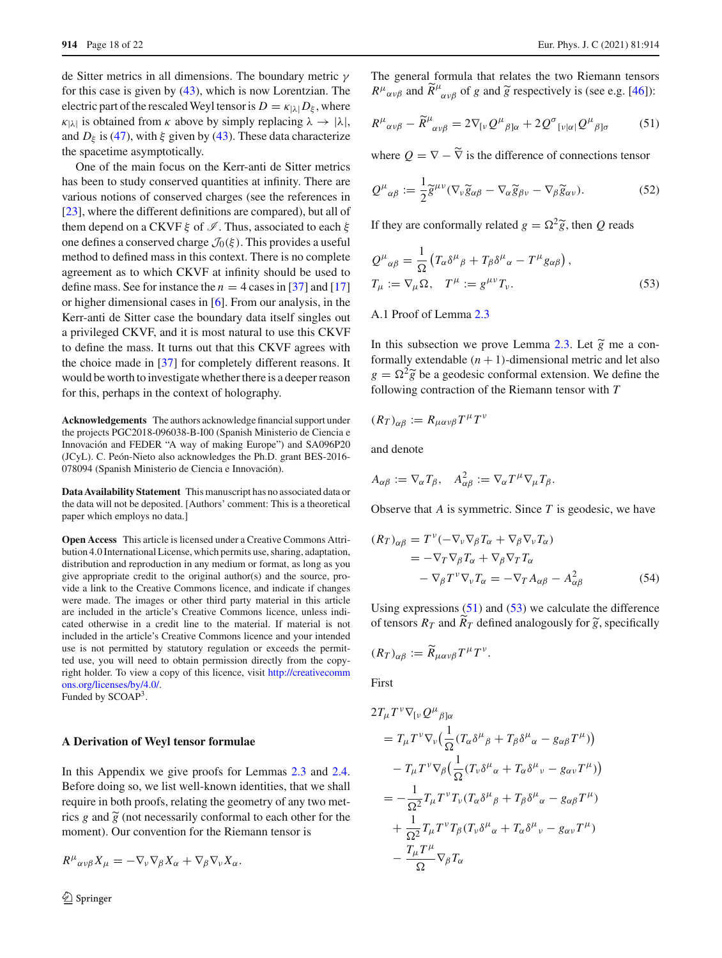de Sitter metrics in all dimensions. The boundary metric γ for this case is given by [\(43\)](#page-14-4), which is now Lorentzian. The electric part of the rescaled Weyl tensor is  $D = \kappa_{|\lambda|} D_{\xi}$ , where  $\kappa_{|\lambda|}$  is obtained from  $\kappa$  above by simply replacing  $\lambda \to |\lambda|$ , and  $D_{\xi}$  is [\(47\)](#page-14-3), with  $\xi$  given by [\(43\)](#page-14-4). These data characterize the spacetime asymptotically.

One of the main focus on the Kerr-anti de Sitter metrics has been to study conserved quantities at infinity. There are various notions of conserved charges (see the references in [\[23](#page-21-0)], where the different definitions are compared), but all of them depend on a CKVF  $\xi$  of  $\mathcal{I}$ . Thus, associated to each  $\xi$ one defines a conserved charge  $\mathcal{J}_0(\xi)$ . This provides a useful method to defined mass in this context. There is no complete agreement as to which CKVF at infinity should be used to define mass. See for instance the  $n = 4$  cases in [\[37](#page-21-27)] and [\[17\]](#page-21-28) or higher dimensional cases in [\[6](#page-20-15)]. From our analysis, in the Kerr-anti de Sitter case the boundary data itself singles out a privileged CKVF, and it is most natural to use this CKVF to define the mass. It turns out that this CKVF agrees with the choice made in [\[37](#page-21-27)] for completely different reasons. It would be worth to investigate whether there is a deeper reason for this, perhaps in the context of holography.

**Acknowledgements** The authors acknowledge financial support under the projects PGC2018-096038-B-I00 (Spanish Ministerio de Ciencia e Innovación and FEDER "A way of making Europe") and SA096P20 (JCyL). C. Peón-Nieto also acknowledges the Ph.D. grant BES-2016- 078094 (Spanish Ministerio de Ciencia e Innovación).

**Data Availability Statement** This manuscript has no associated data or the data will not be deposited. [Authors' comment: This is a theoretical paper which employs no data.]

**Open Access** This article is licensed under a Creative Commons Attribution 4.0 International License, which permits use, sharing, adaptation, distribution and reproduction in any medium or format, as long as you give appropriate credit to the original author(s) and the source, provide a link to the Creative Commons licence, and indicate if changes were made. The images or other third party material in this article are included in the article's Creative Commons licence, unless indicated otherwise in a credit line to the material. If material is not included in the article's Creative Commons licence and your intended use is not permitted by statutory regulation or exceeds the permitted use, you will need to obtain permission directly from the copyright holder. To view a copy of this licence, visit [http://creativecomm](http://creativecommons.org/licenses/by/4.0/) [ons.org/licenses/by/4.0/.](http://creativecommons.org/licenses/by/4.0/) Funded by SCOAP3.

## **A Derivation of Weyl tensor formulae**

In this Appendix we give proofs for Lemmas [2.3](#page-6-1) and [2.4.](#page-6-0) Before doing so, we list well-known identities, that we shall require in both proofs, relating the geometry of any two met-In this Appendent<br>Before doing<br>require in bo<br>rics *g* and  $\tilde{g}$ rics g and  $\tilde{g}$  (not necessarily conformal to each other for the moment). Our convention for the Riemann tensor is

$$
R^{\mu}{}_{\alpha\nu\beta}X_{\mu}=-\nabla_{\nu}\nabla_{\beta}X_{\alpha}+\nabla_{\beta}\nabla_{\nu}X_{\alpha}.
$$

<span id="page-17-0"></span>The general formula that relates the two Riemann tensors  $R^{\mu}{}_{\alpha\nu\beta}$  and  $\widetilde{R}^{\mu}$ *Eur. Phys. J. C (2021) 81:91*<br>
ormula that relates the two Riemann tensor<br>  $\phi_{\alpha\nu\beta}$  of *g* and  $\tilde{g}$  respectively is (see e.g. [\[46\]](#page-21-15)):

<span id="page-17-3"></span>
$$
R^{\mu}{}_{\alpha\nu\beta} - \widetilde{R}^{\mu}{}_{\alpha\nu\beta} = 2\nabla_{\left[\nu\right.}Q^{\mu}{}_{\beta\left]\alpha} + 2Q^{\sigma}{}_{\left[\nu\left|\alpha\right.}\right]}Q^{\mu}{}_{\beta\left]\sigma} \tag{51}
$$

where  $Q = \nabla - \nabla$  is the difference of connections tensor

where 
$$
Q = \nabla - \tilde{\nabla}
$$
 is the difference of connections tensor  
\n
$$
Q^{\mu}{}_{\alpha\beta} := \frac{1}{2} \tilde{g}^{\mu\nu} (\nabla_{\nu} \tilde{g}_{\alpha\beta} - \nabla_{\alpha} \tilde{g}_{\beta\nu} - \nabla_{\beta} \tilde{g}_{\alpha\nu}).
$$
\nIf they are conformally related  $g = \Omega^2 \tilde{g}$ , then Q reads

<span id="page-17-1"></span>

If they are conformally related 
$$
g = \Omega^2 \tilde{g}
$$
, then Q reads  
\n
$$
Q^{\mu}{}_{\alpha\beta} = \frac{1}{\Omega} \left( T_{\alpha} \delta^{\mu}{}_{\beta} + T_{\beta} \delta^{\mu}{}_{\alpha} - T^{\mu} g_{\alpha\beta} \right),
$$
\n
$$
T_{\mu} := \nabla_{\mu} \Omega, \quad T^{\mu} := g^{\mu\nu} T_{\nu}.
$$
\n(53)

# A.1 Proof of Lemma [2.3](#page-6-1)

A.1 Proof of Lemma 2.3<br>In this subsection we prove Lemma [2.3.](#page-6-1) Let  $\tilde{g}$  me a conformally extendable  $(n + 1)$ -dimensional metric and let also In this su<br>formally  $g = \Omega^2 \tilde{g}$  $g = \Omega^2 \tilde{g}$  be a geodesic conformal extension. We define the following contraction of the Riemann tensor with *T*

$$
(R_T)_{\alpha\beta} := R_{\mu\alpha\nu\beta} T^{\mu} T^{\nu}
$$

and denote

$$
A_{\alpha\beta} := \nabla_{\alpha} T_{\beta}, \quad A_{\alpha\beta}^2 := \nabla_{\alpha} T^{\mu} \nabla_{\mu} T_{\beta}.
$$

Observe that *A* is symmetric. Since *T* is geodesic, we have

$$
(R_T)_{\alpha\beta} = T^{\nu}(-\nabla_{\nu}\nabla_{\beta}T_{\alpha} + \nabla_{\beta}\nabla_{\nu}T_{\alpha})
$$
  
=  $-\nabla_T\nabla_{\beta}T_{\alpha} + \nabla_{\beta}\nabla_TT_{\alpha}$   
 $-\nabla_{\beta}T^{\nu}\nabla_{\nu}T_{\alpha} = -\nabla_T A_{\alpha\beta} - A_{\alpha\beta}^2$  (54)

<span id="page-17-2"></span>Using expressions  $(51)$  and  $(53)$  we calculate the difference of tensors  $R_T$  and  $\overline{R}_T$  defined analogously for  $\widetilde{g}$ , specifically  $\begin{aligned} Z_{\nu}T_{\alpha} &= -\nabla_{T}A_{\alpha\beta} - A_{\alpha\beta}^{2} \\ 51) \text{ and } (53) \text{ we calculate the} \\ T \text{ defined analogously for } \widetilde{g} \end{aligned}$ -

$$
(R_T)_{\alpha\beta} := \widetilde{R}_{\mu\alpha\nu\beta} T^{\mu} T^{\nu}.
$$

First

$$
2T_{\mu}T^{\nu}\nabla_{[\nu}Q^{\mu}{}_{\beta]\alpha}
$$
  
=  $T_{\mu}T^{\nu}\nabla_{\nu}\left(\frac{1}{\Omega}(T_{\alpha}\delta^{\mu}{}_{\beta} + T_{\beta}\delta^{\mu}{}_{\alpha} - g_{\alpha\beta}T^{\mu})\right)$   
 $-T_{\mu}T^{\nu}\nabla_{\beta}\left(\frac{1}{\Omega}(T_{\nu}\delta^{\mu}{}_{\alpha} + T_{\alpha}\delta^{\mu}{}_{\nu} - g_{\alpha\nu}T^{\mu})\right)$   
=  $-\frac{1}{\Omega^{2}}T_{\mu}T^{\nu}T_{\nu}(T_{\alpha}\delta^{\mu}{}_{\beta} + T_{\beta}\delta^{\mu}{}_{\alpha} - g_{\alpha\beta}T^{\mu})$   
 $+ \frac{1}{\Omega^{2}}T_{\mu}T^{\nu}T_{\beta}(T_{\nu}\delta^{\mu}{}_{\alpha} + T_{\alpha}\delta^{\mu}{}_{\nu} - g_{\alpha\nu}T^{\mu})$   
 $- \frac{T_{\mu}T^{\mu}}{\Omega}\nabla_{\beta}T_{\alpha}$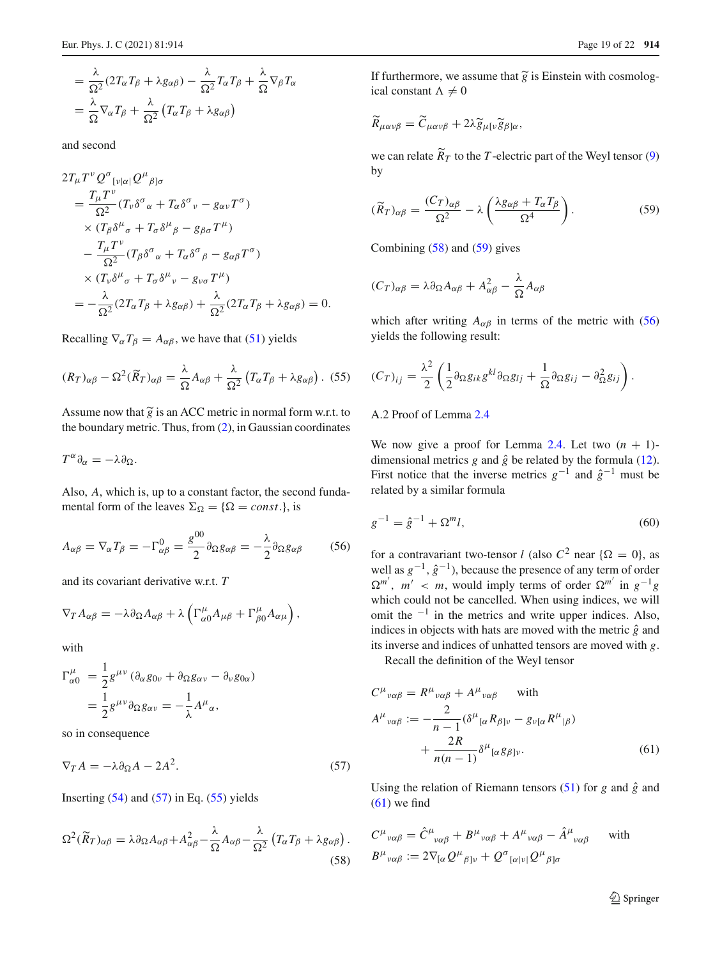$$
= \frac{\lambda}{\Omega^2} (2T_{\alpha}T_{\beta} + \lambda g_{\alpha\beta}) - \frac{\lambda}{\Omega^2} T_{\alpha}T_{\beta} + \frac{\lambda}{\Omega} \nabla_{\beta}T_{\alpha}
$$

$$
= \frac{\lambda}{\Omega} \nabla_{\alpha}T_{\beta} + \frac{\lambda}{\Omega^2} (T_{\alpha}T_{\beta} + \lambda g_{\alpha\beta})
$$

and second

$$
2T_{\mu}T^{\nu}Q^{\sigma}_{\nu|\alpha|}Q^{\mu}{}_{\beta|\sigma}
$$
  
= 
$$
\frac{T_{\mu}T^{\nu}}{\Omega^{2}}(T_{\nu}\delta^{\sigma}{}_{\alpha} + T_{\alpha}\delta^{\sigma}{}_{\nu} - g_{\alpha\nu}T^{\sigma})
$$
  
× 
$$
(T_{\beta}\delta^{\mu}{}_{\sigma} + T_{\sigma}\delta^{\mu}{}_{\beta} - g_{\beta\sigma}T^{\mu})
$$
  

$$
- \frac{T_{\mu}T^{\nu}}{\Omega^{2}}(T_{\beta}\delta^{\sigma}{}_{\alpha} + T_{\alpha}\delta^{\sigma}{}_{\beta} - g_{\alpha\beta}T^{\sigma})
$$
  
× 
$$
(T_{\nu}\delta^{\mu}{}_{\sigma} + T_{\sigma}\delta^{\mu}{}_{\nu} - g_{\nu\sigma}T^{\mu})
$$
  
= 
$$
- \frac{\lambda}{\Omega^{2}}(2T_{\alpha}T_{\beta} + \lambda g_{\alpha\beta}) + \frac{\lambda}{\Omega^{2}}(2T_{\alpha}T_{\beta} + \lambda g_{\alpha\beta}) = 0.
$$

Recalling  $\nabla_{\alpha} T_{\beta} = A_{\alpha\beta}$ , we have that [\(51\)](#page-17-0) yields

Recalling 
$$
\nabla_{\alpha} T_{\beta} = A_{\alpha\beta}
$$
, we have that (51) yields  
\n $(R_T)_{\alpha\beta} - \Omega^2 (\widetilde{R}_T)_{\alpha\beta} = \frac{\lambda}{\Omega} A_{\alpha\beta} + \frac{\lambda}{\Omega^2} (T_{\alpha} T_{\beta} + \lambda g_{\alpha\beta})$ . (55)  
\nAssume now that  $\widetilde{g}$  is an ACC metric in normal form w.r.t. to

the boundary metric. Thus, from [\(2\)](#page-3-1), in Gaussian coordinates

$$
T^{\alpha}\partial_{\alpha}=-\lambda\partial_{\Omega}.
$$

Also, *A*, which is, up to a constant factor, the second fundamental form of the leaves  $\Sigma_{\Omega} = {\Omega = const.}$ , is

$$
A_{\alpha\beta} = \nabla_{\alpha} T_{\beta} = -\Gamma_{\alpha\beta}^{0} = \frac{g^{00}}{2} \partial_{\Omega} g_{\alpha\beta} = -\frac{\lambda}{2} \partial_{\Omega} g_{\alpha\beta} \tag{56}
$$

and its covariant derivative w.r.t. *T*

$$
A_{\alpha\beta} - \nu_{\alpha} I_{\beta} = -I_{\alpha\beta} - \frac{1}{2} \sigma_{\Omega\delta\alpha\beta} - \frac{1}{2} \sigma_{\Omega\delta\alpha\beta}
$$
  
and its covariant derivative w.r.t.  $T$   

$$
\nabla_T A_{\alpha\beta} = -\lambda \partial_{\Omega} A_{\alpha\beta} + \lambda \left( \Gamma^{\mu}_{\alpha\alpha} A_{\mu\beta} + \Gamma^{\mu}_{\beta\alpha} A_{\alpha\mu} \right),
$$

with

$$
\Gamma^{\mu}_{\alpha 0} = \frac{1}{2} g^{\mu \nu} (\partial_{\alpha} g_{0\nu} + \partial_{\Omega} g_{\alpha\nu} - \partial_{\nu} g_{0\alpha})
$$
  
= 
$$
\frac{1}{2} g^{\mu \nu} \partial_{\Omega} g_{\alpha\nu} = -\frac{1}{\lambda} A^{\mu}_{\alpha},
$$

<span id="page-18-1"></span>so in consequence

$$
\nabla_T A = -\lambda \partial_{\Omega} A - 2A^2. \tag{57}
$$

Inserting  $(54)$  and  $(57)$  in Eq.  $(55)$  yields

Inserting (54) and (57) in Eq. (55) yields  
\n
$$
\Omega^2(\widetilde{R}_T)_{\alpha\beta} = \lambda \partial_{\Omega} A_{\alpha\beta} + A_{\alpha\beta}^2 - \frac{\lambda}{\Omega} A_{\alpha\beta} - \frac{\lambda}{\Omega^2} \left( T_{\alpha} T_{\beta} + \lambda g_{\alpha\beta} \right).
$$
\n(58)

Page 19 of 22 914<br>
If furthermore, we assume that  $\tilde{g}$  is Einstein with cosmolog-<br>
ical constant  $\Lambda \neq 0$ <br>  $\widetilde{R}_{\mu\alpha\nu\beta} = \widetilde{C}_{\mu\alpha\nu\beta} + 2\lambda \widetilde{g}_{\mu[\nu} \widetilde{g}_{\beta]\alpha}$ , ical constant  $\Lambda \neq 0$ 

$$
\widetilde{R}_{\mu\alpha\nu\beta} = \widetilde{C}_{\mu\alpha\nu\beta} + 2\lambda \widetilde{g}_{\mu[\nu}\widetilde{g}_{\beta]\alpha},
$$

<span id="page-18-4"></span>we can relate  $R_T$  to the *T*-electric part of the Weyl tensor [\(9\)](#page-5-7) by

$$
(\widetilde{R}_T)_{\alpha\beta} = \frac{(C_T)_{\alpha\beta}}{\Omega^2} - \lambda \left( \frac{\lambda g_{\alpha\beta} + T_{\alpha} T_{\beta}}{\Omega^4} \right). \tag{59}
$$

Combining [\(58\)](#page-18-3) and [\(59\)](#page-18-4) gives

$$
(C_T)_{\alpha\beta} = \lambda \partial_{\Omega} A_{\alpha\beta} + A_{\alpha\beta}^2 - \frac{\lambda}{\Omega} A_{\alpha\beta}
$$

<span id="page-18-2"></span>which after writing *A*<sub>αβ</sub> in terms of the metric with [\(56\)](#page-18-5)<br>
yields the following result:<br>  $(C_T)_{ij} = \frac{\lambda^2}{2} \left( \frac{1}{2} \partial_{\Omega} g_{ik} g^{kl} \partial_{\Omega} g_{lj} + \frac{1}{2} \partial_{\Omega} g_{ij} - \partial_{\Omega}^2 g_{ij} \right).$ yields the following result:

$$
(C_T)_{ij} = \frac{\lambda^2}{2} \left( \frac{1}{2} \partial_{\Omega} g_{ik} g^{kl} \partial_{\Omega} g_{lj} + \frac{1}{\Omega} \partial_{\Omega} g_{ij} - \partial_{\Omega}^2 g_{ij} \right).
$$

# A.2 Proof of Lemma [2.4](#page-6-0)

<span id="page-18-0"></span>We now give a proof for Lemma [2.4.](#page-6-0) Let two  $(n + 1)$ dimensional metrics  $g$  and  $\hat{g}$  be related by the formula [\(12\)](#page-6-3). First notice that the inverse metrics  $g^{-1}$  and  $\hat{g}^{-1}$  must be related by a similar formula

<span id="page-18-5"></span>
$$
g^{-1} = \hat{g}^{-1} + \Omega^m l,\tag{60}
$$

for a contravariant two-tensor *l* (also  $C^2$  near  $\{\Omega = 0\}$ , as well as  $g^{-1}$ ,  $\hat{g}^{-1}$ ), because the presence of any term of order  $\Omega^{m'}$ , *m'* < *m*, would imply terms of order  $\Omega^{m'}$  in  $g^{-1}g$ which could not be cancelled. When using indices, we will omit the  $^{-1}$  in the metrics and write upper indices. Also, indices in objects with hats are moved with the metric  $\hat{g}$  and its inverse and indices of unhatted tensors are moved with *g*.

Recall the definition of the Weyl tensor

$$
C^{\mu}{}_{\nu\alpha\beta} = R^{\mu}{}_{\nu\alpha\beta} + A^{\mu}{}_{\nu\alpha\beta} \quad \text{with}
$$
  
\n
$$
A^{\mu}{}_{\nu\alpha\beta} := -\frac{2}{n-1} (\delta^{\mu}{}_{[\alpha} R_{\beta] \nu} - g_{\nu[\alpha} R^{\mu}{}_{|\beta})
$$
  
\n
$$
+ \frac{2R}{n(n-1)} \delta^{\mu}{}_{[\alpha} g_{\beta] \nu}.
$$
\n(61)

<span id="page-18-3"></span>Using the relation of Riemann tensors [\(51\)](#page-17-0) for  $g$  and  $\hat{g}$  and  $(61)$  we find

$$
C^{\mu}{}_{\nu\alpha\beta} = \hat{C}^{\mu}{}_{\nu\alpha\beta} + B^{\mu}{}_{\nu\alpha\beta} + A^{\mu}{}_{\nu\alpha\beta} - \hat{A}^{\mu}{}_{\nu\alpha\beta} \quad \text{with}
$$
  

$$
B^{\mu}{}_{\nu\alpha\beta} := 2\nabla_{[\alpha}Q^{\mu}{}_{\beta] \nu} + Q^{\sigma}{}_{[\alpha|\nu]}Q^{\mu}{}_{\beta] \sigma}
$$

<span id="page-18-6"></span><sup>2</sup> Springer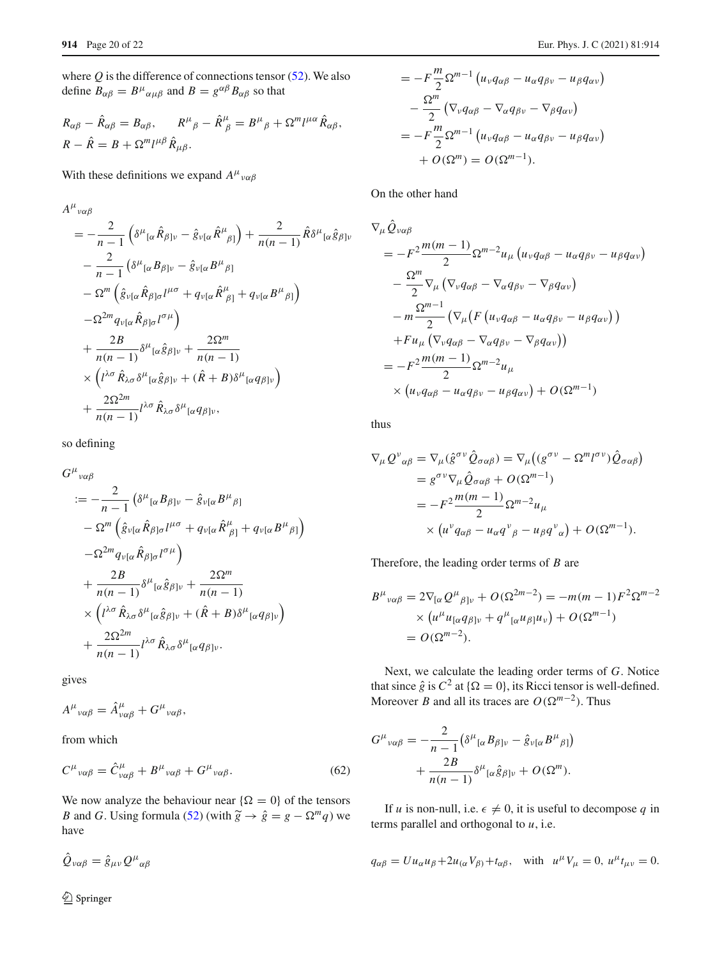where  $Q$  is the difference of connections tensor  $(52)$ . We also define  $B_{\alpha\beta} = B^{\mu}{}_{\alpha\mu\beta}$  and  $B = g^{\alpha\beta} B_{\alpha\beta}$  so that

$$
R_{\alpha\beta} - \hat{R}_{\alpha\beta} = B_{\alpha\beta}, \qquad R^{\mu}{}_{\beta} - \hat{R}^{\mu}{}_{\beta} = B^{\mu}{}_{\beta} + \Omega^{m}l^{\mu\alpha}\hat{R}_{\alpha\beta},
$$
  

$$
R - \hat{R} = B + \Omega^{m}l^{\mu\beta}\hat{R}_{\mu\beta}.
$$

With these definitions we expand  $A^{\mu}{}_{\nu\alpha\beta}$ 

$$
A^{\mu}{}_{\nu\alpha\beta}
$$
\n
$$
= -\frac{2}{n-1} \left( \delta^{\mu}{}_{[\alpha} \hat{R}_{\beta] \nu} - \hat{g}_{\nu[\alpha} \hat{R}^{\mu}{}_{\beta]} \right) + \frac{2}{n(n-1)} \hat{R} \delta^{\mu}{}_{[\alpha} \hat{g}_{\beta] \nu}
$$
\n
$$
- \frac{2}{n-1} \left( \delta^{\mu}{}_{[\alpha} B_{\beta] \nu} - \hat{g}_{\nu[\alpha} B^{\mu}{}_{\beta]} \right)
$$
\n
$$
- \Omega^{m} \left( \hat{g}_{\nu[\alpha} \hat{R}_{\beta] \sigma} l^{\mu\sigma} + q_{\nu[\alpha} \hat{R}^{\mu}{}_{\beta]} + q_{\nu[\alpha} B^{\mu}{}_{\beta]} \right)
$$
\n
$$
- \Omega^{2m} q_{\nu[\alpha} \hat{R}_{\beta] \sigma} l^{\sigma\mu}
$$
\n
$$
+ \frac{2B}{n(n-1)} \delta^{\mu}{}_{[\alpha} \hat{g}_{\beta] \nu} + \frac{2\Omega^{m}}{n(n-1)}
$$
\n
$$
\times \left( l^{\lambda\sigma} \hat{R}_{\lambda\sigma} \delta^{\mu}{}_{[\alpha} \hat{g}_{\beta] \nu} + (\hat{R} + B) \delta^{\mu}{}_{[\alpha} q_{\beta] \nu} \right)
$$
\n
$$
+ \frac{2\Omega^{2m}}{n(n-1)} l^{\lambda\sigma} \hat{R}_{\lambda\sigma} \delta^{\mu}{}_{[\alpha} q_{\beta] \nu},
$$

so defining

$$
G^{\mu}{}_{\nu\alpha\beta}
$$
\n
$$
:= -\frac{2}{n-1} \left( \delta^{\mu}{}_{[\alpha} B_{\beta] \nu} - \hat{g}_{\nu[\alpha} B^{\mu}{}_{\beta]} \right)
$$
\n
$$
- \Omega^{m} \left( \hat{g}_{\nu[\alpha} \hat{R}_{\beta] \sigma} l^{\mu \sigma} + q_{\nu[\alpha} \hat{R}^{\mu}{}_{\beta]} + q_{\nu[\alpha} B^{\mu}{}_{\beta]} \right)
$$
\n
$$
- \Omega^{2m} q_{\nu[\alpha} \hat{R}_{\beta] \sigma} l^{\sigma \mu} \right)
$$
\n
$$
+ \frac{2B}{n(n-1)} \delta^{\mu}{}_{[\alpha} \hat{g}_{\beta] \nu} + \frac{2\Omega^{m}}{n(n-1)}
$$
\n
$$
\times \left( l^{\lambda \sigma} \hat{R}_{\lambda \sigma} \delta^{\mu}{}_{[\alpha} \hat{g}_{\beta] \nu} + (\hat{R} + B) \delta^{\mu}{}_{[\alpha} q_{\beta] \nu} \right)
$$
\n
$$
+ \frac{2\Omega^{2m}}{n(n-1)} l^{\lambda \sigma} \hat{R}_{\lambda \sigma} \delta^{\mu}{}_{[\alpha} q_{\beta] \nu}.
$$

gives

<span id="page-19-0"></span>
$$
A^{\mu}{}_{\nu\alpha\beta} = \hat{A}^{\mu}_{\nu\alpha\beta} + G^{\mu}{}_{\nu\alpha\beta},
$$

from which

$$
C^{\mu}{}_{\nu\alpha\beta} = \hat{C}^{\mu}_{\nu\alpha\beta} + B^{\mu}{}_{\nu\alpha\beta} + G^{\mu}{}_{\nu\alpha\beta}.
$$
 (62)

We now analyze the behaviour near  $\{\Omega = 0\}$  of the tensors  $C^{\mu}{}_{\nu\alpha\beta} = \hat{C}^{\mu}{}_{\nu\alpha\beta} + B^{\mu}{}_{\nu\alpha\beta} + G^{\mu}{}_{\nu\alpha\beta}.$  (62)<br>
We now analyze the behaviour near { $\Omega = 0$ } of the tensors<br> *B* and *G*. Using formula [\(52\)](#page-17-3) (with  $\tilde{g} \rightarrow \hat{g} = g - \Omega^m q$ ) we have

$$
\hat{Q}_{\nu\alpha\beta} = \hat{g}_{\mu\nu} Q^{\mu}{}_{\alpha\beta}
$$

Eur. Phys. J. C (20)  
\n
$$
= -F\frac{m}{2}\Omega^{m-1} (u_{\nu}q_{\alpha\beta} - u_{\alpha}q_{\beta\nu} - u_{\beta}q_{\alpha\nu})
$$
\n
$$
-\frac{\Omega^{m}}{2} (\nabla_{\nu}q_{\alpha\beta} - \nabla_{\alpha}q_{\beta\nu} - \nabla_{\beta}q_{\alpha\nu})
$$
\n
$$
= -F\frac{m}{2}\Omega^{m-1} (u_{\nu}q_{\alpha\beta} - u_{\alpha}q_{\beta\nu} - u_{\beta}q_{\alpha\nu})
$$
\n
$$
+ O(\Omega^{m}) = O(\Omega^{m-1}).
$$

On the other hand

j.

On the other hand  
\n
$$
\nabla_{\mu} \hat{Q}_{v\alpha\beta}
$$
\n
$$
= -F^2 \frac{m(m-1)}{2} \Omega^{m-2} u_{\mu} \left( u_{\nu} q_{\alpha\beta} - u_{\alpha} q_{\beta\nu} - u_{\beta} q_{\alpha\nu} \right)
$$
\n
$$
- \frac{\Omega^m}{2} \nabla_{\mu} \left( \nabla_{\nu} q_{\alpha\beta} - \nabla_{\alpha} q_{\beta\nu} - \nabla_{\beta} q_{\alpha\nu} \right)
$$
\n
$$
- m \frac{\Omega^{m-1}}{2} \left( \nabla_{\mu} \left( F \left( u_{\nu} q_{\alpha\beta} - u_{\alpha} q_{\beta\nu} - u_{\beta} q_{\alpha\nu} \right) \right) \right)
$$
\n
$$
+ F u_{\mu} \left( \nabla_{\nu} q_{\alpha\beta} - \nabla_{\alpha} q_{\beta\nu} - \nabla_{\beta} q_{\alpha\nu} \right) \right)
$$
\n
$$
= -F^2 \frac{m(m-1)}{2} \Omega^{m-2} u_{\mu}
$$
\n
$$
\times \left( u_{\nu} q_{\alpha\beta} - u_{\alpha} q_{\beta\nu} - u_{\beta} q_{\alpha\nu} \right) + O(\Omega^{m-1})
$$

thus

thus  
\n
$$
\nabla_{\mu} Q^{\nu}{}_{\alpha\beta} = \nabla_{\mu} (\hat{g}^{\sigma\nu} \hat{Q}_{\sigma\alpha\beta}) = \nabla_{\mu} ((g^{\sigma\nu} - \Omega^{m} l^{\sigma\nu}) \hat{Q}_{\sigma\alpha\beta})
$$
\n
$$
= g^{\sigma\nu} \nabla_{\mu} \hat{Q}_{\sigma\alpha\beta} + O(\Omega^{m-1})
$$
\n
$$
= -F^{2} \frac{m(m-1)}{2} \Omega^{m-2} u_{\mu}
$$
\n
$$
\times (u^{\nu} q_{\alpha\beta} - u_{\alpha} q^{\nu}{}_{\beta} - u_{\beta} q^{\nu}{}_{\alpha}) + O(\Omega^{m-1}).
$$

Therefore, the leading order terms of *B* are  
\n
$$
B^{\mu}{}_{\nu\alpha\beta} = 2\nabla_{[\alpha} Q^{\mu}{}_{\beta] \nu} + O(\Omega^{2m-2}) = -m(m-1)F^2 \Omega^{m-2}
$$
\n
$$
\times (u^{\mu} u_{[\alpha} q_{\beta] \nu} + q^{\mu}{}_{[\alpha} u_{\beta] \nu} + O(\Omega^{m-1})
$$
\n
$$
= O(\Omega^{m-2}).
$$

Next, we calculate the leading order terms of *G*. Notice that since  $\hat{g}$  is  $C^2$  at  $\{\Omega = 0\}$ , its Ricci tensor is well-defined. Moreover *B* and all its traces are  $O(\Omega^{m-2})$ . Thus If  $\Omega = 0$  its Ricci tense

$$
G^{\mu}{}_{\nu\alpha\beta} = -\frac{2}{n-1} \left( \delta^{\mu}{}_{[\alpha} B_{\beta] \nu} - \hat{g}_{\nu[\alpha} B^{\mu}{}_{\beta]} \right) + \frac{2B}{n(n-1)} \delta^{\mu}{}_{[\alpha} \hat{g}_{\beta] \nu} + O(\Omega^{m}).
$$

If *u* is non-null, i.e.  $\epsilon \neq 0$ , it is useful to decompose *q* in terms parallel and orthogonal to *u*, i.e.

$$
q_{\alpha\beta} = U u_{\alpha} u_{\beta} + 2u_{(\alpha} V_{\beta)} + t_{\alpha\beta}, \text{ with } u^{\mu} V_{\mu} = 0, u^{\mu} t_{\mu\nu} = 0.
$$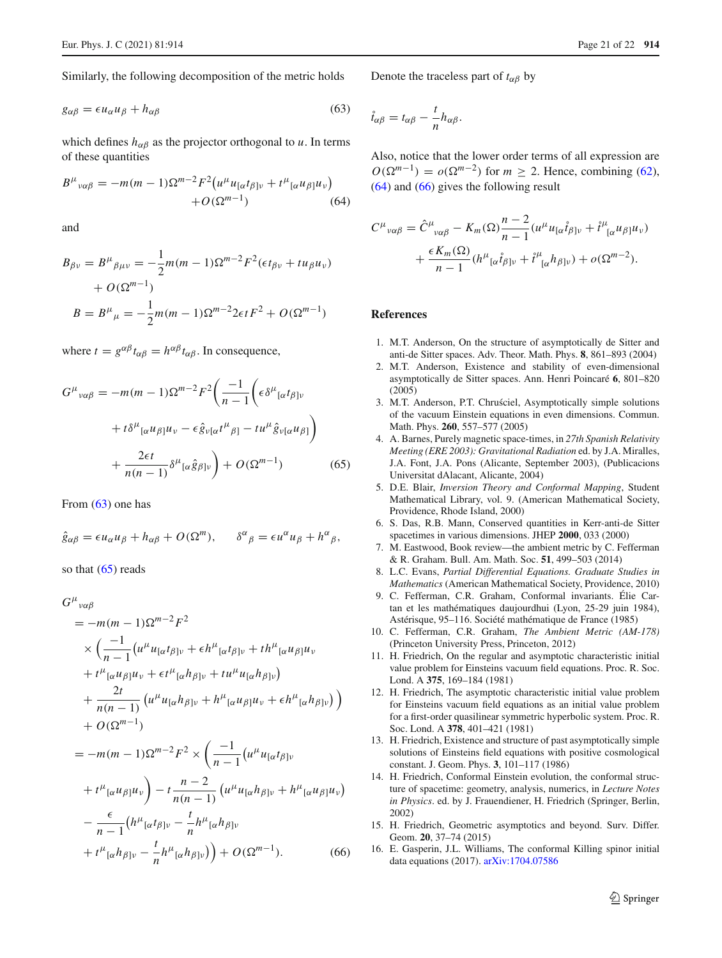Similarly, the following decomposition of the metric holds

$$
g_{\alpha\beta} = \epsilon u_{\alpha} u_{\beta} + h_{\alpha\beta} \tag{63}
$$

which defines  $h_{\alpha\beta}$  as the projector orthogonal to *u*. In terms of these quantities

<span id="page-20-18"></span>
$$
B^{\mu}{}_{\nu\alpha\beta} = -m(m-1)\Omega^{m-2}F^2\big(u^{\mu}u_{\alpha}t_{\beta}\big]v + t^{\mu}{}_{[\alpha}u_{\beta]}u_v\big) + O(\Omega^{m-1})
$$
(64)

and

$$
B_{\beta\nu} = B^{\mu}{}_{\beta\mu\nu} = -\frac{1}{2}m(m-1)\Omega^{m-2}F^2(\epsilon t_{\beta\nu} + tu_{\beta}u_{\nu})
$$

$$
+ O(\Omega^{m-1})
$$

$$
B = B^{\mu}{}_{\mu} = -\frac{1}{2}m(m-1)\Omega^{m-2}2\epsilon tF^2 + O(\Omega^{m-1})
$$

where  $t = g^{\alpha\beta}t_{\alpha\beta} = h^{\alpha\beta}t_{\alpha\beta}$ . In consequence,

$$
G^{\mu}{}_{\nu\alpha\beta} = -m(m-1)\Omega^{m-2}F^2\left(\frac{-1}{n-1}\left(\epsilon\delta^{\mu}{}_{[\alpha}t_{\beta] \nu}\right.\right.+t\delta^{\mu}{}_{[\alpha}u_{\beta]}\mu_{\nu} - \epsilon\hat{g}_{\nu[\alpha}t^{\mu}{}_{\beta]} - tu^{\mu}\hat{g}_{\nu[\alpha}u_{\beta]}\right)+ \frac{2\epsilon t}{n(n-1)}\delta^{\mu}{}_{[\alpha}\hat{g}_{\beta] \nu}\right) + O(\Omega^{m-1})\tag{65}
$$

From [\(63\)](#page-20-16) one has

$$
\hat{g}_{\alpha\beta} = \epsilon u_{\alpha} u_{\beta} + h_{\alpha\beta} + O(\Omega^m), \qquad \delta^{\alpha}{}_{\beta} = \epsilon u^{\alpha} u_{\beta} + h^{\alpha}{}_{\beta},
$$



$$
G^{\mu}{}_{\nu\alpha\beta}
$$
\n
$$
= -m(m-1)\Omega^{m-2}F^2
$$
\n
$$
\times \left(\frac{-1}{n-1}(u^{\mu}u_{[\alpha}t_{\beta]\nu} + \epsilon h^{\mu}{}_{[\alpha}t_{\beta]\nu} + th^{\mu}{}_{[\alpha}u_{\beta]}u_{\nu} + t^{\mu}{}_{[\alpha}u_{\beta]u_{\nu} + \epsilon t^{\mu}{}_{[\alpha}h_{\beta]\nu} + tu^{\mu}u_{[\alpha}h_{\beta]\nu}})\right)
$$
\n
$$
+ \frac{2t}{n(n-1)}(u^{\mu}u_{[\alpha}h_{\beta]\nu} + h^{\mu}{}_{[\alpha}u_{\beta]}u_{\nu} + \epsilon h^{\mu}{}_{[\alpha}h_{\beta]\nu})\right)
$$
\n
$$
+ O(\Omega^{m-1})
$$
\n
$$
= -m(m-1)\Omega^{m-2}F^2 \times \left(\frac{-1}{n-1}(u^{\mu}u_{[\alpha}t_{\beta]\nu} + t^{\mu}{}_{[\alpha}u_{\beta]}u_{\nu}) - t\frac{n-2}{n(n-1)}(u^{\mu}u_{[\alpha}h_{\beta]\nu} + h^{\mu}{}_{[\alpha}u_{\beta]}u_{\nu})\right)
$$
\n
$$
- \frac{\epsilon}{n-1}(h^{\mu}{}_{[\alpha}t_{\beta]\nu} - \frac{t}{n}h^{\mu}{}_{[\alpha}h_{\beta]\nu} + t^{\mu}{}_{[\alpha}h_{\beta]\nu} - t^{\mu}{}_{[\alpha}h_{\beta]\nu}) + t^{\mu}{}_{[\alpha}h_{\beta]\nu} - \frac{t}{n}h^{\mu}{}_{[\alpha}h_{\beta]\nu}) + O(\Omega^{m-1}). \qquad (66)
$$

<span id="page-20-16"></span>Denote the traceless part of  $t_{\alpha\beta}$  by

$$
\mathring{t}_{\alpha\beta}=t_{\alpha\beta}-\frac{t}{n}h_{\alpha\beta}.
$$

Also, notice that the lower order terms of all expression are  $O(\Omega^{m-1}) = o(\Omega^{m-2})$  for  $m \ge 2$ . Hence, combining [\(62\)](#page-19-0), [\(64\)](#page-20-18) and [\(66\)](#page-20-19) gives the following result

$$
C^{\mu}{}_{\nu\alpha\beta} = \hat{C}^{\mu}{}_{\nu\alpha\beta} - K_m(\Omega) \frac{n-2}{n-1} (u^{\mu} u_{[\alpha} \hat{t}_{\beta] \nu} + \hat{t}^{\mu}{}_{[\alpha} u_{\beta]} u_{\nu})
$$

$$
+ \frac{\epsilon K_m(\Omega)}{n-1} (h^{\mu}{}_{[\alpha} \hat{t}_{\beta] \nu} + \hat{t}^{\mu}{}_{[\alpha} h_{\beta] \nu}) + o(\Omega^{m-2}).
$$

#### **References**

- <span id="page-20-13"></span>1. M.T. Anderson, On the structure of asymptotically de Sitter and anti-de Sitter spaces. Adv. Theor. Math. Phys. **8**, 861–893 (2004)
- <span id="page-20-5"></span>2. M.T. Anderson, Existence and stability of even-dimensional asymptotically de Sitter spaces. Ann. Henri Poincaré **6**, 801–820 (2005)
- <span id="page-20-8"></span>3. M.T. Anderson, P.T. Chrusciel, Asymptotically simple solutions of the vacuum Einstein equations in even dimensions. Commun. Math. Phys. **260**, 557–577 (2005)
- <span id="page-20-17"></span><span id="page-20-9"></span>4. A. Barnes, Purely magnetic space-times, in *27th Spanish Relativity Meeting (ERE 2003): Gravitational Radiation* ed. by J.A. Miralles, J.A. Font, J.A. Pons (Alicante, September 2003), (Publicacions Universitat dAlacant, Alicante, 2004)
- <span id="page-20-14"></span>5. D.E. Blair, *Inversion Theory and Conformal Mapping*, Student Mathematical Library, vol. 9. (American Mathematical Society, Providence, Rhode Island, 2000)
- <span id="page-20-15"></span>6. S. Das, R.B. Mann, Conserved quantities in Kerr-anti-de Sitter spacetimes in various dimensions. JHEP **2000**, 033 (2000)
- <span id="page-20-12"></span>7. M. Eastwood, Book review—the ambient metric by C. Fefferman & R. Graham. Bull. Am. Math. Soc. **51**, 499–503 (2014)
- <span id="page-20-11"></span>8. L.C. Evans, *Partial Differential Equations. Graduate Studies in Mathematics* (American Mathematical Society, Providence, 2010)
- <span id="page-20-6"></span>9. C. Fefferman, C.R. Graham, Conformal invariants. Élie Cartan et les mathématiques daujourdhui (Lyon, 25-29 juin 1984), Astérisque, 95–116. Société mathématique de France (1985)
- <span id="page-20-7"></span>10. C. Fefferman, C.R. Graham, *The Ambient Metric (AM-178)* (Princeton University Press, Princeton, 2012)
- <span id="page-20-0"></span>11. H. Friedrich, On the regular and asymptotic characteristic initial value problem for Einsteins vacuum field equations. Proc. R. Soc. Lond. A **375**, 169–184 (1981)
- <span id="page-20-1"></span>12. H. Friedrich, The asymptotic characteristic initial value problem for Einsteins vacuum field equations as an initial value problem for a first-order quasilinear symmetric hyperbolic system. Proc. R. Soc. Lond. A **378**, 401–421 (1981)
- <span id="page-20-4"></span>13. H. Friedrich, Existence and structure of past asymptotically simple solutions of Einsteins field equations with positive cosmological constant. J. Geom. Phys. **3**, 101–117 (1986)
- <span id="page-20-2"></span>14. H. Friedrich, Conformal Einstein evolution, the conformal structure of spacetime: geometry, analysis, numerics, in *Lecture Notes in Physics*. ed. by J. Frauendiener, H. Friedrich (Springer, Berlin, 2002)
- <span id="page-20-19"></span><span id="page-20-3"></span>15. H. Friedrich, Geometric asymptotics and beyond. Surv. Differ. Geom. **20**, 37–74 (2015)
- <span id="page-20-10"></span>16. E. Gasperin, J.L. Williams, The conformal Killing spinor initial data equations (2017). [arXiv:1704.07586](http://arxiv.org/abs/1704.07586)